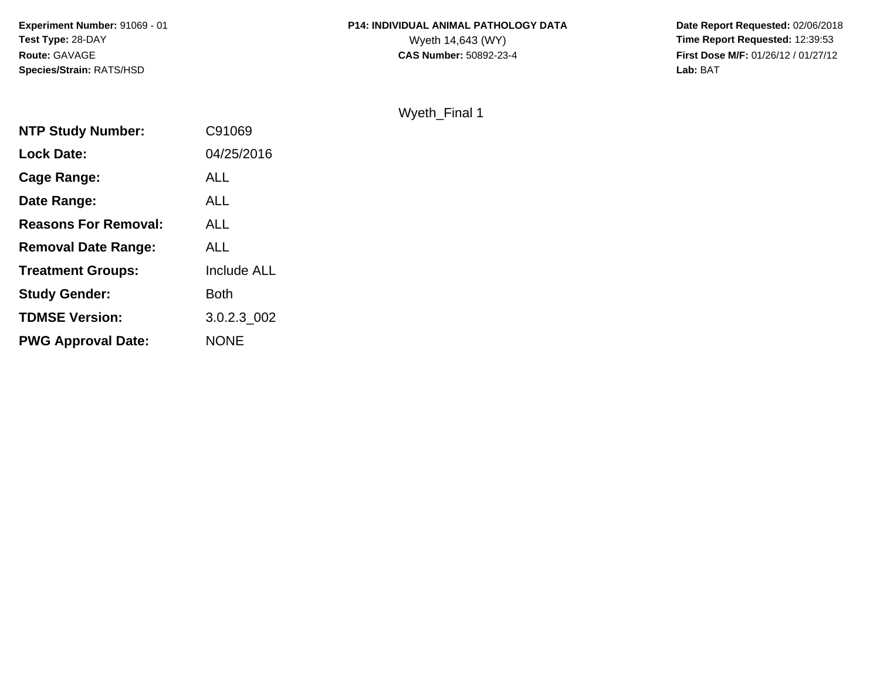**Experiment Number:** 91069 - 01**Test Type:** 28-DAY**Route:** GAVAGE**Species/Strain:** RATS/HSD

## **P14: INDIVIDUAL ANIMAL PATHOLOGY DATA**<br>Wyeth 14,643 (WY)

 **Date Report Requested:** 02/06/2018 Wyeth 14,643 (WY) **Time Report Requested:** 12:39:53<br>**CAS Number:** 50892-23-4 **Time Report Requested:** 12:39:53 **First Dose M/F:** 01/26/12 / 01/27/12<br>**Lab:** BAT **Lab:** BAT

Wyeth\_Final 1

| <b>NTP Study Number:</b>    | C91069      |
|-----------------------------|-------------|
| <b>Lock Date:</b>           | 04/25/2016  |
| Cage Range:                 | ALL         |
| Date Range:                 | ALL         |
| <b>Reasons For Removal:</b> | ALL         |
| <b>Removal Date Range:</b>  | ALL         |
| <b>Treatment Groups:</b>    | Include ALL |
| <b>Study Gender:</b>        | Both        |
| <b>TDMSE Version:</b>       | 3.0.2.3 002 |
| <b>PWG Approval Date:</b>   | <b>NONE</b> |
|                             |             |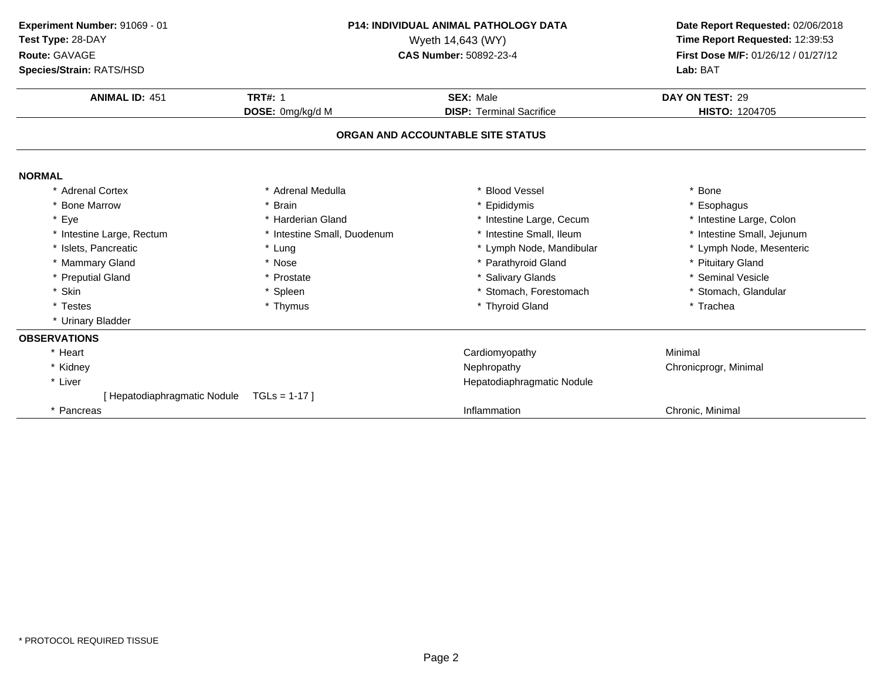| Experiment Number: 91069 - 01<br>Test Type: 28-DAY<br>Route: GAVAGE<br>Species/Strain: RATS/HSD | <b>P14: INDIVIDUAL ANIMAL PATHOLOGY DATA</b><br>Wyeth 14,643 (WY)<br>CAS Number: 50892-23-4 |                                                     | Date Report Requested: 02/06/2018<br>Time Report Requested: 12:39:53<br>First Dose M/F: 01/26/12 / 01/27/12<br>Lab: BAT |
|-------------------------------------------------------------------------------------------------|---------------------------------------------------------------------------------------------|-----------------------------------------------------|-------------------------------------------------------------------------------------------------------------------------|
| <b>ANIMAL ID: 451</b>                                                                           | <b>TRT#: 1</b><br>DOSE: 0mg/kg/d M                                                          | <b>SEX: Male</b><br><b>DISP: Terminal Sacrifice</b> | DAY ON TEST: 29<br>HISTO: 1204705                                                                                       |
|                                                                                                 |                                                                                             | ORGAN AND ACCOUNTABLE SITE STATUS                   |                                                                                                                         |
| <b>NORMAL</b>                                                                                   |                                                                                             |                                                     |                                                                                                                         |
| * Adrenal Cortex                                                                                | * Adrenal Medulla                                                                           | * Blood Vessel                                      | * Bone                                                                                                                  |
| <b>Bone Marrow</b>                                                                              | * Brain                                                                                     | * Epididymis                                        | * Esophagus                                                                                                             |
| * Eye                                                                                           | * Harderian Gland                                                                           | * Intestine Large, Cecum                            | * Intestine Large, Colon                                                                                                |
| * Intestine Large, Rectum                                                                       | * Intestine Small, Duodenum                                                                 | * Intestine Small, Ileum                            | * Intestine Small, Jejunum                                                                                              |
| * Islets, Pancreatic                                                                            | * Lung                                                                                      | * Lymph Node, Mandibular                            | * Lymph Node, Mesenteric                                                                                                |
| * Mammary Gland                                                                                 | * Nose                                                                                      | * Parathyroid Gland                                 | * Pituitary Gland                                                                                                       |
| * Preputial Gland                                                                               | * Prostate                                                                                  | * Salivary Glands                                   | * Seminal Vesicle                                                                                                       |
| * Skin                                                                                          | * Spleen                                                                                    | * Stomach, Forestomach                              | * Stomach, Glandular                                                                                                    |
| * Testes                                                                                        | * Thymus                                                                                    | * Thyroid Gland                                     | * Trachea                                                                                                               |
| * Urinary Bladder                                                                               |                                                                                             |                                                     |                                                                                                                         |
| <b>OBSERVATIONS</b>                                                                             |                                                                                             |                                                     |                                                                                                                         |
| * Heart                                                                                         |                                                                                             | Cardiomyopathy                                      | Minimal                                                                                                                 |
| * Kidney                                                                                        |                                                                                             | Nephropathy                                         | Chronicprogr, Minimal                                                                                                   |
| * Liver                                                                                         |                                                                                             | Hepatodiaphragmatic Nodule                          |                                                                                                                         |
| [ Hepatodiaphragmatic Nodule                                                                    | $TGLs = 1-17$                                                                               |                                                     |                                                                                                                         |
| * Pancreas                                                                                      |                                                                                             | Inflammation                                        | Chronic, Minimal                                                                                                        |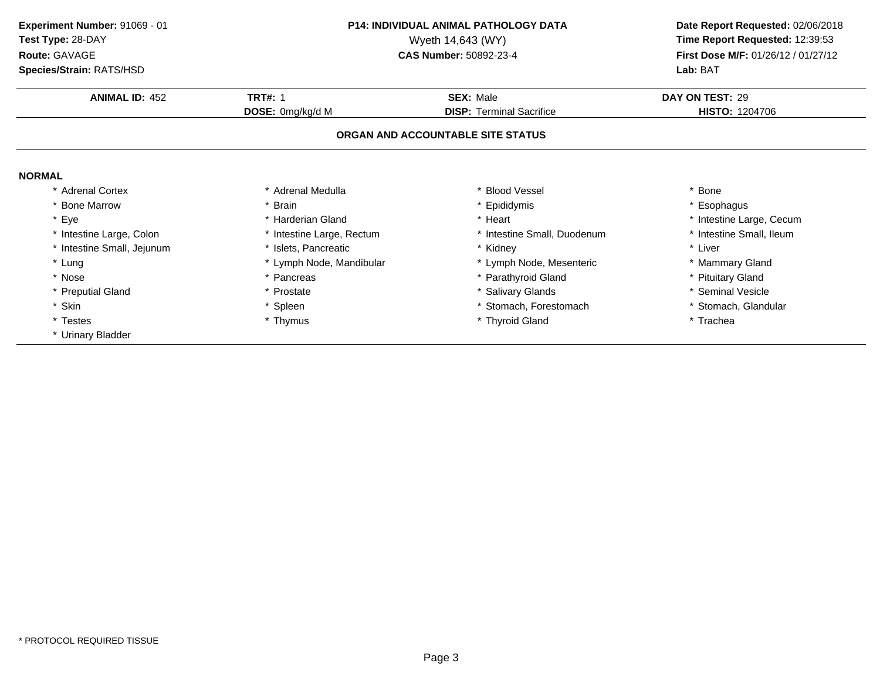**ANIMAL ID:** <sup>452</sup> **TRT#:** <sup>1</sup> **SEX:** Male **DAY ON TEST:** <sup>29</sup> **DOSE:** 0mg/kg/d M**DISP:** Terminal Sacrifice **HISTO:** 1204706 **ORGAN AND ACCOUNTABLE SITE STATUSNORMAL** \* Adrenal Cortex\* Adrenal Medulla<br>\* Brain a the set of the set of the set of the set of the set of the set of the set of the set of the set of the set o<br>Set of the set of the set of the set of the set of the set of the set of the set of the set of the set of the s \* Bone Marrow \* Brain \* Epididymis \* Esophagus \* Eyee the second of the second term in the second term in the second term in the second term in the second term in the second term in the second term in the second term in the second term in the second term in the second term \* Intestine Small, Ileum \* Intestine Large, Colon\* Intestine Large, Rectum<br>\* Islets, Pancreatic \* Intestine Small, Duodenum \* \* Intest<br>\* Kidney \* \* Liver \* Intestine Small, Jejunum \* Islets, Pancreatic \* Kidney \* Liver \* Lung\* Lymph Node, Mandibular \* 1990 \* Lymph Node, Mesenteric \* \* Mammary Gland<br>
\* Pancreas \* Parathyroid Gland \* \* Parathyroid Gland \* \* Pituitary Gland \* Nosee the second of the second of the second vertex  $\ast$  Parathyroid Gland  $\ast$  Pituitary Gland  $\ast$  Pituitary Gland \* Preputial Gland \* Prostate \* Salivary Glands \* Seminal Vesicle \* Skin\* Spleen \* Stomach, Forestomach \* \* Stomach, \* Stomach, Glandular<br>
\* Thymus \* Thyroid Gland \* The \* Trachea \* Testes \* Thymus \* Thyroid Gland \* Trachea \* Urinary Bladder **Experiment Number:** 91069 - 01 **P14: INDIVIDUAL ANIMAL PATHOLOGY DATA Date Report Requested:** 02/06/2018 **Test Type:** 28-DAYWyeth 14,643 (WY) **Time Report Requested:** 12:39:53<br>**CAS Number:** 50892-23-4 **Time Report Requested:** 12:39:53 **Route:** GAVAGE**First Dose M/F:** 01/26/12 / 01/27/12<br>**Lab:** BAT **Species/Strain:** RATS/HSD**Lab:** BAT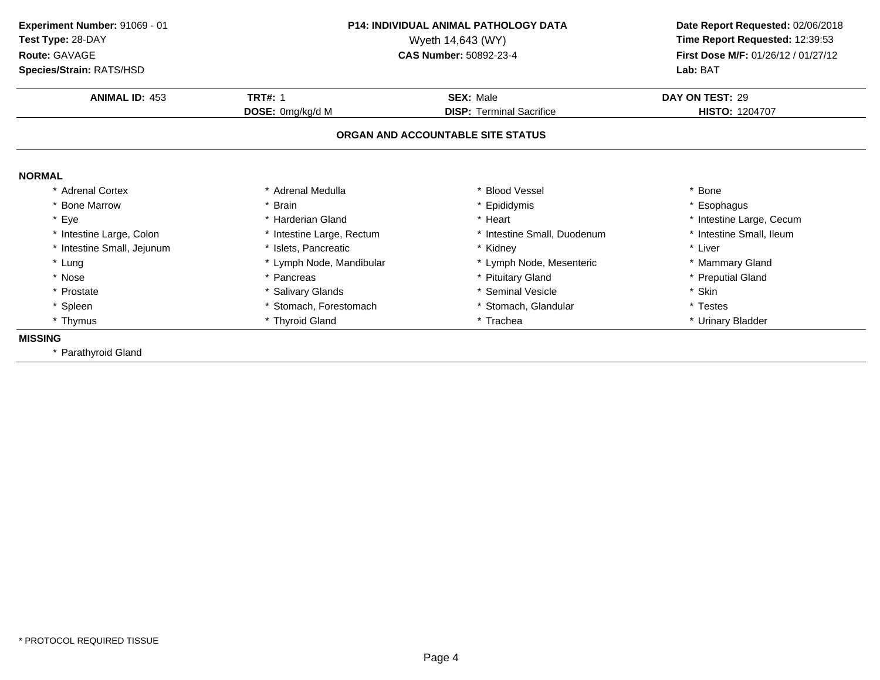**ANIMAL ID:** <sup>453</sup> **TRT#:** <sup>1</sup> **SEX:** Male **DAY ON TEST:** <sup>29</sup> **DOSE:** 0mg/kg/d M**DISP:** Terminal Sacrifice **HISTO:** 1204707 **ORGAN AND ACCOUNTABLE SITE STATUSNORMAL** \* Adrenal Cortex\* Adrenal Medulla<br>\* Brain a the set of the set of the set of the set of the set of the set of the set of the set of the set of the set o<br>Set of the set of the set of the set of the set of the set of the set of the set of the set of the set of the s \* Bone Marrow \* Brain \* Epididymis \* Esophagus \* Eyee the second of the second term in the second term in the second term in the second term in the second term in the second term in the second term in the second term in the second term in the second term in the second term \* Intestine Small, Ileum \* Intestine Large, Colon\* Intestine Large, Rectum<br>\* Islets, Pancreatic \* Intestine Small, Duodenum \* \* Intest<br>\* Kidney \* \* Liver \* Intestine Small, Jejunum \* Islets, Pancreatic \* Kidney \* Liver \* Lung\* Lymph Node, Mandibular \* 1990 \* Lymph Node, Mesenteric \* \* Mammary Gland<br>
\* Pancreas \* Pituitary Gland \* Pituitary Gland \* Preputial Gland \* Nosee the second of the second of the second of the second of the second of the second of the second of the second  $^*$  Preputial Gland \* Prostate \* Salivary Glands \* Seminal Vesicle \* Skin \* Spleen\* Stomach, Forestomach \* \* Stomach, \* Stomach, Glandular \* Testes \* \* Testes \* Thyroid Gland<br>\* Thyroid Gland \* \* Trachea \* Trachea \* \* Urinary \* Thymus \* Thyroid Gland\* Urinary Bladder **MISSING** \* Parathyroid Gland**Experiment Number:** 91069 - 01 **P14: INDIVIDUAL ANIMAL PATHOLOGY DATA Date Report Requested:** 02/06/2018 **Test Type:** 28-DAYWyeth 14,643 (WY) **Time Report Requested:** 12:39:53<br>**CAS Number:** 50892-23-4 **Time Report Requested:** 12:39:53 **Route:** GAVAGE**First Dose M/F:** 01/26/12 / 01/27/12<br>**Lab:** BAT **Species/Strain:** RATS/HSD**Lab:** BAT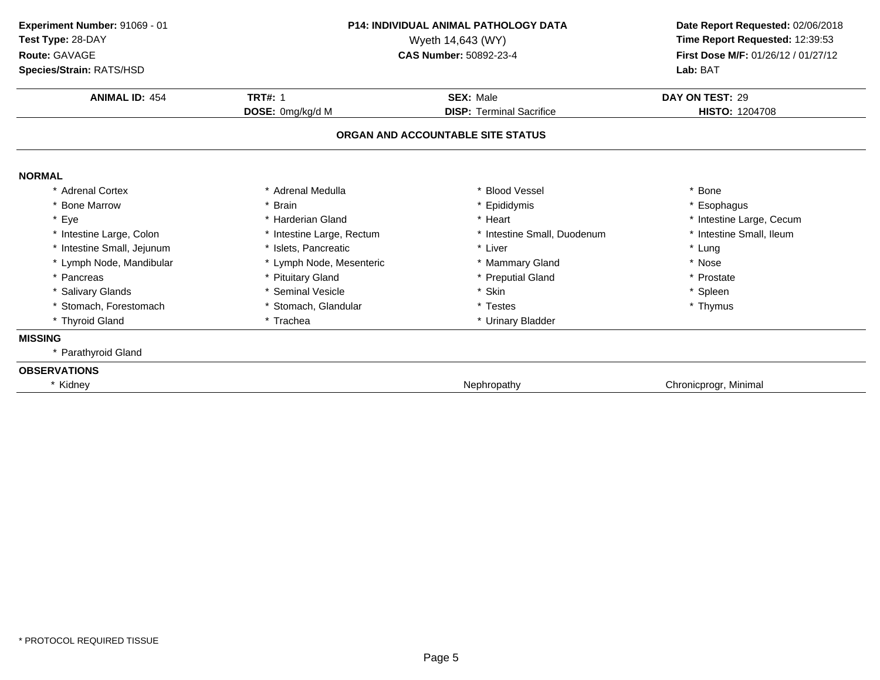**ANIMAL ID:** <sup>454</sup> **TRT#:** <sup>1</sup> **SEX:** Male **DAY ON TEST:** <sup>29</sup> **DOSE:** 0mg/kg/d M**DISP:** Terminal Sacrifice **HISTO:** 1204708 **ORGAN AND ACCOUNTABLE SITE STATUSNORMAL** \* Adrenal Cortex\* Adrenal Medulla<br>\* Brain a the set of the set of the set of the set of the set of the set of the set of the set of the set of the set o<br>Set of the set of the set of the set of the set of the set of the set of the set of the set of the set of the s \* Bone Marrow \* Brain \* Epididymis \* Esophagus \* Eyee the second of the second term in the second term in the second term in the second term in the second term in the second term in the second term in the second term in the second term in the second term in the second term \* Intestine Small, Ileum \* Intestine Large, Colon\* Intestine Large, Rectum<br>\* Islets, Pancreatic \* Intestine Small, Duodenum \* \* Intest<br>
\* Liver \* \* Lung \* Intestine Small, Jejunumm \* Islets, Pancreatic \* Liver \* Lung \* Lymph Node, Mandibular \* Lymph Node, Mesenteric \* Mammary Gland\* Nose<br>\* Prostate \* Pancreas \* Pituitary Gland\* Preputial Gland \* Prostate \* Prostate \* Prostate \* Prostate \* Prostate \* Spleen \* Salivary Glands \* Seminal Vesicle \* Skin \* Spleen \* Stomach, Forestomach\* Stomach, Glandular \* \* Testes \* Testes \* Trachea \* Thymus \* Trachea \* Thymus \* Thymus \* Thymus \* Thymus \* Thymus \* Thymus \* Thymus \* Thymus \* Thymus \* Thymus \* Thymus \* Thymus \* Thymus \* Thymus \* Thymus \* Thymus \* Thymus \* Thyroid Gland\* Urinary Bladder **MISSING** \* Parathyroid Gland**OBSERVATIONS**\* KidneyNephropathy **Chronic Chronic Chronic Chronic Chronic Chronic Chronic Chronic Chronic Chronic Chronic Chronic Chronic Chronic Chronic Chronic Chronic Chronic Chronic Chronic Chronic Chronic Chronic Chronic Chronic Chronic C Experiment Number:** 91069 - 01 **P14: INDIVIDUAL ANIMAL PATHOLOGY DATA Date Report Requested:** 02/06/2018 **Test Type:** 28-DAYWyeth 14,643 (WY) **Time Report Requested:** 12:39:53<br>**CAS Number:** 50892-23-4 **Time Report Requested:** 12:39:53 **Route:** GAVAGE**First Dose M/F:** 01/26/12 / 01/27/12<br>**Lab:** BAT **Species/Strain:** RATS/HSD**Lab:** BAT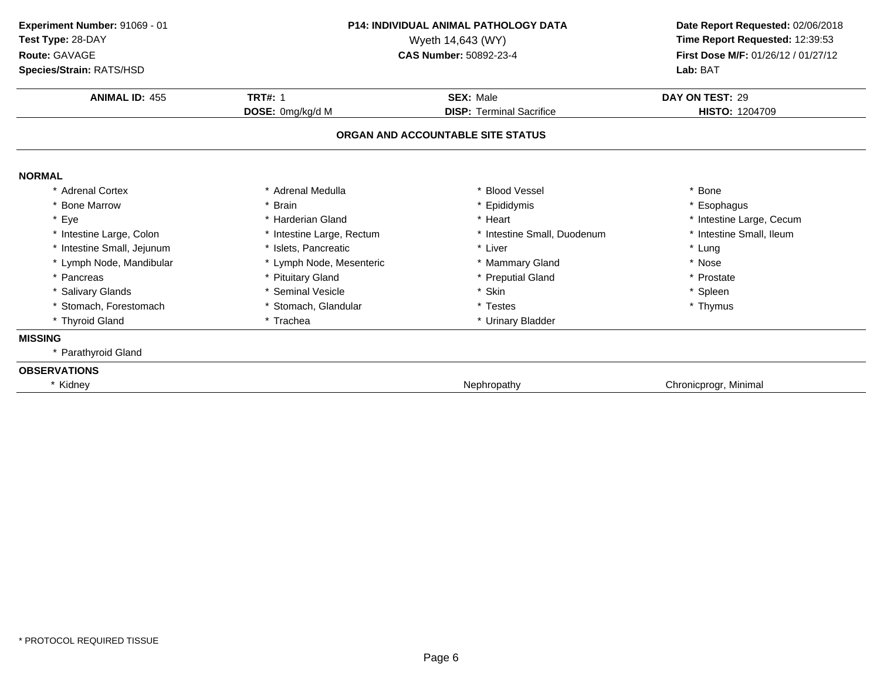**ANIMAL ID:** <sup>455</sup> **TRT#:** <sup>1</sup> **SEX:** Male **DAY ON TEST:** <sup>29</sup> **DOSE:** 0mg/kg/d M**DISP:** Terminal Sacrifice **HISTO:** 1204709 **ORGAN AND ACCOUNTABLE SITE STATUSNORMAL** \* Adrenal Cortex\* Adrenal Medulla<br>\* Brain a the set of the set of the set of the set of the set of the set of the set of the set of the set of the set o<br>Set of the set of the set of the set of the set of the set of the set of the set of the set of the set of the s \* Bone Marrow \* Brain \* Epididymis \* Esophagus \* Eyee the second of the second term in the second term in the second term in the second term in the second term in the second term in the second term in the second term in the second term in the second term in the second term \* Intestine Small, Ileum \* Intestine Large, Colon\* Intestine Large, Rectum<br>\* Islets, Pancreatic \* Intestine Small, Duodenum \* \* Intest<br>
\* Liver \* \* Lung \* Intestine Small, Jejunumm \* Islets, Pancreatic \* Liver \* Lung \* Lymph Node, Mandibular \* Lymph Node, Mesenteric \* Mammary Gland\* Nose<br>\* Prostate \* Pancreas \* Pituitary Gland\* Preputial Gland \* Prostate \* Prostate \* Prostate \* Prostate \* Prostate \* Spleen \* Salivary Glands \* Seminal Vesicle \* Skin \* Spleen \* Stomach, Forestomach\* Stomach, Glandular \* \* Testes \* Testes \* Trachea \* Thymus \* Trachea \* Thymus \* Thymus \* Thymus \* Thymus \* Thymus \* Thymus \* Thymus \* Thymus \* Thymus \* Thymus \* Thymus \* Thymus \* Thymus \* Thymus \* Thymus \* Thymus \* Thymus \* Thyroid Gland\* Urinary Bladder **MISSING** \* Parathyroid Gland**OBSERVATIONS**\* KidneyNephropathy **Chronic Chronic Chronic Chronic Chronic Chronic Chronic Chronic Chronic Chronic Chronic Chronic Chronic Chronic Chronic Chronic Chronic Chronic Chronic Chronic Chronic Chronic Chronic Chronic Chronic Chronic C Experiment Number:** 91069 - 01 **P14: INDIVIDUAL ANIMAL PATHOLOGY DATA Date Report Requested:** 02/06/2018 **Test Type:** 28-DAYWyeth 14,643 (WY) **Time Report Requested:** 12:39:53<br>**CAS Number:** 50892-23-4 **Time Report Requested:** 12:39:53 **Route:** GAVAGE**First Dose M/F:** 01/26/12 / 01/27/12<br>**Lab:** BAT **Species/Strain:** RATS/HSD**Lab:** BAT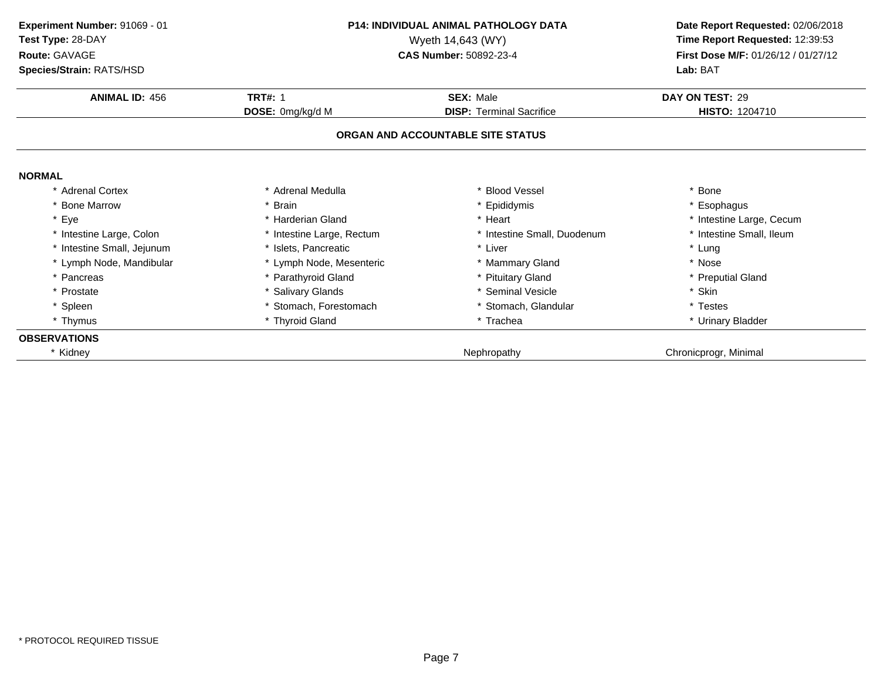| Experiment Number: 91069 - 01<br>Test Type: 28-DAY<br>Route: GAVAGE<br>Species/Strain: RATS/HSD |                           | <b>P14: INDIVIDUAL ANIMAL PATHOLOGY DATA</b><br>Wyeth 14,643 (WY)<br><b>CAS Number: 50892-23-4</b> | Date Report Requested: 02/06/2018<br>Time Report Requested: 12:39:53<br>First Dose M/F: 01/26/12 / 01/27/12<br>Lab: BAT |
|-------------------------------------------------------------------------------------------------|---------------------------|----------------------------------------------------------------------------------------------------|-------------------------------------------------------------------------------------------------------------------------|
| <b>ANIMAL ID: 456</b>                                                                           | <b>TRT#: 1</b>            | <b>SEX: Male</b>                                                                                   | DAY ON TEST: 29                                                                                                         |
|                                                                                                 | DOSE: 0mg/kg/d M          | <b>DISP:</b> Terminal Sacrifice                                                                    | <b>HISTO: 1204710</b>                                                                                                   |
|                                                                                                 |                           | ORGAN AND ACCOUNTABLE SITE STATUS                                                                  |                                                                                                                         |
| <b>NORMAL</b>                                                                                   |                           |                                                                                                    |                                                                                                                         |
| * Adrenal Cortex                                                                                | * Adrenal Medulla         | * Blood Vessel                                                                                     | Bone                                                                                                                    |
| <b>Bone Marrow</b>                                                                              | <b>Brain</b>              | * Epididymis                                                                                       | * Esophagus                                                                                                             |
| * Eye                                                                                           | * Harderian Gland         | * Heart                                                                                            | * Intestine Large, Cecum                                                                                                |
| Intestine Large, Colon                                                                          | * Intestine Large, Rectum | * Intestine Small, Duodenum                                                                        | * Intestine Small, Ileum                                                                                                |
| Intestine Small, Jejunum                                                                        | * Islets, Pancreatic      | * Liver                                                                                            | * Lung                                                                                                                  |
| * Lymph Node, Mandibular                                                                        | * Lymph Node, Mesenteric  | * Mammary Gland                                                                                    | * Nose                                                                                                                  |
| Pancreas                                                                                        | * Parathyroid Gland       | * Pituitary Gland                                                                                  | * Preputial Gland                                                                                                       |
| * Prostate                                                                                      | * Salivary Glands         | * Seminal Vesicle                                                                                  | * Skin                                                                                                                  |
| * Spleen                                                                                        | Stomach, Forestomach      | * Stomach, Glandular                                                                               | * Testes                                                                                                                |
| * Thymus                                                                                        | * Thyroid Gland           | * Trachea                                                                                          | * Urinary Bladder                                                                                                       |
| <b>OBSERVATIONS</b>                                                                             |                           |                                                                                                    |                                                                                                                         |
| * Kidney                                                                                        |                           | Nephropathy                                                                                        | Chronicprogr, Minimal                                                                                                   |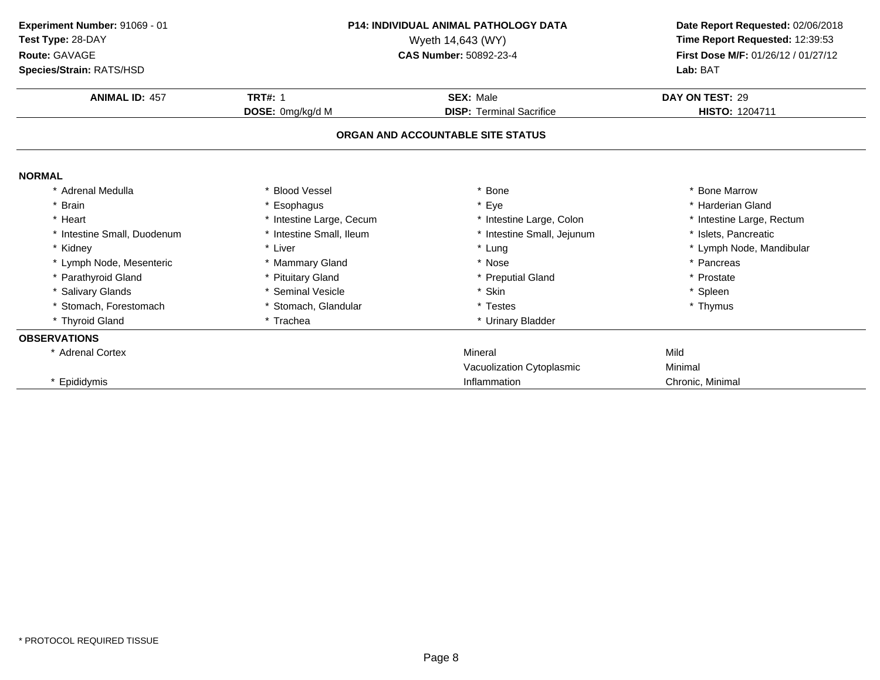| Experiment Number: 91069 - 01<br>Test Type: 28-DAY<br>Route: GAVAGE<br>Species/Strain: RATS/HSD |                                    | <b>P14: INDIVIDUAL ANIMAL PATHOLOGY DATA</b><br>Wyeth 14,643 (WY)<br><b>CAS Number: 50892-23-4</b> | Date Report Requested: 02/06/2018<br>Time Report Requested: 12:39:53<br>First Dose M/F: 01/26/12 / 01/27/12<br>Lab: BAT |
|-------------------------------------------------------------------------------------------------|------------------------------------|----------------------------------------------------------------------------------------------------|-------------------------------------------------------------------------------------------------------------------------|
| <b>ANIMAL ID: 457</b>                                                                           | <b>TRT#: 1</b><br>DOSE: 0mg/kg/d M | <b>SEX: Male</b><br><b>DISP: Terminal Sacrifice</b>                                                | DAY ON TEST: 29<br>HISTO: 1204711                                                                                       |
|                                                                                                 |                                    | ORGAN AND ACCOUNTABLE SITE STATUS                                                                  |                                                                                                                         |
| <b>NORMAL</b>                                                                                   |                                    |                                                                                                    |                                                                                                                         |
| Adrenal Medulla                                                                                 | * Blood Vessel                     | <b>Bone</b>                                                                                        | * Bone Marrow                                                                                                           |
| <b>Brain</b>                                                                                    | * Esophagus                        | * Eye                                                                                              | * Harderian Gland                                                                                                       |
| * Heart                                                                                         | * Intestine Large, Cecum           | * Intestine Large, Colon                                                                           | * Intestine Large, Rectum                                                                                               |
| * Intestine Small, Duodenum                                                                     | * Intestine Small, Ileum           | * Intestine Small, Jejunum                                                                         | * Islets, Pancreatic                                                                                                    |
| * Kidney                                                                                        | * Liver                            | * Lung                                                                                             | * Lymph Node, Mandibular                                                                                                |
| * Lymph Node, Mesenteric                                                                        | * Mammary Gland                    | * Nose                                                                                             | * Pancreas                                                                                                              |
| * Parathyroid Gland                                                                             | * Pituitary Gland                  | * Preputial Gland                                                                                  | * Prostate                                                                                                              |
| * Salivary Glands                                                                               | * Seminal Vesicle                  | * Skin                                                                                             | * Spleen                                                                                                                |
| * Stomach, Forestomach                                                                          | * Stomach, Glandular               | * Testes                                                                                           | * Thymus                                                                                                                |
| * Thyroid Gland                                                                                 | * Trachea                          | * Urinary Bladder                                                                                  |                                                                                                                         |
| <b>OBSERVATIONS</b>                                                                             |                                    |                                                                                                    |                                                                                                                         |
| * Adrenal Cortex                                                                                |                                    | Mineral                                                                                            | Mild                                                                                                                    |
|                                                                                                 |                                    | Vacuolization Cytoplasmic                                                                          | Minimal                                                                                                                 |
| * Epididymis                                                                                    |                                    | Inflammation                                                                                       | Chronic, Minimal                                                                                                        |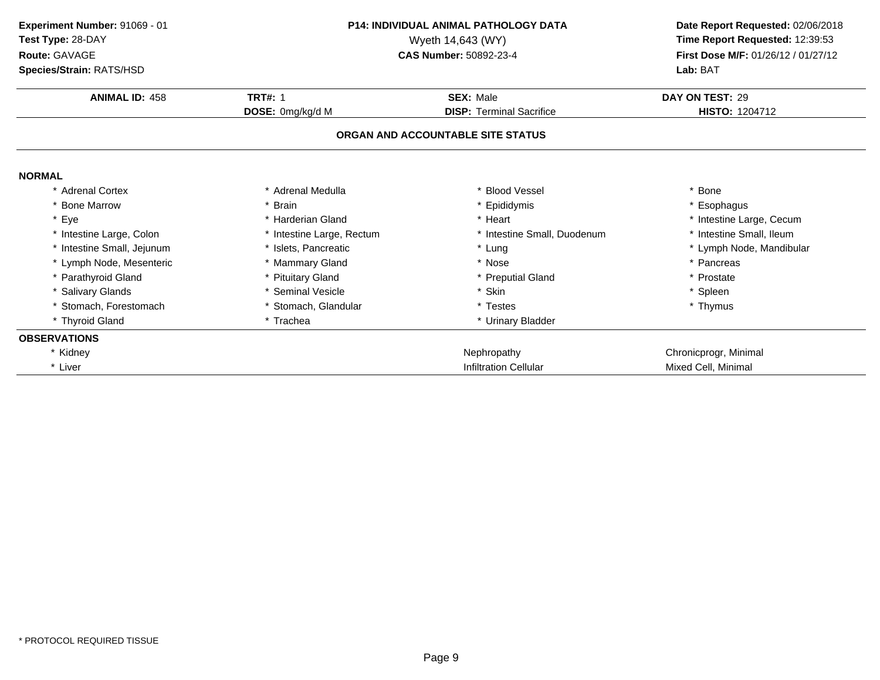| Experiment Number: 91069 - 01<br>Test Type: 28-DAY<br>Route: GAVAGE<br>Species/Strain: RATS/HSD |                           | <b>P14: INDIVIDUAL ANIMAL PATHOLOGY DATA</b><br>Wyeth 14,643 (WY)<br>CAS Number: 50892-23-4 | Date Report Requested: 02/06/2018<br>Time Report Requested: 12:39:53<br>First Dose M/F: 01/26/12 / 01/27/12<br>Lab: BAT |
|-------------------------------------------------------------------------------------------------|---------------------------|---------------------------------------------------------------------------------------------|-------------------------------------------------------------------------------------------------------------------------|
| <b>ANIMAL ID: 458</b>                                                                           | <b>TRT#: 1</b>            | <b>SEX: Male</b>                                                                            | DAY ON TEST: 29                                                                                                         |
|                                                                                                 | DOSE: 0mg/kg/d M          | <b>DISP: Terminal Sacrifice</b>                                                             | <b>HISTO: 1204712</b>                                                                                                   |
|                                                                                                 |                           | ORGAN AND ACCOUNTABLE SITE STATUS                                                           |                                                                                                                         |
| <b>NORMAL</b>                                                                                   |                           |                                                                                             |                                                                                                                         |
| <b>Adrenal Cortex</b>                                                                           | Adrenal Medulla           | * Blood Vessel                                                                              | Bone                                                                                                                    |
| * Bone Marrow                                                                                   | * Brain                   | * Epididymis                                                                                | Esophagus                                                                                                               |
| * Eye                                                                                           | * Harderian Gland         | * Heart                                                                                     | * Intestine Large, Cecum                                                                                                |
| * Intestine Large, Colon                                                                        | * Intestine Large, Rectum | * Intestine Small, Duodenum                                                                 | * Intestine Small, Ileum                                                                                                |
| * Intestine Small, Jejunum                                                                      | * Islets, Pancreatic      | * Lung                                                                                      | * Lymph Node, Mandibular                                                                                                |
| * Lymph Node, Mesenteric                                                                        | * Mammary Gland           | * Nose                                                                                      | * Pancreas                                                                                                              |
| * Parathyroid Gland                                                                             | * Pituitary Gland         | * Preputial Gland                                                                           | Prostate                                                                                                                |
| * Salivary Glands                                                                               | Seminal Vesicle           | * Skin                                                                                      | * Spleen                                                                                                                |
| Stomach, Forestomach                                                                            | * Stomach, Glandular      | * Testes                                                                                    | * Thymus                                                                                                                |
| * Thyroid Gland                                                                                 | * Trachea                 | * Urinary Bladder                                                                           |                                                                                                                         |
| <b>OBSERVATIONS</b>                                                                             |                           |                                                                                             |                                                                                                                         |
| * Kidney                                                                                        |                           | Nephropathy                                                                                 | Chronicprogr, Minimal                                                                                                   |
| * Liver                                                                                         |                           | <b>Infiltration Cellular</b>                                                                | Mixed Cell, Minimal                                                                                                     |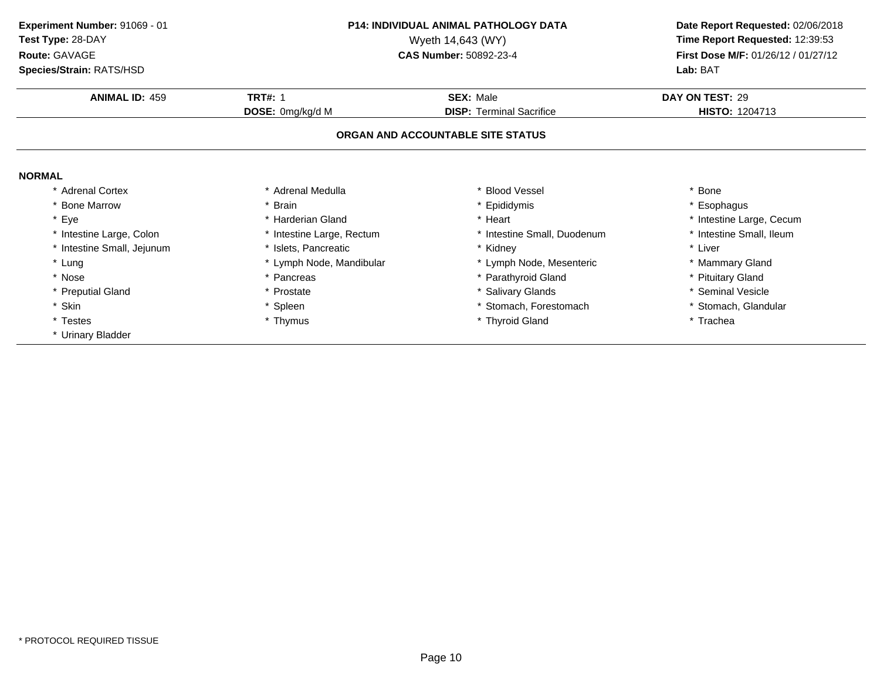**ANIMAL ID:** <sup>459</sup> **TRT#:** <sup>1</sup> **SEX:** Male **DAY ON TEST:** <sup>29</sup> **DOSE:** 0mg/kg/d M**DISP:** Terminal Sacrifice **HISTO:** 1204713 **ORGAN AND ACCOUNTABLE SITE STATUSNORMAL** \* Adrenal Cortex\* Adrenal Medulla<br>\* Brain a the set of the set of the set of the set of the set of the set of the set of the set of the set of the set o<br>Set of the set of the set of the set of the set of the set of the set of the set of the set of the set of the s \* Bone Marrow \* Brain \* Epididymis \* Esophagus \* Eyee the second of the second term in the second term in the second term in the second term in the second term in the second term in the second term in the second term in the second term in the second term in the second term \* Intestine Small, Ileum \* Intestine Large, Colon\* Intestine Large, Rectum<br>\* Islets, Pancreatic \* Intestine Small, Duodenum \* \* Intest<br>\* Kidney \* \* Liver \* Intestine Small, Jejunum \* Islets, Pancreatic \* Kidney \* Liver \* Lung\* Lymph Node, Mandibular \* 1990 \* Lymph Node, Mesenteric \* \* Mammary Gland<br>
\* Pancreas \* Parathyroid Gland \* \* Parathyroid Gland \* \* Pituitary Gland \* Nosee the second of the second of the second vertex  $\ast$  Parathyroid Gland  $\ast$  Pituitary Gland  $\ast$  Pituitary Gland \* Preputial Gland \* Prostate \* Salivary Glands \* Seminal Vesicle \* Skin\* Spleen \* Stomach, Forestomach \* \* Stomach, \* Stomach, Glandular<br>
\* Thymus \* Thyroid Gland \* The \* Trachea \* Testes \* Thymus \* Thyroid Gland \* Trachea \* Urinary Bladder **Experiment Number:** 91069 - 01 **P14: INDIVIDUAL ANIMAL PATHOLOGY DATA Date Report Requested:** 02/06/2018 **Test Type:** 28-DAYWyeth 14,643 (WY) **Time Report Requested:** 12:39:53<br>**CAS Number:** 50892-23-4 **Time Report Requested:** 12:39:53 **Route:** GAVAGE**First Dose M/F:** 01/26/12 / 01/27/12<br>**Lab:** BAT **Species/Strain:** RATS/HSD**Lab:** BAT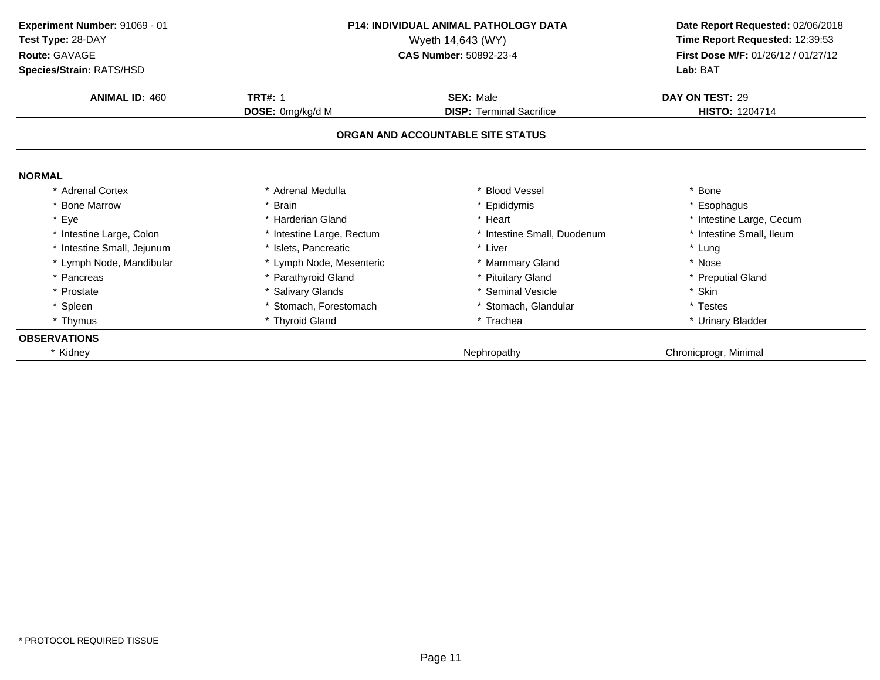| Experiment Number: 91069 - 01<br>Test Type: 28-DAY<br>Route: GAVAGE<br>Species/Strain: RATS/HSD |                           | <b>P14: INDIVIDUAL ANIMAL PATHOLOGY DATA</b><br>Wyeth 14,643 (WY)<br><b>CAS Number: 50892-23-4</b> | Date Report Requested: 02/06/2018<br>Time Report Requested: 12:39:53<br>First Dose M/F: 01/26/12 / 01/27/12<br>Lab: BAT |
|-------------------------------------------------------------------------------------------------|---------------------------|----------------------------------------------------------------------------------------------------|-------------------------------------------------------------------------------------------------------------------------|
| <b>ANIMAL ID: 460</b>                                                                           | <b>TRT#: 1</b>            | <b>SEX: Male</b>                                                                                   | DAY ON TEST: 29                                                                                                         |
|                                                                                                 | DOSE: 0mg/kg/d M          | <b>DISP:</b> Terminal Sacrifice                                                                    | <b>HISTO: 1204714</b>                                                                                                   |
|                                                                                                 |                           | ORGAN AND ACCOUNTABLE SITE STATUS                                                                  |                                                                                                                         |
| <b>NORMAL</b>                                                                                   |                           |                                                                                                    |                                                                                                                         |
| * Adrenal Cortex                                                                                | * Adrenal Medulla         | * Blood Vessel                                                                                     | * Bone                                                                                                                  |
| <b>Bone Marrow</b>                                                                              | * Brain                   | * Epididymis                                                                                       | * Esophagus                                                                                                             |
| * Eye                                                                                           | * Harderian Gland         | * Heart                                                                                            | * Intestine Large, Cecum                                                                                                |
| * Intestine Large, Colon                                                                        | * Intestine Large, Rectum | * Intestine Small, Duodenum                                                                        | * Intestine Small, Ileum                                                                                                |
| * Intestine Small, Jejunum                                                                      | * Islets, Pancreatic      | * Liver                                                                                            | * Lung                                                                                                                  |
| * Lymph Node, Mandibular                                                                        | * Lymph Node, Mesenteric  | * Mammary Gland                                                                                    | * Nose                                                                                                                  |
| * Pancreas                                                                                      | * Parathyroid Gland       | * Pituitary Gland                                                                                  | * Preputial Gland                                                                                                       |
| * Prostate                                                                                      | * Salivary Glands         | * Seminal Vesicle                                                                                  | * Skin                                                                                                                  |
| * Spleen                                                                                        | Stomach, Forestomach      | Stomach, Glandular                                                                                 | * Testes                                                                                                                |
| * Thymus                                                                                        | * Thyroid Gland           | * Trachea                                                                                          | * Urinary Bladder                                                                                                       |
| <b>OBSERVATIONS</b>                                                                             |                           |                                                                                                    |                                                                                                                         |
| * Kidney                                                                                        |                           | Nephropathy                                                                                        | Chronicprogr, Minimal                                                                                                   |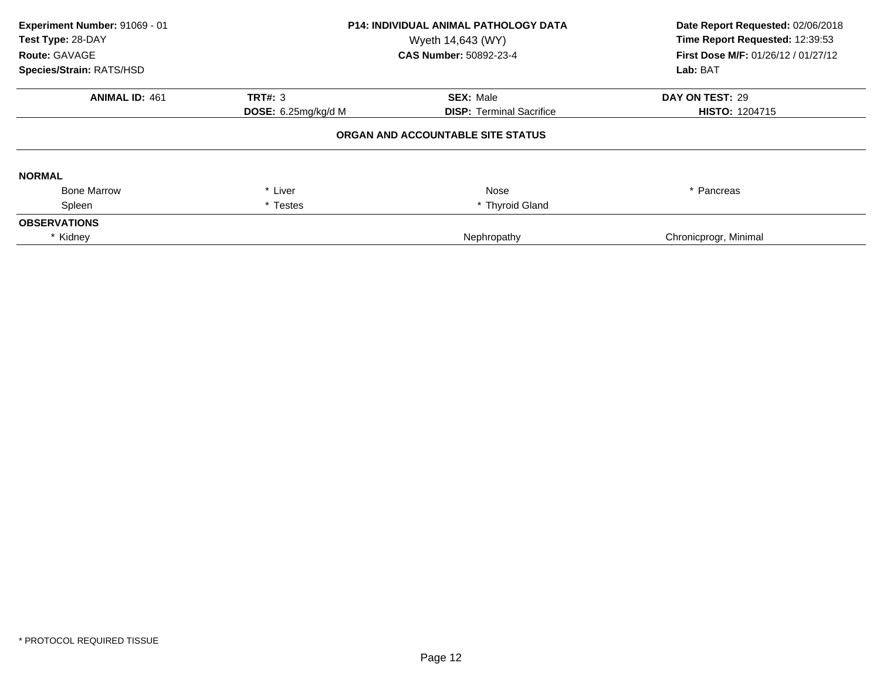| Experiment Number: 91069 - 01<br>Test Type: 28-DAY<br>Route: GAVAGE<br>Species/Strain: RATS/HSD | <b>P14: INDIVIDUAL ANIMAL PATHOLOGY DATA</b><br>Wyeth 14,643 (WY)<br><b>CAS Number: 50892-23-4</b> |                                   | Date Report Requested: 02/06/2018<br>Time Report Requested: 12:39:53<br><b>First Dose M/F: 01/26/12 / 01/27/12</b><br>Lab: BAT |
|-------------------------------------------------------------------------------------------------|----------------------------------------------------------------------------------------------------|-----------------------------------|--------------------------------------------------------------------------------------------------------------------------------|
| <b>ANIMAL ID: 461</b>                                                                           | <b>TRT#: 3</b>                                                                                     | <b>SEX: Male</b>                  | DAY ON TEST: 29                                                                                                                |
|                                                                                                 | DOSE: $6.25$ mg/kg/d M                                                                             | <b>DISP:</b> Terminal Sacrifice   | <b>HISTO: 1204715</b>                                                                                                          |
|                                                                                                 |                                                                                                    | ORGAN AND ACCOUNTABLE SITE STATUS |                                                                                                                                |
| <b>NORMAL</b>                                                                                   |                                                                                                    |                                   |                                                                                                                                |
| <b>Bone Marrow</b>                                                                              | * Liver                                                                                            | Nose                              | * Pancreas                                                                                                                     |
| Spleen                                                                                          | * Testes                                                                                           | * Thyroid Gland                   |                                                                                                                                |
| <b>OBSERVATIONS</b>                                                                             |                                                                                                    |                                   |                                                                                                                                |
| * Kidney                                                                                        |                                                                                                    | Nephropathy                       | Chronicprogr, Minimal                                                                                                          |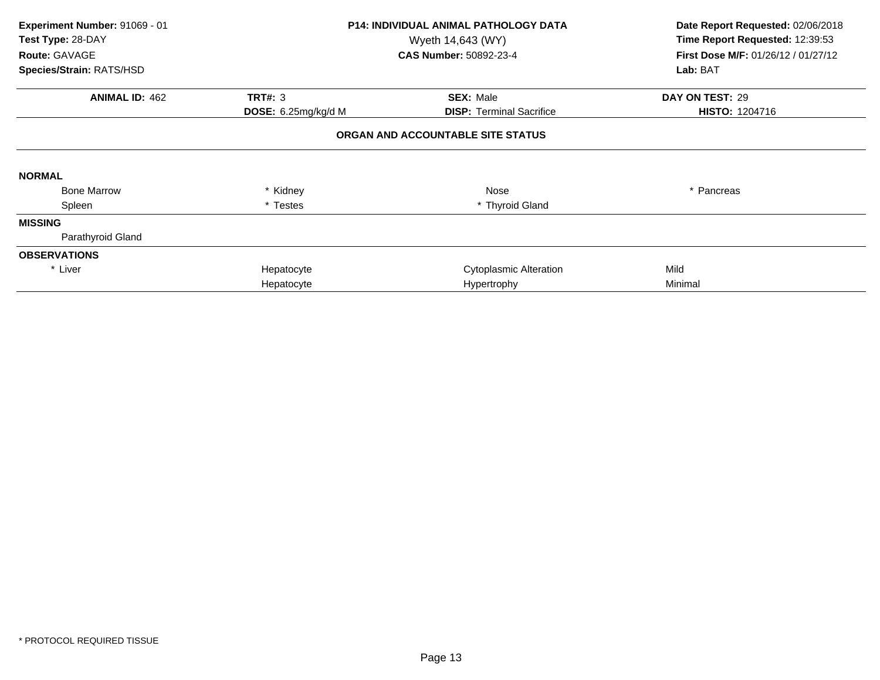| Experiment Number: 91069 - 01<br>Test Type: 28-DAY<br>Route: GAVAGE<br>Species/Strain: RATS/HSD |                              | <b>P14: INDIVIDUAL ANIMAL PATHOLOGY DATA</b><br>Wyeth 14,643 (WY)<br><b>CAS Number: 50892-23-4</b> | Date Report Requested: 02/06/2018<br>Time Report Requested: 12:39:53<br>First Dose M/F: 01/26/12 / 01/27/12<br>Lab: BAT |
|-------------------------------------------------------------------------------------------------|------------------------------|----------------------------------------------------------------------------------------------------|-------------------------------------------------------------------------------------------------------------------------|
| <b>ANIMAL ID: 462</b>                                                                           | <b>TRT#: 3</b>               | <b>SEX: Male</b>                                                                                   | DAY ON TEST: 29                                                                                                         |
|                                                                                                 | <b>DOSE:</b> $6.25mg/kg/d$ M | <b>DISP:</b> Terminal Sacrifice                                                                    | <b>HISTO: 1204716</b>                                                                                                   |
|                                                                                                 |                              | ORGAN AND ACCOUNTABLE SITE STATUS                                                                  |                                                                                                                         |
| <b>NORMAL</b>                                                                                   |                              |                                                                                                    |                                                                                                                         |
| <b>Bone Marrow</b>                                                                              | * Kidney                     | Nose                                                                                               | * Pancreas                                                                                                              |
| Spleen                                                                                          | * Testes                     | * Thyroid Gland                                                                                    |                                                                                                                         |
| <b>MISSING</b>                                                                                  |                              |                                                                                                    |                                                                                                                         |
| Parathyroid Gland                                                                               |                              |                                                                                                    |                                                                                                                         |
| <b>OBSERVATIONS</b>                                                                             |                              |                                                                                                    |                                                                                                                         |
| * Liver                                                                                         | Hepatocyte                   | <b>Cytoplasmic Alteration</b>                                                                      | Mild                                                                                                                    |
|                                                                                                 | Hepatocyte                   | Hypertrophy                                                                                        | Minimal                                                                                                                 |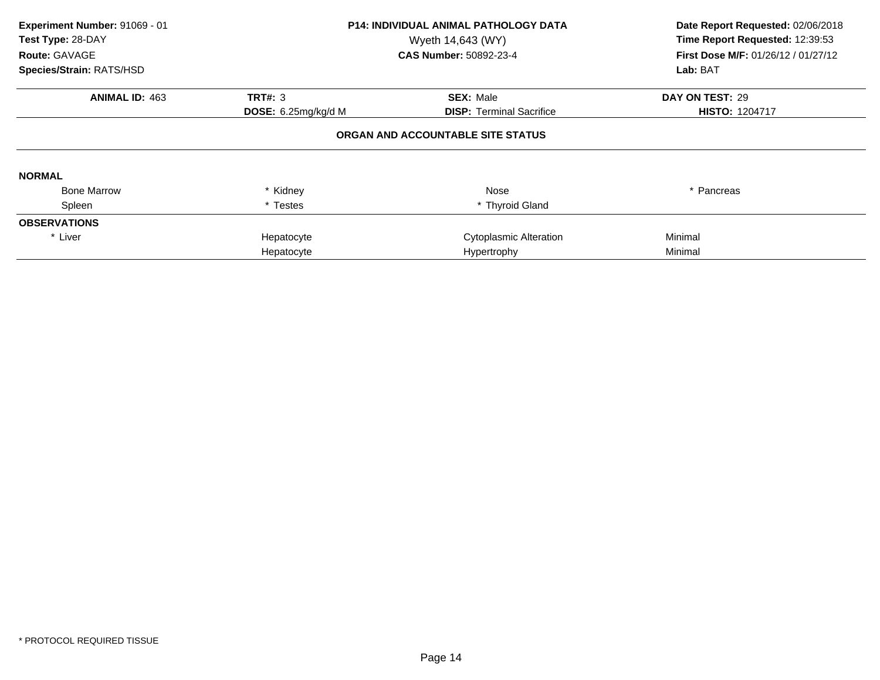| Experiment Number: 91069 - 01<br>Test Type: 28-DAY<br>Route: GAVAGE<br>Species/Strain: RATS/HSD |                                       | <b>P14: INDIVIDUAL ANIMAL PATHOLOGY DATA</b><br>Wyeth 14,643 (WY)<br>CAS Number: 50892-23-4 | Date Report Requested: 02/06/2018<br>Time Report Requested: 12:39:53<br><b>First Dose M/F: 01/26/12 / 01/27/12</b><br>Lab: BAT |
|-------------------------------------------------------------------------------------------------|---------------------------------------|---------------------------------------------------------------------------------------------|--------------------------------------------------------------------------------------------------------------------------------|
| <b>ANIMAL ID: 463</b>                                                                           |                                       |                                                                                             |                                                                                                                                |
|                                                                                                 | <b>TRT#: 3</b><br>DOSE: 6.25mg/kg/d M | <b>SEX: Male</b><br><b>DISP: Terminal Sacrifice</b>                                         | DAY ON TEST: 29<br><b>HISTO: 1204717</b>                                                                                       |
|                                                                                                 |                                       | ORGAN AND ACCOUNTABLE SITE STATUS                                                           |                                                                                                                                |
| <b>NORMAL</b>                                                                                   |                                       |                                                                                             |                                                                                                                                |
| <b>Bone Marrow</b>                                                                              | * Kidney                              | Nose                                                                                        | * Pancreas                                                                                                                     |
| Spleen                                                                                          | * Testes                              | * Thyroid Gland                                                                             |                                                                                                                                |
| <b>OBSERVATIONS</b>                                                                             |                                       |                                                                                             |                                                                                                                                |
| * Liver                                                                                         | Hepatocyte                            | <b>Cytoplasmic Alteration</b>                                                               | Minimal                                                                                                                        |
|                                                                                                 | Hepatocyte                            | Hypertrophy                                                                                 | Minimal                                                                                                                        |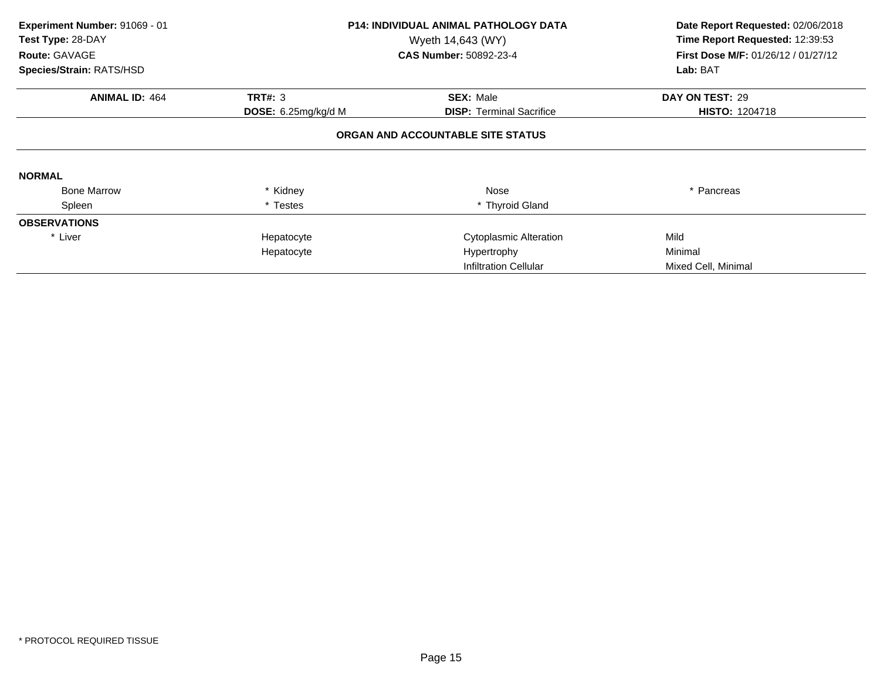| Experiment Number: 91069 - 01<br>Test Type: 28-DAY<br>Route: GAVAGE |                              | <b>P14: INDIVIDUAL ANIMAL PATHOLOGY DATA</b><br>Wyeth 14,643 (WY)<br><b>CAS Number: 50892-23-4</b> | Date Report Requested: 02/06/2018<br>Time Report Requested: 12:39:53<br>First Dose M/F: 01/26/12 / 01/27/12 |
|---------------------------------------------------------------------|------------------------------|----------------------------------------------------------------------------------------------------|-------------------------------------------------------------------------------------------------------------|
| Species/Strain: RATS/HSD                                            |                              |                                                                                                    | Lab: BAT                                                                                                    |
| <b>ANIMAL ID: 464</b>                                               | <b>TRT#: 3</b>               | <b>SEX: Male</b>                                                                                   | DAY ON TEST: 29                                                                                             |
|                                                                     | <b>DOSE:</b> $6.25mg/kg/d$ M | <b>DISP:</b> Terminal Sacrifice                                                                    | <b>HISTO: 1204718</b>                                                                                       |
|                                                                     |                              | ORGAN AND ACCOUNTABLE SITE STATUS                                                                  |                                                                                                             |
| <b>NORMAL</b>                                                       |                              |                                                                                                    |                                                                                                             |
| <b>Bone Marrow</b>                                                  | * Kidney                     | Nose                                                                                               | * Pancreas                                                                                                  |
| Spleen                                                              | * Testes                     | * Thyroid Gland                                                                                    |                                                                                                             |
| <b>OBSERVATIONS</b>                                                 |                              |                                                                                                    |                                                                                                             |
| * Liver                                                             | Hepatocyte                   | <b>Cytoplasmic Alteration</b>                                                                      | Mild                                                                                                        |
|                                                                     | Hepatocyte                   | Hypertrophy                                                                                        | Minimal                                                                                                     |
|                                                                     |                              | Infiltration Cellular                                                                              | Mixed Cell, Minimal                                                                                         |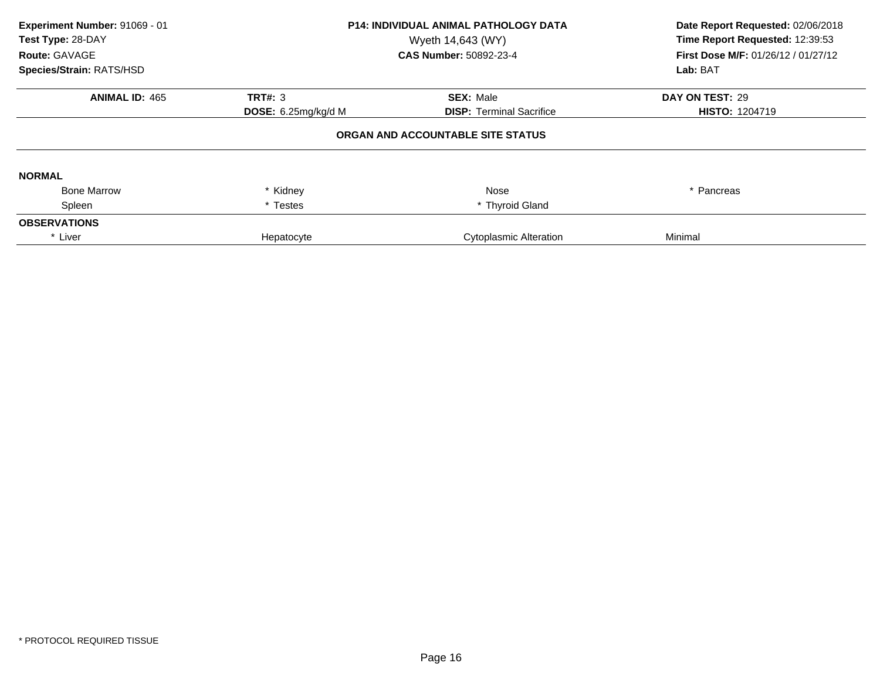| Experiment Number: 91069 - 01<br>Test Type: 28-DAY<br>Route: GAVAGE<br>Species/Strain: RATS/HSD | <b>P14: INDIVIDUAL ANIMAL PATHOLOGY DATA</b><br>Wyeth 14,643 (WY)<br><b>CAS Number: 50892-23-4</b> |                                   | Date Report Requested: 02/06/2018<br>Time Report Requested: 12:39:53<br>First Dose M/F: 01/26/12 / 01/27/12<br>Lab: BAT |
|-------------------------------------------------------------------------------------------------|----------------------------------------------------------------------------------------------------|-----------------------------------|-------------------------------------------------------------------------------------------------------------------------|
| <b>ANIMAL ID: 465</b>                                                                           | <b>TRT#: 3</b>                                                                                     | <b>SEX: Male</b>                  | DAY ON TEST: 29                                                                                                         |
|                                                                                                 | DOSE: 6.25mg/kg/d M                                                                                | <b>DISP: Terminal Sacrifice</b>   | <b>HISTO: 1204719</b>                                                                                                   |
|                                                                                                 |                                                                                                    | ORGAN AND ACCOUNTABLE SITE STATUS |                                                                                                                         |
| <b>NORMAL</b>                                                                                   |                                                                                                    |                                   |                                                                                                                         |
| <b>Bone Marrow</b>                                                                              | * Kidney                                                                                           | Nose                              | * Pancreas                                                                                                              |
| Spleen                                                                                          | * Testes                                                                                           | * Thyroid Gland                   |                                                                                                                         |
| <b>OBSERVATIONS</b>                                                                             |                                                                                                    |                                   |                                                                                                                         |
| * Liver                                                                                         | Hepatocyte                                                                                         | <b>Cytoplasmic Alteration</b>     | Minimal                                                                                                                 |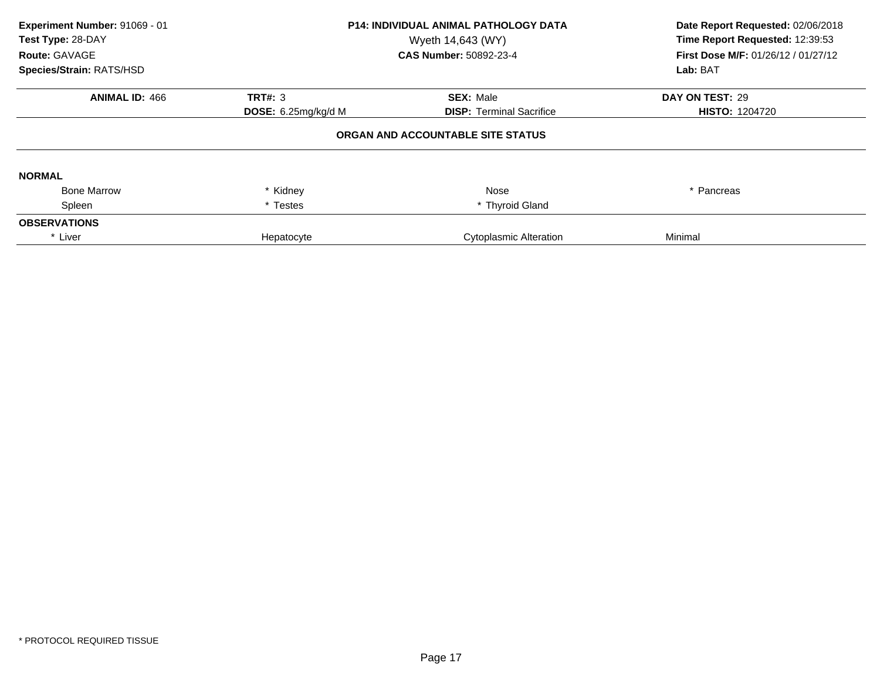| Experiment Number: 91069 - 01<br>Test Type: 28-DAY<br>Route: GAVAGE<br>Species/Strain: RATS/HSD | <b>P14: INDIVIDUAL ANIMAL PATHOLOGY DATA</b><br>Wyeth 14,643 (WY)<br><b>CAS Number: 50892-23-4</b> |                                                     | Date Report Requested: 02/06/2018<br>Time Report Requested: 12:39:53<br>First Dose M/F: 01/26/12 / 01/27/12<br>Lab: BAT |
|-------------------------------------------------------------------------------------------------|----------------------------------------------------------------------------------------------------|-----------------------------------------------------|-------------------------------------------------------------------------------------------------------------------------|
| <b>ANIMAL ID: 466</b>                                                                           | TRT#: 3<br><b>DOSE:</b> $6.25$ mg/kg/d M                                                           | <b>SEX: Male</b><br><b>DISP:</b> Terminal Sacrifice | DAY ON TEST: 29<br><b>HISTO: 1204720</b>                                                                                |
|                                                                                                 |                                                                                                    | ORGAN AND ACCOUNTABLE SITE STATUS                   |                                                                                                                         |
| <b>NORMAL</b>                                                                                   |                                                                                                    |                                                     |                                                                                                                         |
| <b>Bone Marrow</b>                                                                              | * Kidney                                                                                           | Nose                                                | * Pancreas                                                                                                              |
| Spleen                                                                                          | * Testes                                                                                           | * Thyroid Gland                                     |                                                                                                                         |
| <b>OBSERVATIONS</b>                                                                             |                                                                                                    |                                                     |                                                                                                                         |
| * Liver                                                                                         | Hepatocyte                                                                                         | <b>Cytoplasmic Alteration</b>                       | Minimal                                                                                                                 |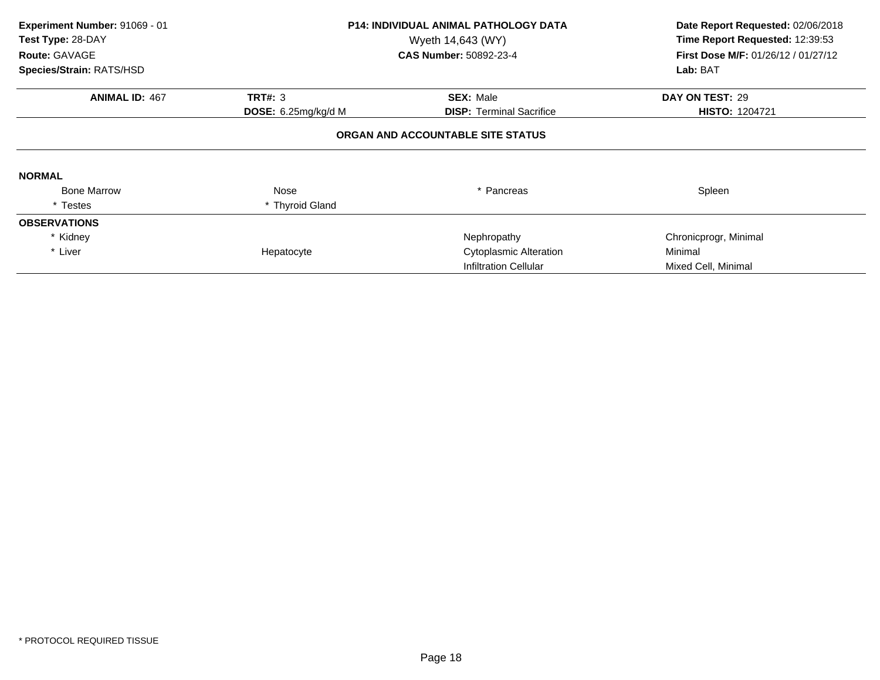| Experiment Number: 91069 - 01<br>Test Type: 28-DAY<br>Route: GAVAGE | <b>P14: INDIVIDUAL ANIMAL PATHOLOGY DATA</b><br>Wyeth 14,643 (WY)<br><b>CAS Number: 50892-23-4</b> |                                   | Date Report Requested: 02/06/2018<br>Time Report Requested: 12:39:53<br>First Dose M/F: 01/26/12 / 01/27/12 |
|---------------------------------------------------------------------|----------------------------------------------------------------------------------------------------|-----------------------------------|-------------------------------------------------------------------------------------------------------------|
| Species/Strain: RATS/HSD                                            |                                                                                                    |                                   | Lab: BAT                                                                                                    |
| <b>ANIMAL ID: 467</b>                                               | <b>TRT#: 3</b>                                                                                     | <b>SEX: Male</b>                  | DAY ON TEST: 29                                                                                             |
|                                                                     | <b>DOSE:</b> 6.25mg/kg/d M                                                                         | <b>DISP:</b> Terminal Sacrifice   | <b>HISTO: 1204721</b>                                                                                       |
|                                                                     |                                                                                                    | ORGAN AND ACCOUNTABLE SITE STATUS |                                                                                                             |
| <b>NORMAL</b>                                                       |                                                                                                    |                                   |                                                                                                             |
| <b>Bone Marrow</b>                                                  | Nose                                                                                               | * Pancreas                        | Spleen                                                                                                      |
| * Testes                                                            | * Thyroid Gland                                                                                    |                                   |                                                                                                             |
| <b>OBSERVATIONS</b>                                                 |                                                                                                    |                                   |                                                                                                             |
| * Kidney                                                            |                                                                                                    | Nephropathy                       | Chronicprogr, Minimal                                                                                       |
| * Liver                                                             | Hepatocyte                                                                                         | Cytoplasmic Alteration            | Minimal                                                                                                     |
|                                                                     |                                                                                                    | Infiltration Cellular             | Mixed Cell, Minimal                                                                                         |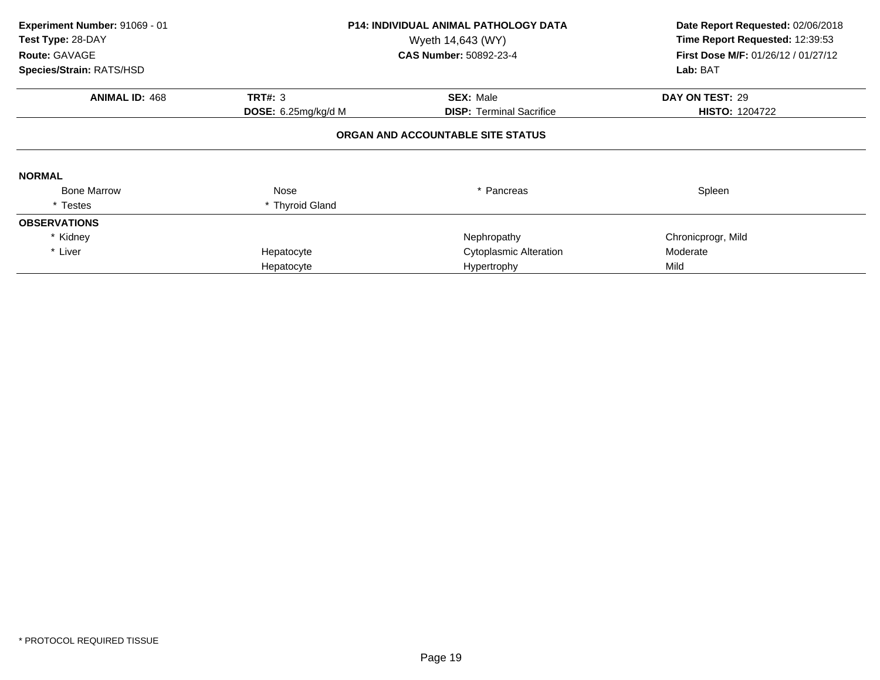| Experiment Number: 91069 - 01<br>Test Type: 28-DAY<br>Route: GAVAGE<br>Species/Strain: RATS/HSD |                     | <b>P14: INDIVIDUAL ANIMAL PATHOLOGY DATA</b><br>Wyeth 14,643 (WY)<br><b>CAS Number: 50892-23-4</b> | Date Report Requested: 02/06/2018<br>Time Report Requested: 12:39:53<br><b>First Dose M/F: 01/26/12 / 01/27/12</b><br>Lab: BAT |
|-------------------------------------------------------------------------------------------------|---------------------|----------------------------------------------------------------------------------------------------|--------------------------------------------------------------------------------------------------------------------------------|
| <b>ANIMAL ID: 468</b>                                                                           | <b>TRT#: 3</b>      | <b>SEX: Male</b>                                                                                   | DAY ON TEST: 29                                                                                                                |
|                                                                                                 | DOSE: 6.25mg/kg/d M | <b>DISP: Terminal Sacrifice</b>                                                                    | <b>HISTO: 1204722</b>                                                                                                          |
|                                                                                                 |                     | ORGAN AND ACCOUNTABLE SITE STATUS                                                                  |                                                                                                                                |
| <b>NORMAL</b>                                                                                   |                     |                                                                                                    |                                                                                                                                |
| <b>Bone Marrow</b>                                                                              | Nose                | * Pancreas                                                                                         | Spleen                                                                                                                         |
| * Testes                                                                                        | * Thyroid Gland     |                                                                                                    |                                                                                                                                |
| <b>OBSERVATIONS</b>                                                                             |                     |                                                                                                    |                                                                                                                                |
| * Kidney                                                                                        |                     | Nephropathy                                                                                        | Chronicprogr, Mild                                                                                                             |
| * Liver                                                                                         | Hepatocyte          | <b>Cytoplasmic Alteration</b>                                                                      | Moderate                                                                                                                       |
|                                                                                                 | Hepatocyte          | Hypertrophy                                                                                        | Mild                                                                                                                           |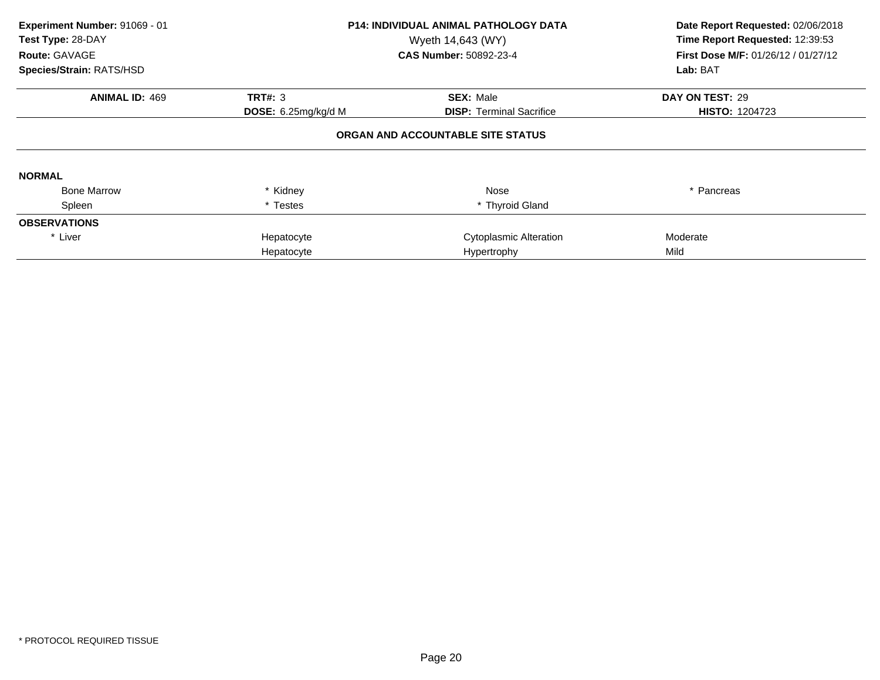| Experiment Number: 91069 - 01<br>Test Type: 28-DAY<br>Route: GAVAGE<br>Species/Strain: RATS/HSD |                            | <b>P14: INDIVIDUAL ANIMAL PATHOLOGY DATA</b><br>Wyeth 14,643 (WY)<br>CAS Number: 50892-23-4 | Date Report Requested: 02/06/2018<br>Time Report Requested: 12:39:53<br>First Dose M/F: 01/26/12 / 01/27/12<br>Lab: BAT |
|-------------------------------------------------------------------------------------------------|----------------------------|---------------------------------------------------------------------------------------------|-------------------------------------------------------------------------------------------------------------------------|
| <b>ANIMAL ID: 469</b>                                                                           | <b>TRT#: 3</b>             | <b>SEX: Male</b>                                                                            | DAY ON TEST: 29                                                                                                         |
|                                                                                                 | <b>DOSE:</b> 6.25mg/kg/d M | <b>DISP:</b> Terminal Sacrifice                                                             | <b>HISTO: 1204723</b>                                                                                                   |
|                                                                                                 |                            | ORGAN AND ACCOUNTABLE SITE STATUS                                                           |                                                                                                                         |
| <b>NORMAL</b>                                                                                   |                            |                                                                                             |                                                                                                                         |
| <b>Bone Marrow</b>                                                                              | * Kidney                   | Nose                                                                                        | * Pancreas                                                                                                              |
| Spleen                                                                                          | * Testes                   | * Thyroid Gland                                                                             |                                                                                                                         |
| <b>OBSERVATIONS</b>                                                                             |                            |                                                                                             |                                                                                                                         |
| * Liver                                                                                         | Hepatocyte                 | Cytoplasmic Alteration                                                                      | Moderate                                                                                                                |
|                                                                                                 | Hepatocyte                 | Hypertrophy                                                                                 | Mild                                                                                                                    |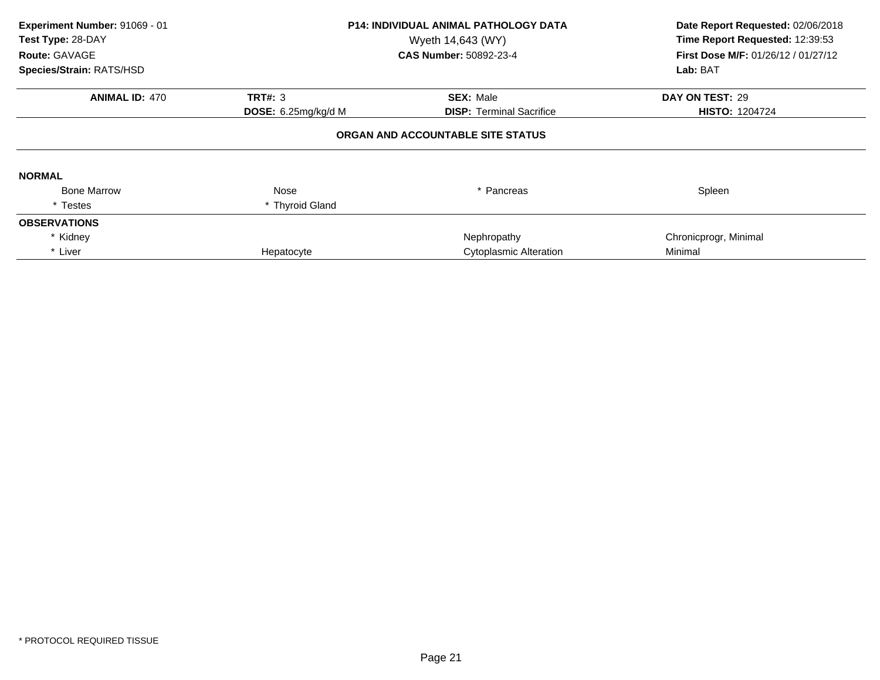| Experiment Number: 91069 - 01<br>Test Type: 28-DAY<br>Route: GAVAGE | <b>P14: INDIVIDUAL ANIMAL PATHOLOGY DATA</b><br>Wyeth 14,643 (WY)<br><b>CAS Number: 50892-23-4</b> |                                   | Date Report Requested: 02/06/2018<br>Time Report Requested: 12:39:53<br>First Dose M/F: 01/26/12 / 01/27/12 |
|---------------------------------------------------------------------|----------------------------------------------------------------------------------------------------|-----------------------------------|-------------------------------------------------------------------------------------------------------------|
| Species/Strain: RATS/HSD                                            |                                                                                                    |                                   | Lab: BAT                                                                                                    |
| <b>ANIMAL ID: 470</b>                                               | <b>TRT#: 3</b>                                                                                     | <b>SEX: Male</b>                  | DAY ON TEST: 29                                                                                             |
|                                                                     | <b>DOSE:</b> $6.25mg/kg/d$ M                                                                       | <b>DISP:</b> Terminal Sacrifice   | <b>HISTO: 1204724</b>                                                                                       |
|                                                                     |                                                                                                    | ORGAN AND ACCOUNTABLE SITE STATUS |                                                                                                             |
| <b>NORMAL</b>                                                       |                                                                                                    |                                   |                                                                                                             |
| <b>Bone Marrow</b>                                                  | Nose                                                                                               | * Pancreas                        | Spleen                                                                                                      |
| * Testes                                                            | * Thyroid Gland                                                                                    |                                   |                                                                                                             |
| <b>OBSERVATIONS</b>                                                 |                                                                                                    |                                   |                                                                                                             |
| * Kidney                                                            |                                                                                                    | Nephropathy                       | Chronicprogr, Minimal                                                                                       |
| * Liver                                                             | Hepatocyte                                                                                         | <b>Cytoplasmic Alteration</b>     | Minimal                                                                                                     |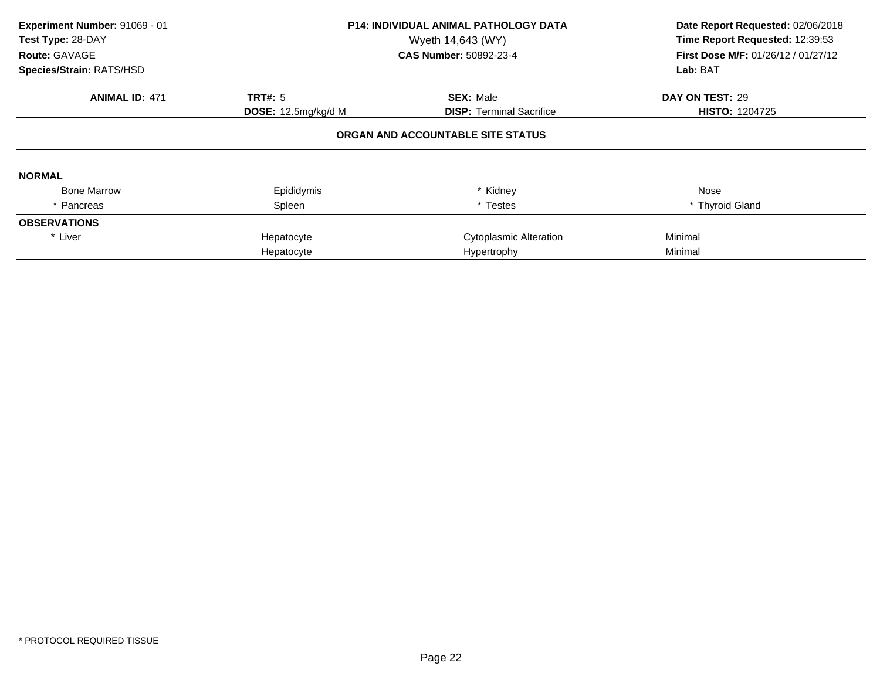| Experiment Number: 91069 - 01<br>Test Type: 28-DAY<br>Route: GAVAGE<br>Species/Strain: RATS/HSD | <b>P14: INDIVIDUAL ANIMAL PATHOLOGY DATA</b><br>Wyeth 14,643 (WY)<br><b>CAS Number: 50892-23-4</b> |                                   | Date Report Requested: 02/06/2018<br>Time Report Requested: 12:39:53<br><b>First Dose M/F: 01/26/12 / 01/27/12</b><br>Lab: BAT |
|-------------------------------------------------------------------------------------------------|----------------------------------------------------------------------------------------------------|-----------------------------------|--------------------------------------------------------------------------------------------------------------------------------|
|                                                                                                 |                                                                                                    |                                   |                                                                                                                                |
| <b>ANIMAL ID: 471</b>                                                                           | <b>TRT#: 5</b>                                                                                     | <b>SEX: Male</b>                  | DAY ON TEST: 29                                                                                                                |
|                                                                                                 | DOSE: 12.5mg/kg/d M                                                                                | <b>DISP:</b> Terminal Sacrifice   | <b>HISTO: 1204725</b>                                                                                                          |
| <b>NORMAL</b>                                                                                   |                                                                                                    | ORGAN AND ACCOUNTABLE SITE STATUS |                                                                                                                                |
| <b>Bone Marrow</b>                                                                              | Epididymis                                                                                         | * Kidney                          | Nose                                                                                                                           |
| * Pancreas                                                                                      | Spleen                                                                                             | * Testes                          | * Thyroid Gland                                                                                                                |
| <b>OBSERVATIONS</b>                                                                             |                                                                                                    |                                   |                                                                                                                                |
| * Liver                                                                                         | Hepatocyte                                                                                         | Cytoplasmic Alteration            | Minimal                                                                                                                        |
|                                                                                                 | Hepatocyte                                                                                         | Hypertrophy                       | Minimal                                                                                                                        |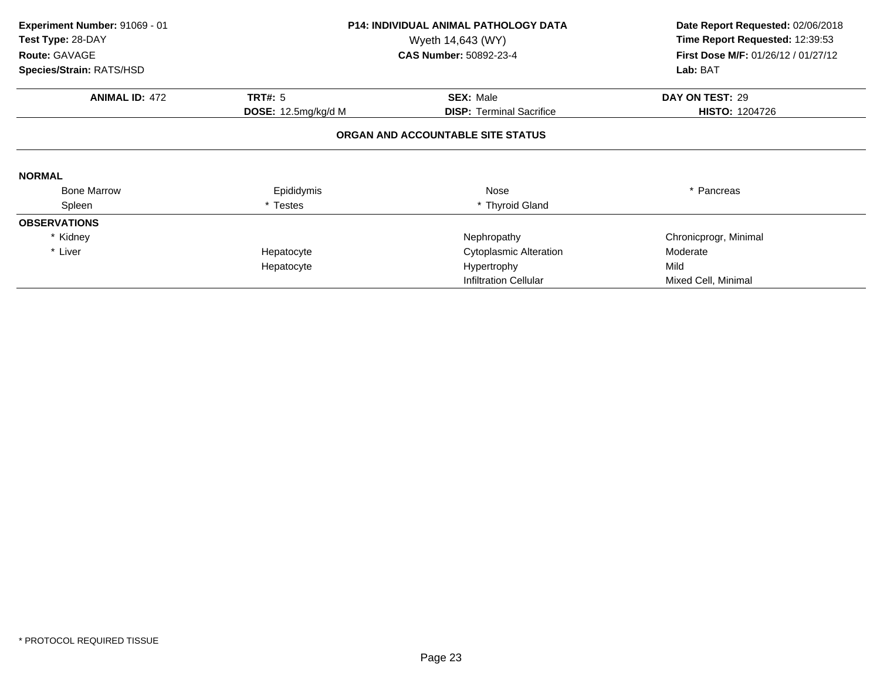| Experiment Number: 91069 - 01<br>Test Type: 28-DAY<br>Route: GAVAGE<br>Species/Strain: RATS/HSD |                     | <b>P14: INDIVIDUAL ANIMAL PATHOLOGY DATA</b><br>Wyeth 14,643 (WY)<br><b>CAS Number: 50892-23-4</b> | Date Report Requested: 02/06/2018<br>Time Report Requested: 12:39:53<br>First Dose M/F: 01/26/12 / 01/27/12<br>Lab: BAT |
|-------------------------------------------------------------------------------------------------|---------------------|----------------------------------------------------------------------------------------------------|-------------------------------------------------------------------------------------------------------------------------|
| <b>ANIMAL ID: 472</b>                                                                           | <b>TRT#: 5</b>      | <b>SEX: Male</b>                                                                                   | DAY ON TEST: 29                                                                                                         |
|                                                                                                 | DOSE: 12.5mg/kg/d M | <b>DISP:</b> Terminal Sacrifice                                                                    | <b>HISTO: 1204726</b>                                                                                                   |
|                                                                                                 |                     | ORGAN AND ACCOUNTABLE SITE STATUS                                                                  |                                                                                                                         |
| <b>NORMAL</b>                                                                                   |                     |                                                                                                    |                                                                                                                         |
| <b>Bone Marrow</b>                                                                              | Epididymis          | Nose                                                                                               | * Pancreas                                                                                                              |
| Spleen                                                                                          | <b>Testes</b>       | * Thyroid Gland                                                                                    |                                                                                                                         |
| <b>OBSERVATIONS</b>                                                                             |                     |                                                                                                    |                                                                                                                         |
| * Kidney                                                                                        |                     | Nephropathy                                                                                        | Chronicprogr, Minimal                                                                                                   |
| * Liver                                                                                         | Hepatocyte          | Cytoplasmic Alteration                                                                             | Moderate                                                                                                                |
|                                                                                                 | Hepatocyte          | Hypertrophy                                                                                        | Mild                                                                                                                    |
|                                                                                                 |                     | <b>Infiltration Cellular</b>                                                                       | Mixed Cell, Minimal                                                                                                     |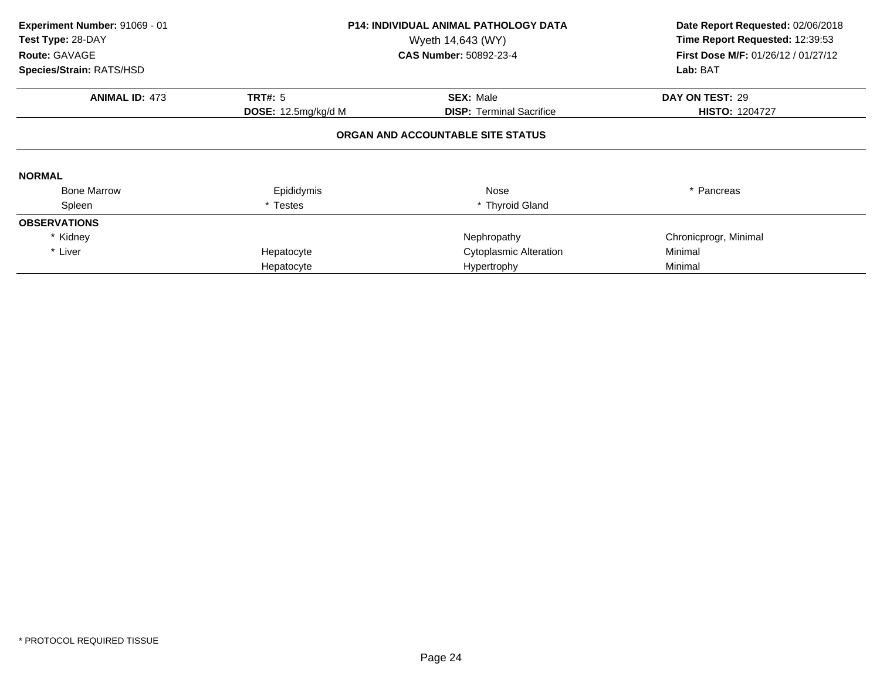| Experiment Number: 91069 - 01<br>Test Type: 28-DAY<br>Route: GAVAGE | <b>P14: INDIVIDUAL ANIMAL PATHOLOGY DATA</b><br>Wyeth 14,643 (WY)<br><b>CAS Number: 50892-23-4</b> |                                   | Date Report Requested: 02/06/2018<br>Time Report Requested: 12:39:53<br><b>First Dose M/F: 01/26/12 / 01/27/12</b> |  |
|---------------------------------------------------------------------|----------------------------------------------------------------------------------------------------|-----------------------------------|--------------------------------------------------------------------------------------------------------------------|--|
| Species/Strain: RATS/HSD                                            |                                                                                                    |                                   | Lab: BAT                                                                                                           |  |
| <b>ANIMAL ID: 473</b>                                               | <b>TRT#: 5</b>                                                                                     | <b>SEX: Male</b>                  | DAY ON TEST: 29                                                                                                    |  |
|                                                                     | DOSE: 12.5mg/kg/d M                                                                                | <b>DISP:</b> Terminal Sacrifice   | <b>HISTO: 1204727</b>                                                                                              |  |
|                                                                     |                                                                                                    | ORGAN AND ACCOUNTABLE SITE STATUS |                                                                                                                    |  |
| <b>NORMAL</b>                                                       |                                                                                                    |                                   |                                                                                                                    |  |
| <b>Bone Marrow</b>                                                  | Epididymis                                                                                         | Nose                              | * Pancreas                                                                                                         |  |
| Spleen                                                              | * Testes                                                                                           | * Thyroid Gland                   |                                                                                                                    |  |
| <b>OBSERVATIONS</b>                                                 |                                                                                                    |                                   |                                                                                                                    |  |
| * Kidney                                                            |                                                                                                    | Nephropathy                       | Chronicprogr, Minimal                                                                                              |  |
| * Liver                                                             | Hepatocyte                                                                                         | <b>Cytoplasmic Alteration</b>     | Minimal                                                                                                            |  |
|                                                                     | Hepatocyte                                                                                         | Hypertrophy                       | Minimal                                                                                                            |  |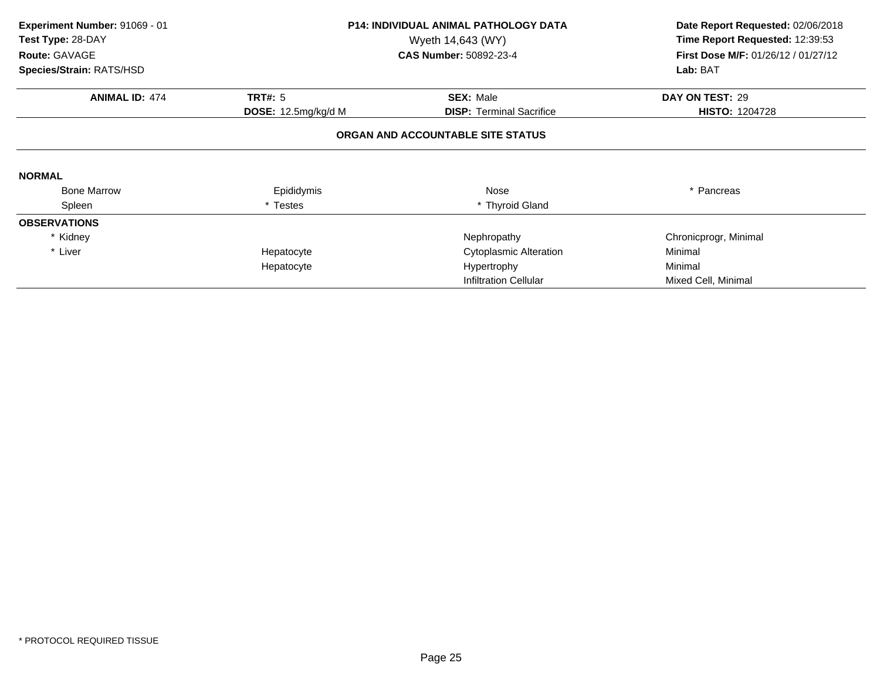| Experiment Number: 91069 - 01<br>Test Type: 28-DAY<br>Route: GAVAGE<br>Species/Strain: RATS/HSD |                     | <b>P14: INDIVIDUAL ANIMAL PATHOLOGY DATA</b><br>Wyeth 14,643 (WY)<br><b>CAS Number: 50892-23-4</b> | Date Report Requested: 02/06/2018<br>Time Report Requested: 12:39:53<br>First Dose M/F: 01/26/12 / 01/27/12<br>Lab: BAT |
|-------------------------------------------------------------------------------------------------|---------------------|----------------------------------------------------------------------------------------------------|-------------------------------------------------------------------------------------------------------------------------|
| <b>ANIMAL ID: 474</b>                                                                           | <b>TRT#: 5</b>      | <b>SEX: Male</b>                                                                                   | DAY ON TEST: 29                                                                                                         |
|                                                                                                 | DOSE: 12.5mg/kg/d M | <b>DISP:</b> Terminal Sacrifice                                                                    | <b>HISTO: 1204728</b>                                                                                                   |
|                                                                                                 |                     | ORGAN AND ACCOUNTABLE SITE STATUS                                                                  |                                                                                                                         |
| <b>NORMAL</b>                                                                                   |                     |                                                                                                    |                                                                                                                         |
| <b>Bone Marrow</b>                                                                              | Epididymis          | Nose                                                                                               | * Pancreas                                                                                                              |
| Spleen                                                                                          | Testes              | * Thyroid Gland                                                                                    |                                                                                                                         |
| <b>OBSERVATIONS</b>                                                                             |                     |                                                                                                    |                                                                                                                         |
| * Kidney                                                                                        |                     | Nephropathy                                                                                        | Chronicprogr, Minimal                                                                                                   |
| * Liver                                                                                         | Hepatocyte          | <b>Cytoplasmic Alteration</b>                                                                      | Minimal                                                                                                                 |
|                                                                                                 | Hepatocyte          | Hypertrophy                                                                                        | Minimal                                                                                                                 |
|                                                                                                 |                     | <b>Infiltration Cellular</b>                                                                       | Mixed Cell, Minimal                                                                                                     |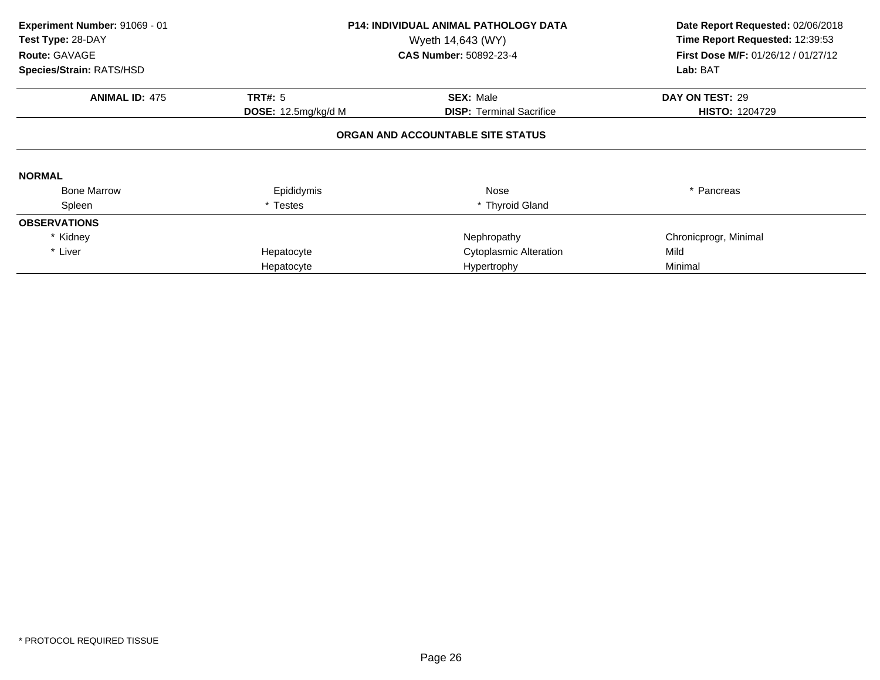| Experiment Number: 91069 - 01<br>Test Type: 28-DAY<br>Route: GAVAGE | <b>P14: INDIVIDUAL ANIMAL PATHOLOGY DATA</b><br>Wyeth 14,643 (WY)<br><b>CAS Number: 50892-23-4</b> |                                   | Date Report Requested: 02/06/2018<br>Time Report Requested: 12:39:53<br><b>First Dose M/F: 01/26/12 / 01/27/12</b> |  |
|---------------------------------------------------------------------|----------------------------------------------------------------------------------------------------|-----------------------------------|--------------------------------------------------------------------------------------------------------------------|--|
| Species/Strain: RATS/HSD                                            |                                                                                                    |                                   | Lab: BAT                                                                                                           |  |
| <b>ANIMAL ID: 475</b>                                               | <b>TRT#: 5</b>                                                                                     | <b>SEX: Male</b>                  | DAY ON TEST: 29                                                                                                    |  |
|                                                                     | DOSE: 12.5mg/kg/d M                                                                                | <b>DISP:</b> Terminal Sacrifice   | <b>HISTO: 1204729</b>                                                                                              |  |
|                                                                     |                                                                                                    | ORGAN AND ACCOUNTABLE SITE STATUS |                                                                                                                    |  |
| <b>NORMAL</b>                                                       |                                                                                                    |                                   |                                                                                                                    |  |
| <b>Bone Marrow</b>                                                  | Epididymis                                                                                         | Nose                              | * Pancreas                                                                                                         |  |
| Spleen                                                              | * Testes                                                                                           | * Thyroid Gland                   |                                                                                                                    |  |
| <b>OBSERVATIONS</b>                                                 |                                                                                                    |                                   |                                                                                                                    |  |
| * Kidney                                                            |                                                                                                    | Nephropathy                       | Chronicprogr, Minimal                                                                                              |  |
| * Liver                                                             | Hepatocyte                                                                                         | <b>Cytoplasmic Alteration</b>     | Mild                                                                                                               |  |
|                                                                     | Hepatocyte                                                                                         | Hypertrophy                       | Minimal                                                                                                            |  |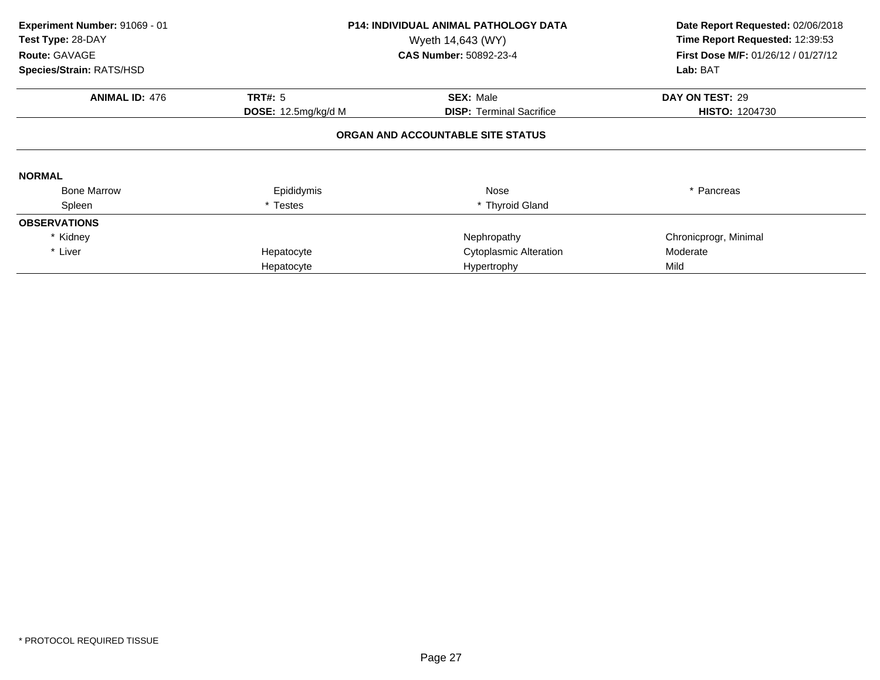| Experiment Number: 91069 - 01<br>Test Type: 28-DAY<br>Route: GAVAGE | <b>P14: INDIVIDUAL ANIMAL PATHOLOGY DATA</b><br>Wyeth 14,643 (WY)<br><b>CAS Number: 50892-23-4</b> |                                   | Date Report Requested: 02/06/2018<br>Time Report Requested: 12:39:53<br><b>First Dose M/F: 01/26/12 / 01/27/12</b> |  |
|---------------------------------------------------------------------|----------------------------------------------------------------------------------------------------|-----------------------------------|--------------------------------------------------------------------------------------------------------------------|--|
| Species/Strain: RATS/HSD                                            |                                                                                                    |                                   | Lab: BAT                                                                                                           |  |
| <b>ANIMAL ID: 476</b>                                               | <b>TRT#: 5</b>                                                                                     | <b>SEX: Male</b>                  | DAY ON TEST: 29                                                                                                    |  |
|                                                                     | DOSE: 12.5mg/kg/d M                                                                                | <b>DISP:</b> Terminal Sacrifice   | <b>HISTO: 1204730</b>                                                                                              |  |
|                                                                     |                                                                                                    | ORGAN AND ACCOUNTABLE SITE STATUS |                                                                                                                    |  |
| <b>NORMAL</b>                                                       |                                                                                                    |                                   |                                                                                                                    |  |
| <b>Bone Marrow</b>                                                  | Epididymis                                                                                         | Nose                              | * Pancreas                                                                                                         |  |
| Spleen                                                              | * Testes                                                                                           | * Thyroid Gland                   |                                                                                                                    |  |
| <b>OBSERVATIONS</b>                                                 |                                                                                                    |                                   |                                                                                                                    |  |
| * Kidney                                                            |                                                                                                    | Nephropathy                       | Chronicprogr, Minimal                                                                                              |  |
| * Liver                                                             | Hepatocyte                                                                                         | <b>Cytoplasmic Alteration</b>     | Moderate                                                                                                           |  |
|                                                                     | Hepatocyte                                                                                         | Hypertrophy                       | Mild                                                                                                               |  |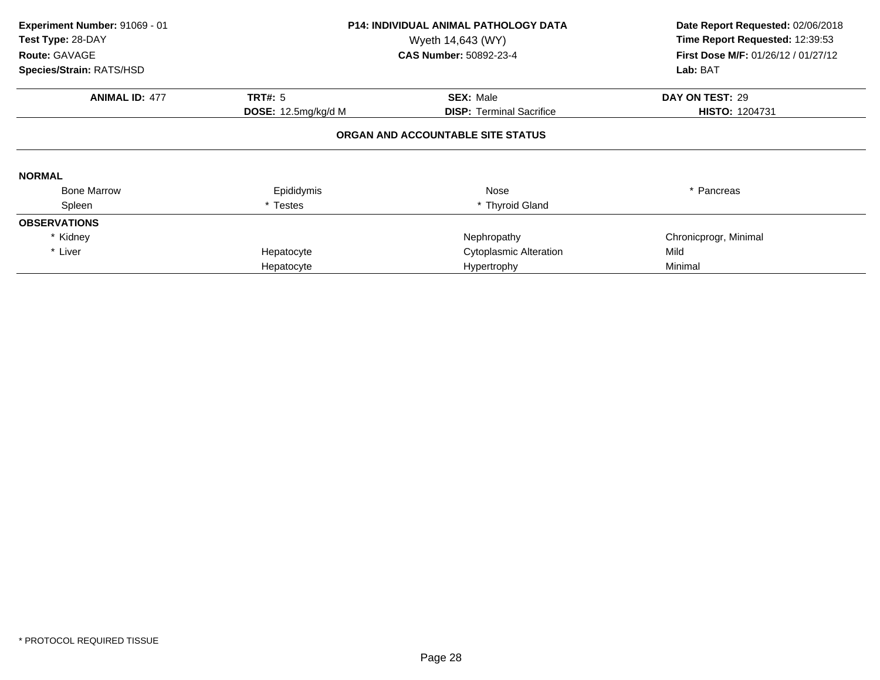| Experiment Number: 91069 - 01<br>Test Type: 28-DAY<br>Route: GAVAGE | <b>P14: INDIVIDUAL ANIMAL PATHOLOGY DATA</b><br>Wyeth 14,643 (WY)<br><b>CAS Number: 50892-23-4</b> |                                   | Date Report Requested: 02/06/2018<br>Time Report Requested: 12:39:53<br><b>First Dose M/F: 01/26/12 / 01/27/12</b> |  |
|---------------------------------------------------------------------|----------------------------------------------------------------------------------------------------|-----------------------------------|--------------------------------------------------------------------------------------------------------------------|--|
| Species/Strain: RATS/HSD                                            |                                                                                                    |                                   | Lab: BAT                                                                                                           |  |
| <b>ANIMAL ID: 477</b>                                               | <b>TRT#: 5</b>                                                                                     | <b>SEX: Male</b>                  | DAY ON TEST: 29                                                                                                    |  |
|                                                                     | <b>DOSE:</b> 12.5mg/kg/d M                                                                         | <b>DISP:</b> Terminal Sacrifice   | <b>HISTO: 1204731</b>                                                                                              |  |
|                                                                     |                                                                                                    | ORGAN AND ACCOUNTABLE SITE STATUS |                                                                                                                    |  |
| <b>NORMAL</b>                                                       |                                                                                                    |                                   |                                                                                                                    |  |
| <b>Bone Marrow</b>                                                  | Epididymis                                                                                         | Nose                              | * Pancreas                                                                                                         |  |
| Spleen                                                              | * Testes                                                                                           | * Thyroid Gland                   |                                                                                                                    |  |
| <b>OBSERVATIONS</b>                                                 |                                                                                                    |                                   |                                                                                                                    |  |
| * Kidney                                                            |                                                                                                    | Nephropathy                       | Chronicprogr, Minimal                                                                                              |  |
| * Liver                                                             | Hepatocyte                                                                                         | <b>Cytoplasmic Alteration</b>     | Mild                                                                                                               |  |
|                                                                     | Hepatocyte                                                                                         | Hypertrophy                       | Minimal                                                                                                            |  |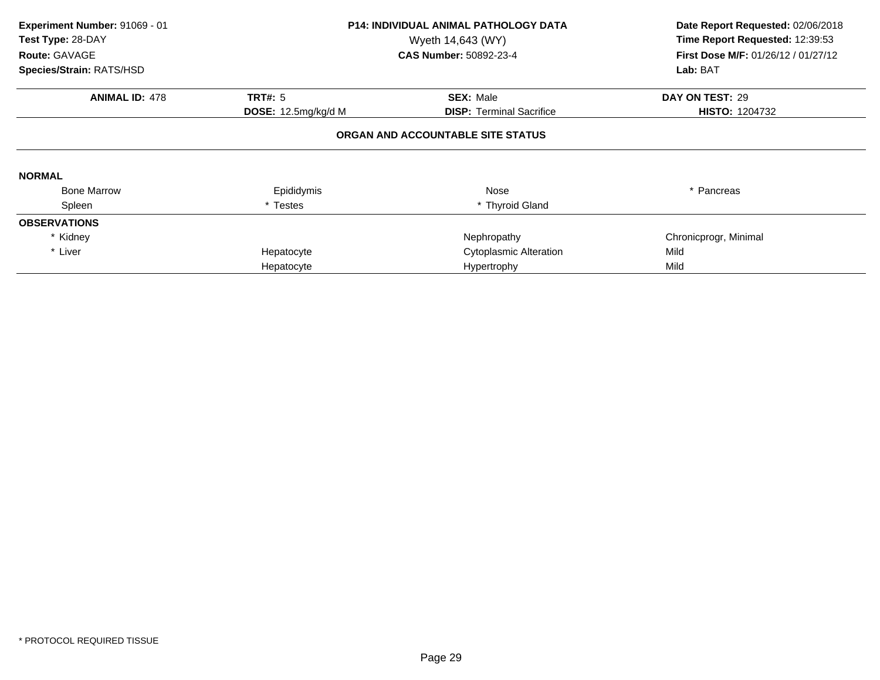| Experiment Number: 91069 - 01<br>Test Type: 28-DAY<br>Route: GAVAGE | <b>P14: INDIVIDUAL ANIMAL PATHOLOGY DATA</b><br>Wyeth 14,643 (WY)<br><b>CAS Number: 50892-23-4</b> |                                   | Date Report Requested: 02/06/2018<br>Time Report Requested: 12:39:53<br><b>First Dose M/F: 01/26/12 / 01/27/12</b> |
|---------------------------------------------------------------------|----------------------------------------------------------------------------------------------------|-----------------------------------|--------------------------------------------------------------------------------------------------------------------|
| Species/Strain: RATS/HSD                                            |                                                                                                    |                                   | Lab: BAT                                                                                                           |
| <b>ANIMAL ID: 478</b>                                               | <b>TRT#: 5</b>                                                                                     | <b>SEX: Male</b>                  | DAY ON TEST: 29                                                                                                    |
|                                                                     | DOSE: 12.5mg/kg/d M                                                                                | <b>DISP: Terminal Sacrifice</b>   | <b>HISTO: 1204732</b>                                                                                              |
|                                                                     |                                                                                                    | ORGAN AND ACCOUNTABLE SITE STATUS |                                                                                                                    |
| <b>NORMAL</b>                                                       |                                                                                                    |                                   |                                                                                                                    |
| <b>Bone Marrow</b>                                                  | Epididymis                                                                                         | Nose                              | * Pancreas                                                                                                         |
| Spleen                                                              | * Testes                                                                                           | * Thyroid Gland                   |                                                                                                                    |
| <b>OBSERVATIONS</b>                                                 |                                                                                                    |                                   |                                                                                                                    |
| * Kidney                                                            |                                                                                                    | Nephropathy                       | Chronicprogr, Minimal                                                                                              |
| * Liver                                                             | Hepatocyte                                                                                         | <b>Cytoplasmic Alteration</b>     | Mild                                                                                                               |
|                                                                     | Hepatocyte                                                                                         | Hypertrophy                       | Mild                                                                                                               |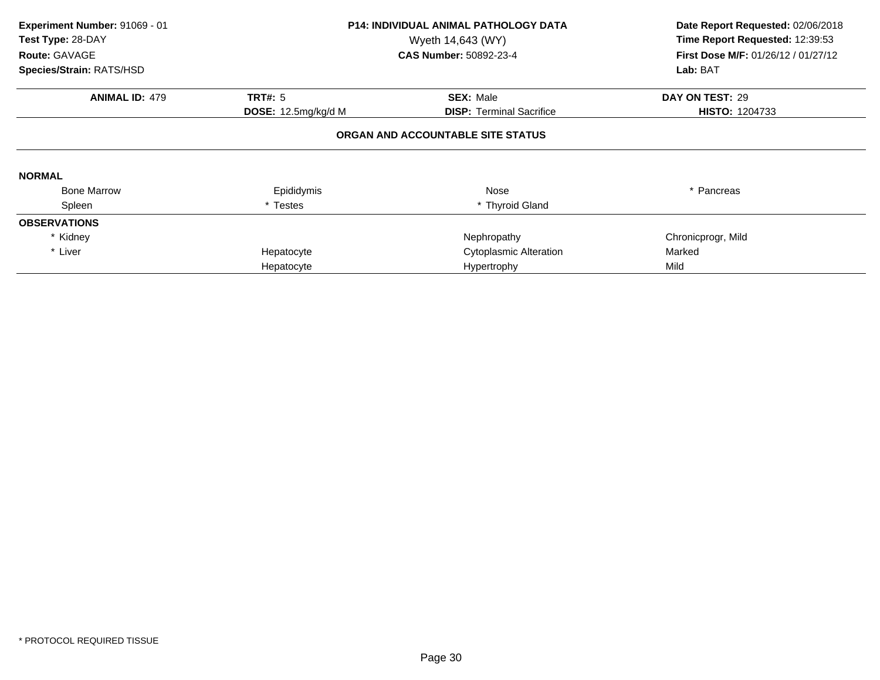| Experiment Number: 91069 - 01<br>Test Type: 28-DAY<br>Route: GAVAGE | <b>P14: INDIVIDUAL ANIMAL PATHOLOGY DATA</b><br>Wyeth 14,643 (WY)<br><b>CAS Number: 50892-23-4</b> |                                 | Date Report Requested: 02/06/2018<br>Time Report Requested: 12:39:53<br><b>First Dose M/F: 01/26/12 / 01/27/12</b> |  |  |  |
|---------------------------------------------------------------------|----------------------------------------------------------------------------------------------------|---------------------------------|--------------------------------------------------------------------------------------------------------------------|--|--|--|
| Species/Strain: RATS/HSD                                            |                                                                                                    |                                 | Lab: BAT                                                                                                           |  |  |  |
| <b>ANIMAL ID: 479</b>                                               | <b>TRT#: 5</b>                                                                                     | <b>SEX: Male</b>                | DAY ON TEST: 29                                                                                                    |  |  |  |
|                                                                     | <b>DOSE:</b> 12.5mg/kg/d M                                                                         | <b>DISP:</b> Terminal Sacrifice | <b>HISTO: 1204733</b>                                                                                              |  |  |  |
| ORGAN AND ACCOUNTABLE SITE STATUS                                   |                                                                                                    |                                 |                                                                                                                    |  |  |  |
| <b>NORMAL</b>                                                       |                                                                                                    |                                 |                                                                                                                    |  |  |  |
| <b>Bone Marrow</b>                                                  | Epididymis                                                                                         | Nose                            | * Pancreas                                                                                                         |  |  |  |
| Spleen                                                              | * Testes                                                                                           | * Thyroid Gland                 |                                                                                                                    |  |  |  |
| <b>OBSERVATIONS</b>                                                 |                                                                                                    |                                 |                                                                                                                    |  |  |  |
| * Kidney                                                            |                                                                                                    | Nephropathy                     | Chronicprogr, Mild                                                                                                 |  |  |  |
| * Liver                                                             | Hepatocyte                                                                                         | <b>Cytoplasmic Alteration</b>   | Marked                                                                                                             |  |  |  |
|                                                                     | Hepatocyte                                                                                         | Hypertrophy                     | Mild                                                                                                               |  |  |  |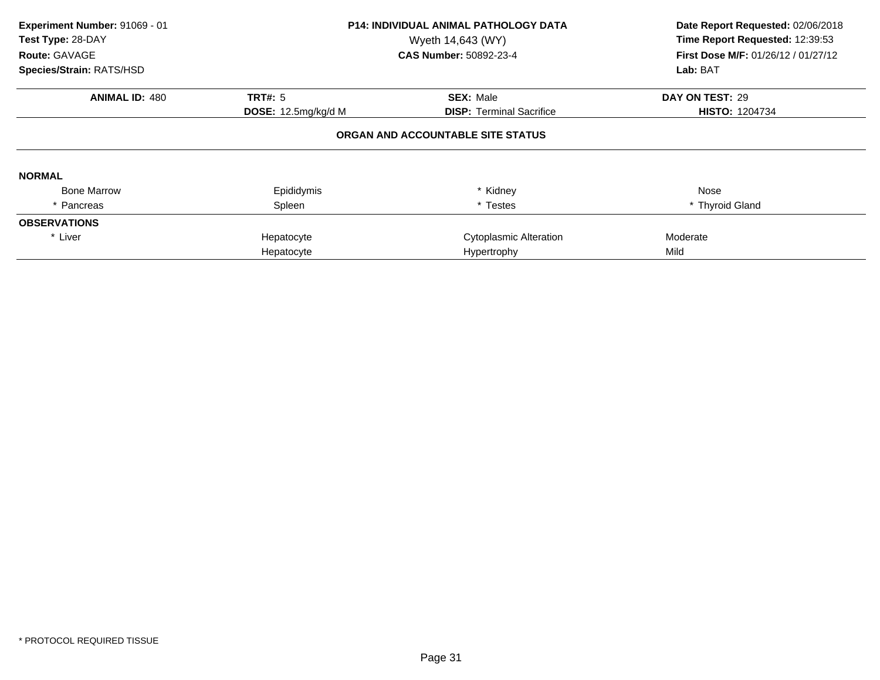| Experiment Number: 91069 - 01<br>Test Type: 28-DAY<br>Route: GAVAGE<br>Species/Strain: RATS/HSD |                     | <b>P14: INDIVIDUAL ANIMAL PATHOLOGY DATA</b><br>Wyeth 14,643 (WY)<br><b>CAS Number: 50892-23-4</b> | Date Report Requested: 02/06/2018<br>Time Report Requested: 12:39:53<br><b>First Dose M/F: 01/26/12 / 01/27/12</b><br>Lab: BAT |
|-------------------------------------------------------------------------------------------------|---------------------|----------------------------------------------------------------------------------------------------|--------------------------------------------------------------------------------------------------------------------------------|
| <b>ANIMAL ID: 480</b>                                                                           | <b>TRT#: 5</b>      | <b>SEX: Male</b>                                                                                   | DAY ON TEST: 29                                                                                                                |
|                                                                                                 | DOSE: 12.5mg/kg/d M | <b>DISP: Terminal Sacrifice</b>                                                                    | <b>HISTO: 1204734</b>                                                                                                          |
|                                                                                                 |                     | ORGAN AND ACCOUNTABLE SITE STATUS                                                                  |                                                                                                                                |
| <b>NORMAL</b>                                                                                   |                     |                                                                                                    |                                                                                                                                |
| <b>Bone Marrow</b>                                                                              | Epididymis          | * Kidney                                                                                           | Nose                                                                                                                           |
| Pancreas                                                                                        | Spleen              | * Testes                                                                                           | * Thyroid Gland                                                                                                                |
| <b>OBSERVATIONS</b>                                                                             |                     |                                                                                                    |                                                                                                                                |
| * Liver                                                                                         | Hepatocyte          | Cytoplasmic Alteration                                                                             | Moderate                                                                                                                       |
|                                                                                                 | Hepatocyte          | Hypertrophy                                                                                        | Mild                                                                                                                           |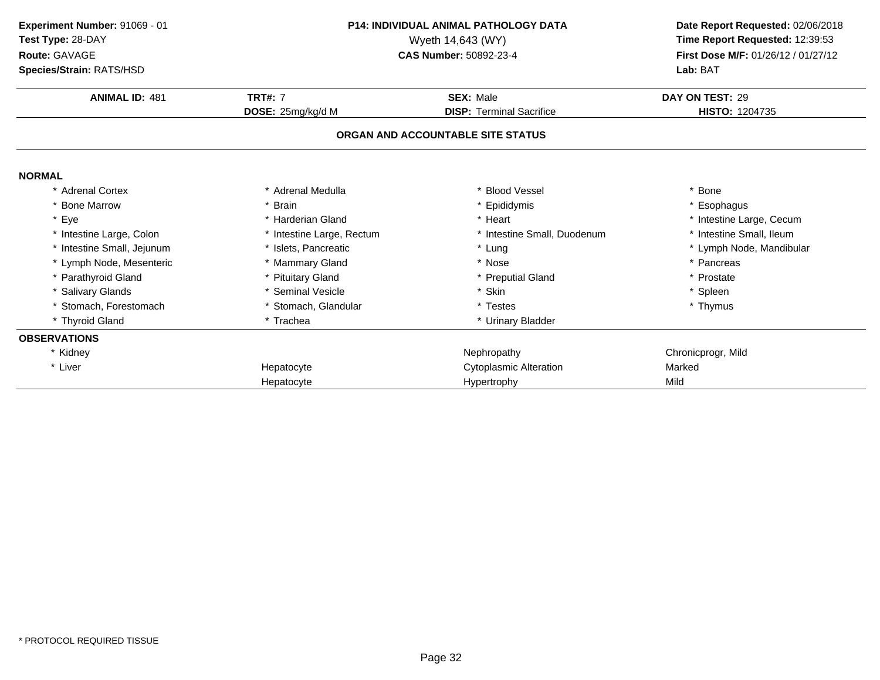| Experiment Number: 91069 - 01<br>Test Type: 28-DAY<br>Route: GAVAGE<br>Species/Strain: RATS/HSD |                           | <b>P14: INDIVIDUAL ANIMAL PATHOLOGY DATA</b><br>Wyeth 14,643 (WY)<br>CAS Number: 50892-23-4 | Date Report Requested: 02/06/2018<br>Time Report Requested: 12:39:53<br>First Dose M/F: 01/26/12 / 01/27/12<br>Lab: BAT |
|-------------------------------------------------------------------------------------------------|---------------------------|---------------------------------------------------------------------------------------------|-------------------------------------------------------------------------------------------------------------------------|
| <b>ANIMAL ID: 481</b>                                                                           | <b>TRT#: 7</b>            | <b>SEX: Male</b>                                                                            | DAY ON TEST: 29                                                                                                         |
|                                                                                                 | DOSE: 25mg/kg/d M         | <b>DISP: Terminal Sacrifice</b>                                                             | <b>HISTO: 1204735</b>                                                                                                   |
|                                                                                                 |                           | ORGAN AND ACCOUNTABLE SITE STATUS                                                           |                                                                                                                         |
| <b>NORMAL</b>                                                                                   |                           |                                                                                             |                                                                                                                         |
| * Adrenal Cortex                                                                                | * Adrenal Medulla         | * Blood Vessel                                                                              | * Bone                                                                                                                  |
| * Bone Marrow                                                                                   | * Brain                   | * Epididymis                                                                                | Esophagus                                                                                                               |
| Eye<br>$\star$                                                                                  | * Harderian Gland         | * Heart                                                                                     | * Intestine Large, Cecum                                                                                                |
| Intestine Large, Colon                                                                          | * Intestine Large, Rectum | * Intestine Small, Duodenum                                                                 | * Intestine Small, Ileum                                                                                                |
| Intestine Small, Jejunum                                                                        | Islets, Pancreatic        | * Lung                                                                                      | * Lymph Node, Mandibular                                                                                                |
| * Lymph Node, Mesenteric                                                                        | * Mammary Gland           | * Nose                                                                                      | * Pancreas                                                                                                              |
| * Parathyroid Gland                                                                             | * Pituitary Gland         | * Preputial Gland                                                                           | * Prostate                                                                                                              |
| * Salivary Glands                                                                               | * Seminal Vesicle         | * Skin                                                                                      | * Spleen                                                                                                                |
| * Stomach, Forestomach                                                                          | * Stomach, Glandular      | * Testes                                                                                    | * Thymus                                                                                                                |
| * Thyroid Gland                                                                                 | * Trachea                 | * Urinary Bladder                                                                           |                                                                                                                         |
| <b>OBSERVATIONS</b>                                                                             |                           |                                                                                             |                                                                                                                         |
| * Kidney                                                                                        |                           | Nephropathy                                                                                 | Chronicprogr, Mild                                                                                                      |
| * Liver                                                                                         | Hepatocyte                | <b>Cytoplasmic Alteration</b>                                                               | Marked                                                                                                                  |
|                                                                                                 | Hepatocyte                | Hypertrophy                                                                                 | Mild                                                                                                                    |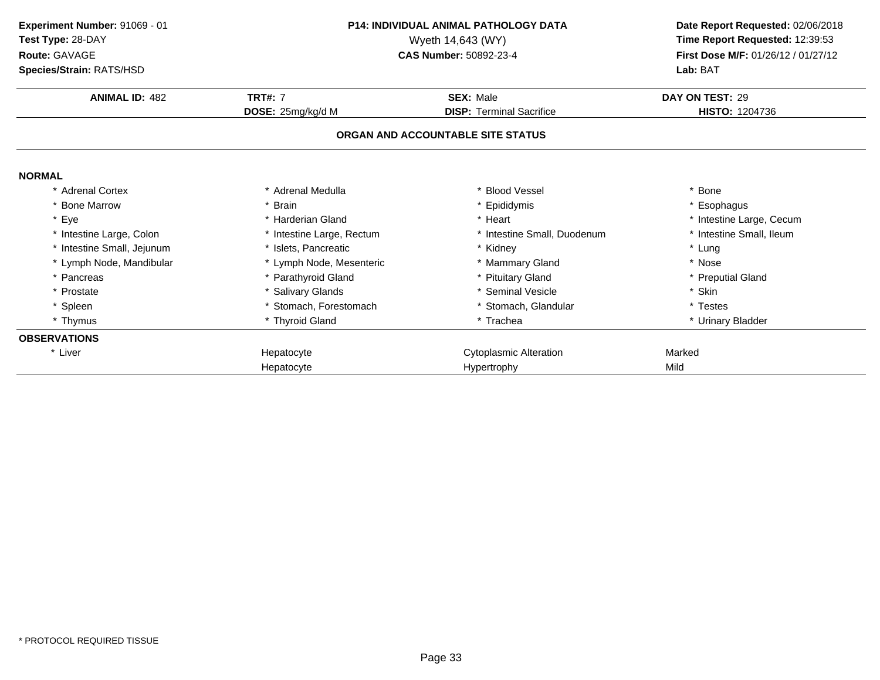| Experiment Number: 91069 - 01<br>Test Type: 28-DAY<br>Route: GAVAGE<br>Species/Strain: RATS/HSD |                           | <b>P14: INDIVIDUAL ANIMAL PATHOLOGY DATA</b><br>Wyeth 14,643 (WY)<br>CAS Number: 50892-23-4 | Date Report Requested: 02/06/2018<br>Time Report Requested: 12:39:53<br>First Dose M/F: 01/26/12 / 01/27/12<br>Lab: BAT |
|-------------------------------------------------------------------------------------------------|---------------------------|---------------------------------------------------------------------------------------------|-------------------------------------------------------------------------------------------------------------------------|
| <b>ANIMAL ID: 482</b>                                                                           | <b>TRT#: 7</b>            | <b>SEX: Male</b>                                                                            | DAY ON TEST: 29                                                                                                         |
|                                                                                                 | DOSE: 25mg/kg/d M         | <b>DISP: Terminal Sacrifice</b>                                                             | <b>HISTO: 1204736</b>                                                                                                   |
|                                                                                                 |                           | ORGAN AND ACCOUNTABLE SITE STATUS                                                           |                                                                                                                         |
| <b>NORMAL</b>                                                                                   |                           |                                                                                             |                                                                                                                         |
| <b>Adrenal Cortex</b>                                                                           | * Adrenal Medulla         | <b>Blood Vessel</b>                                                                         | * Bone                                                                                                                  |
| * Bone Marrow                                                                                   | * Brain                   | * Epididymis                                                                                | * Esophagus                                                                                                             |
| * Eye                                                                                           | * Harderian Gland         | * Heart                                                                                     | * Intestine Large, Cecum                                                                                                |
| * Intestine Large, Colon                                                                        | * Intestine Large, Rectum | * Intestine Small, Duodenum                                                                 | * Intestine Small, Ileum                                                                                                |
| * Intestine Small, Jejunum                                                                      | * Islets, Pancreatic      | * Kidney                                                                                    | * Lung                                                                                                                  |
| * Lymph Node, Mandibular                                                                        | * Lymph Node, Mesenteric  | * Mammary Gland                                                                             | * Nose                                                                                                                  |
| * Pancreas                                                                                      | * Parathyroid Gland       | * Pituitary Gland                                                                           | * Preputial Gland                                                                                                       |
| * Prostate                                                                                      | * Salivary Glands         | * Seminal Vesicle                                                                           | * Skin                                                                                                                  |
| * Spleen                                                                                        | * Stomach. Forestomach    | * Stomach, Glandular                                                                        | * Testes                                                                                                                |
| * Thymus                                                                                        | * Thyroid Gland           | * Trachea                                                                                   | * Urinary Bladder                                                                                                       |
| <b>OBSERVATIONS</b>                                                                             |                           |                                                                                             |                                                                                                                         |
| * Liver                                                                                         | Hepatocyte                | <b>Cytoplasmic Alteration</b>                                                               | Marked                                                                                                                  |
|                                                                                                 | Hepatocyte                | Hypertrophy                                                                                 | Mild                                                                                                                    |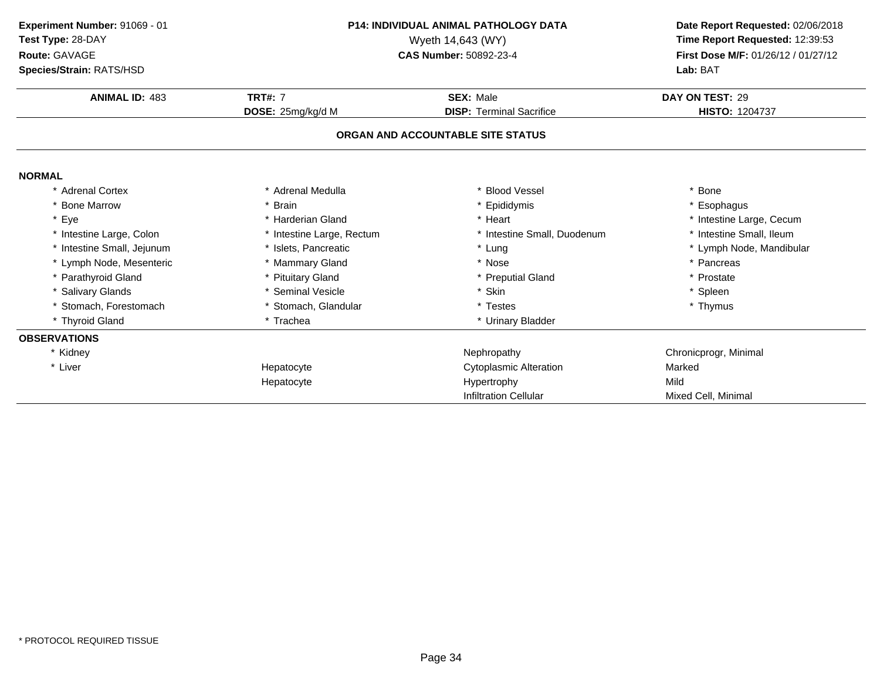| Experiment Number: 91069 - 01<br><b>P14: INDIVIDUAL ANIMAL PATHOLOGY DATA</b><br>Test Type: 28-DAY<br>Wyeth 14,643 (WY)<br>Route: GAVAGE<br>CAS Number: 50892-23-4<br>Species/Strain: RATS/HSD |                           |                                   | Date Report Requested: 02/06/2018<br>Time Report Requested: 12:39:53<br>First Dose M/F: 01/26/12 / 01/27/12<br>Lab: BAT |
|------------------------------------------------------------------------------------------------------------------------------------------------------------------------------------------------|---------------------------|-----------------------------------|-------------------------------------------------------------------------------------------------------------------------|
| <b>ANIMAL ID: 483</b>                                                                                                                                                                          | <b>TRT#: 7</b>            | SEX: Male                         | DAY ON TEST: 29                                                                                                         |
|                                                                                                                                                                                                | DOSE: 25mg/kg/d M         | <b>DISP: Terminal Sacrifice</b>   | <b>HISTO: 1204737</b>                                                                                                   |
|                                                                                                                                                                                                |                           | ORGAN AND ACCOUNTABLE SITE STATUS |                                                                                                                         |
| <b>NORMAL</b>                                                                                                                                                                                  |                           |                                   |                                                                                                                         |
| * Adrenal Cortex                                                                                                                                                                               | * Adrenal Medulla         | <b>Blood Vessel</b>               | * Bone                                                                                                                  |
| * Bone Marrow                                                                                                                                                                                  | * Brain                   | * Epididymis                      | * Esophagus                                                                                                             |
| * Eye                                                                                                                                                                                          | * Harderian Gland         | * Heart                           | * Intestine Large, Cecum                                                                                                |
| * Intestine Large, Colon                                                                                                                                                                       | * Intestine Large, Rectum | * Intestine Small, Duodenum       | * Intestine Small, Ileum                                                                                                |
| Intestine Small, Jejunum                                                                                                                                                                       | * Islets, Pancreatic      | * Lung                            | * Lymph Node, Mandibular                                                                                                |
| * Lymph Node, Mesenteric                                                                                                                                                                       | * Mammary Gland           | * Nose                            | * Pancreas                                                                                                              |
| * Parathyroid Gland                                                                                                                                                                            | * Pituitary Gland         | * Preputial Gland                 | * Prostate                                                                                                              |
| * Salivary Glands                                                                                                                                                                              | * Seminal Vesicle         | * Skin                            | * Spleen                                                                                                                |
| Stomach, Forestomach                                                                                                                                                                           | * Stomach, Glandular      | * Testes                          | * Thymus                                                                                                                |
| * Thyroid Gland                                                                                                                                                                                | * Trachea                 | * Urinary Bladder                 |                                                                                                                         |
| <b>OBSERVATIONS</b>                                                                                                                                                                            |                           |                                   |                                                                                                                         |
| * Kidney                                                                                                                                                                                       |                           | Nephropathy                       | Chronicprogr, Minimal                                                                                                   |
| * Liver                                                                                                                                                                                        | Hepatocyte                | <b>Cytoplasmic Alteration</b>     | Marked                                                                                                                  |
|                                                                                                                                                                                                | Hepatocyte                | Hypertrophy                       | Mild                                                                                                                    |
|                                                                                                                                                                                                |                           | <b>Infiltration Cellular</b>      | Mixed Cell, Minimal                                                                                                     |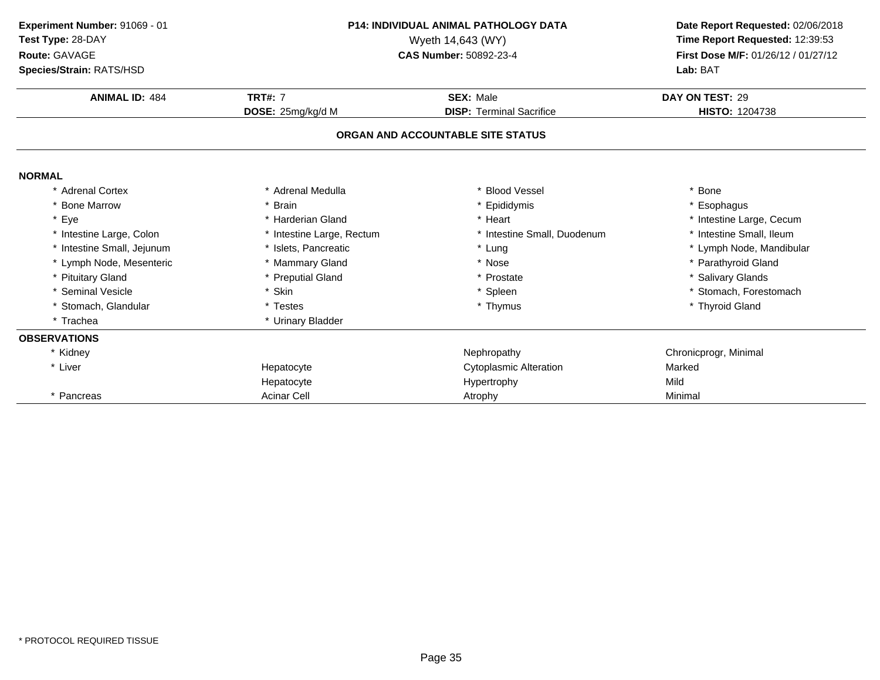**ANIMAL ID:** <sup>484</sup> **TRT#:** <sup>7</sup> **SEX:** Male **DAY ON TEST:** <sup>29</sup> **DOSE:** 25mg/kg/d M**DISP:** Terminal Sacrifice **HISTO:** 1204738 **ORGAN AND ACCOUNTABLE SITE STATUSNORMAL** \* Adrenal Cortex \* Adrenal Medullaa the set of the set of the set of the set of the set of the set of the set of the set of the set of the set o<br>Set of the set of the set of the set of the set of the set of the set of the set of the set of the set of the s \* Bone Marrow \* Brain \* Epididymis \* Esophagus \* Eyee the second of the second term in the second term in the second term in the second term in the second term in the second term in the second term in the second term in the second term in the second term in the second term \* Intestine Small, Ileum \* Intestine Large, Colon\* Intestine Large, Rectum<br>\* Islets, Pancreatic \* Intestine Small, Duodenum<br>\* Lung \* Intestine Small, Jejunum \* Islets, Pancreatic \* Lung \* Lymph Node, Mandibular \* Lymph Node, Mesenteric \* Mammary Gland\* Mammary Gland \* 1992 \* 1993 \* 1994 \* Nose \* 1995 \* Parathyroid Gland \* Preputial Gland \* Preputial Gland \* Preputial Gland \* Preputial Gland \* Preputial Gland \* Preputial Gland \* Preputial Gland \* Present \* Preputial Gla \* Pituitary Glandd **business of the Contract Contract Automobile 19 and 19 and 19 and 19 and 19 and 19 and 19 and 19 and 19 and 19 and 19 and 19 and 19 and 19 and 19 and 19 and 19 and 19 and 19 and 19 and 19 and 19 and 19 and 19 and 19 and** \* Seminal Vesiclee the settlement of the settlement of the settlement of the settlement of the settlement of the set of the set of the set of the set of the set of the set of the set of the set of the set of the set of the set of the set o \* Stomach, Glandular \* Testes \* Testes \* Thymus \* Thymus \* Thymus \* Thymus \* Thyroid Gland \* Trachea \* Urinary Bladder **OBSERVATIONS**\* Kidneyy the chronic proportion of the chronic proportion of the chronic proportion of  $\mathsf{N}$ ephropathy  $\mathsf{N}$ ephropathy  $\mathsf{N}$ ephropathy  $\mathsf{N}$ entronic proportion of the chronic proportion of the chronic proportion of th \* Liver Hepatocyte Cytoplasmic Alteration<br>
Hypertrophy<br>
Mild
Mild Hepatocyte Hypertrophy Mild \* Pancreass Acinar Cell Atrophy Minimal **Experiment Number:** 91069 - 01 **P14: INDIVIDUAL ANIMAL PATHOLOGY DATA Date Report Requested:** 02/06/2018 **Test Type:** 28-DAYWyeth 14,643 (WY) **Time Report Requested:** 12:39:53<br>**CAS Number:** 50892-23-4 **Time Report Requested:** 12:39:53 **Route:** GAVAGE**First Dose M/F:** 01/26/12 / 01/27/12<br>**Lab:** BAT **Species/Strain:** RATS/HSD**Lab:** BAT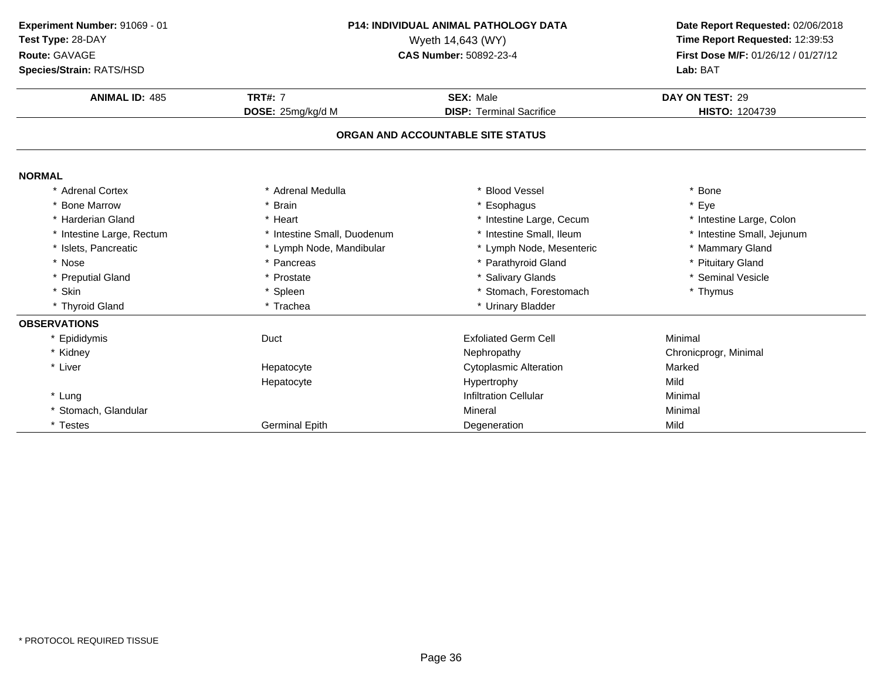| Experiment Number: 91069 - 01<br>Test Type: 28-DAY<br>Route: GAVAGE<br>Species/Strain: RATS/HSD | <b>P14: INDIVIDUAL ANIMAL PATHOLOGY DATA</b><br>Wyeth 14,643 (WY)<br>CAS Number: 50892-23-4 |                                   | Date Report Requested: 02/06/2018<br>Time Report Requested: 12:39:53<br>First Dose M/F: 01/26/12 / 01/27/12<br>Lab: BAT |
|-------------------------------------------------------------------------------------------------|---------------------------------------------------------------------------------------------|-----------------------------------|-------------------------------------------------------------------------------------------------------------------------|
| <b>ANIMAL ID: 485</b>                                                                           | <b>TRT#: 7</b>                                                                              | <b>SEX: Male</b>                  | DAY ON TEST: 29                                                                                                         |
|                                                                                                 | DOSE: 25mg/kg/d M                                                                           | <b>DISP: Terminal Sacrifice</b>   | <b>HISTO: 1204739</b>                                                                                                   |
|                                                                                                 |                                                                                             | ORGAN AND ACCOUNTABLE SITE STATUS |                                                                                                                         |
| <b>NORMAL</b>                                                                                   |                                                                                             |                                   |                                                                                                                         |
| <b>Adrenal Cortex</b>                                                                           | * Adrenal Medulla                                                                           | * Blood Vessel                    | Bone                                                                                                                    |
| <b>Bone Marrow</b>                                                                              | * Brain                                                                                     | * Esophagus                       | * Eye                                                                                                                   |
| * Harderian Gland                                                                               | * Heart                                                                                     | * Intestine Large, Cecum          | * Intestine Large, Colon                                                                                                |
| * Intestine Large, Rectum                                                                       | * Intestine Small, Duodenum                                                                 | * Intestine Small, Ileum          | * Intestine Small, Jejunum                                                                                              |
| * Islets, Pancreatic                                                                            | * Lymph Node, Mandibular                                                                    | * Lymph Node, Mesenteric          | * Mammary Gland                                                                                                         |
| * Nose                                                                                          | * Pancreas                                                                                  | * Parathyroid Gland               | * Pituitary Gland                                                                                                       |
| * Preputial Gland                                                                               | * Prostate                                                                                  | * Salivary Glands                 | * Seminal Vesicle                                                                                                       |
| Skin                                                                                            | * Spleen                                                                                    | * Stomach, Forestomach            | * Thymus                                                                                                                |
| * Thyroid Gland                                                                                 | * Trachea                                                                                   | * Urinary Bladder                 |                                                                                                                         |
| <b>OBSERVATIONS</b>                                                                             |                                                                                             |                                   |                                                                                                                         |
| * Epididymis                                                                                    | Duct                                                                                        | <b>Exfoliated Germ Cell</b>       | Minimal                                                                                                                 |
| * Kidney                                                                                        |                                                                                             | Nephropathy                       | Chronicprogr, Minimal                                                                                                   |
| * Liver                                                                                         | Hepatocyte                                                                                  | <b>Cytoplasmic Alteration</b>     | Marked                                                                                                                  |
|                                                                                                 | Hepatocyte                                                                                  | Hypertrophy                       | Mild                                                                                                                    |
| * Lung                                                                                          |                                                                                             | <b>Infiltration Cellular</b>      | Minimal                                                                                                                 |
| * Stomach, Glandular                                                                            |                                                                                             | Mineral                           | Minimal                                                                                                                 |
| * Testes                                                                                        | <b>Germinal Epith</b>                                                                       | Degeneration                      | Mild                                                                                                                    |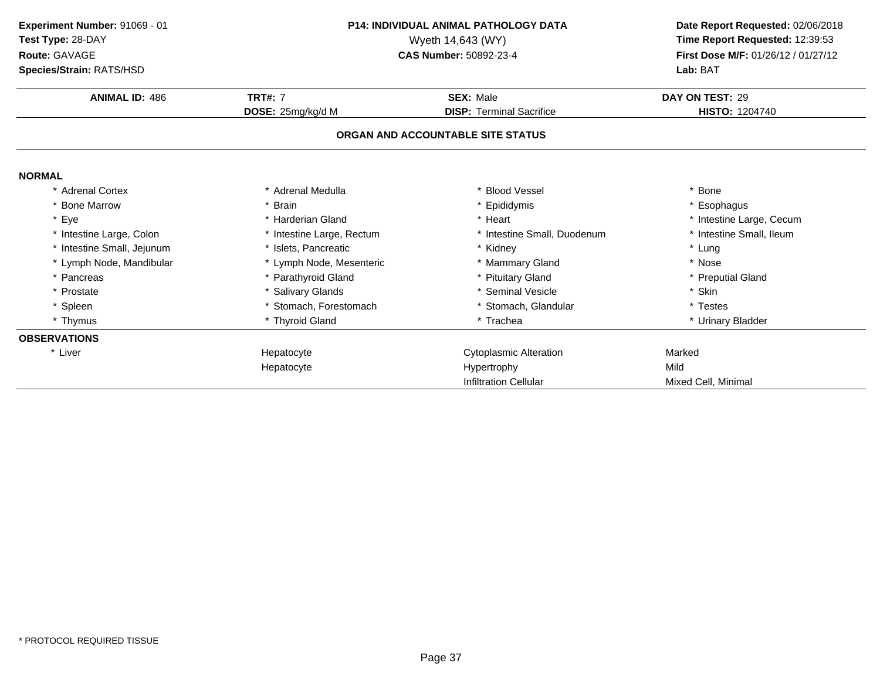**ANIMAL ID:** <sup>486</sup> **TRT#:** <sup>7</sup> **SEX:** Male **DAY ON TEST:** <sup>29</sup> **DOSE:** 25mg/kg/d M**DISP:** Terminal Sacrifice **HISTO:** 1204740 **ORGAN AND ACCOUNTABLE SITE STATUSNORMAL** \* Adrenal Cortex \* Adrenal Medullaa the set of the set of the set of the set of the set of the set of the set of the set of the set of the set o<br>Set of the set of the set of the set of the set of the set of the set of the set of the set of the set of the s \* Bone Marrow \* Brain \* Epididymis \* Esophagus \* Eyee the second of the second term in the second term in the second term in the second term in the second term in the second term in the second term in the second term in the second term in the second term in the second term \* Intestine Small, Ileum \* Intestine Large, Colon\* Intestine Large, Rectum<br>\* Islets, Pancreatic \* Intestine Small, Duodenum \* \* Intest<br>\* Kidney \* \* Lung \* Intestine Small, Jejunumm \* Islets, Pancreatic \* Kidney \* Lung \* Lymph Node, Mandibular \* Lymph Node, Mesenteric \* Mammary Gland\* Nose<br>\* Preputial Gland \* Pancreas\* Parathyroid Gland<br>\* Salivary Glands \* Pituitary Gland \* Preputial \* Preputial \* Preputial \* Preputial \* Preputial \* Skin \* Prostate \* Salivary Glands \* Seminal Vesicle \* Skin \* Spleen\* Stomach, Forestomach \* \* Stomach, Glandular \* Testes \* Testes \* Testes \* Thyroid Gland<br>\* Thyroid Gland \* \* Trachea \* Trachea \* Trachea \* Urinary \* Thymus \* Thyroid Gland\* Urinary Bladder **OBSERVATIONS**\* Liver Hepatocyte Cytoplasmic Alteration **Marked Marked Hypertrophy** HepatocyteHypertrophy Infiltration Cellular Mixed Cell, Minimal **Experiment Number:** 91069 - 01 **P14: INDIVIDUAL ANIMAL PATHOLOGY DATA Date Report Requested:** 02/06/2018 **Test Type:** 28-DAYWyeth 14,643 (WY) **Time Report Requested:** 12:39:53<br>**CAS Number:** 50892-23-4 **Time Report Requested:** 12:39:53 **Route:** GAVAGE**First Dose M/F:** 01/26/12 / 01/27/12<br>**Lab:** BAT **Species/Strain:** RATS/HSD**Lab:** BAT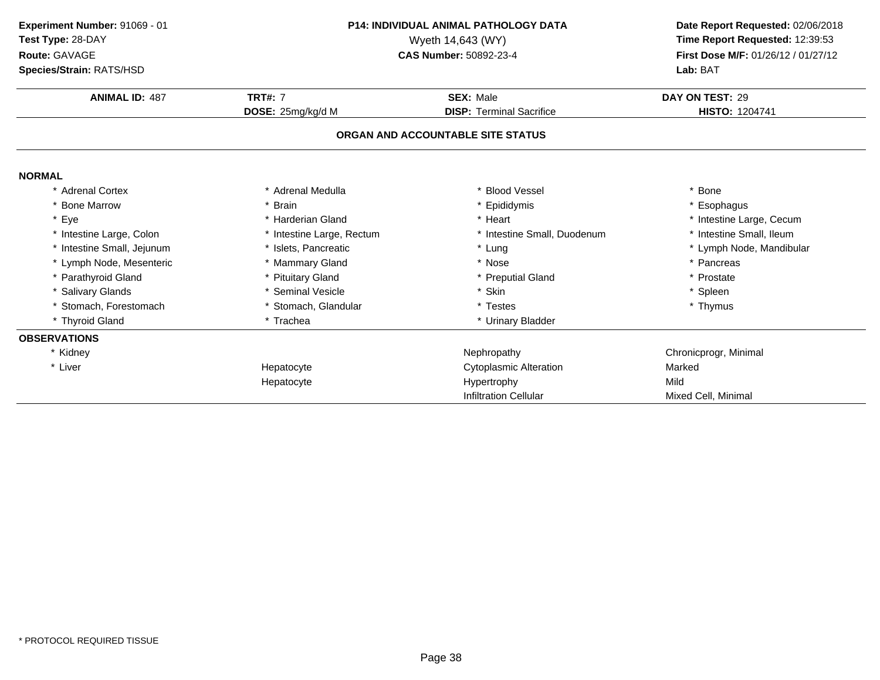| Experiment Number: 91069 - 01<br>Test Type: 28-DAY<br>Route: GAVAGE<br>Species/Strain: RATS/HSD | <b>P14: INDIVIDUAL ANIMAL PATHOLOGY DATA</b><br>Wyeth 14,643 (WY)<br><b>CAS Number: 50892-23-4</b> |                                   | Date Report Requested: 02/06/2018<br>Time Report Requested: 12:39:53<br>First Dose M/F: 01/26/12 / 01/27/12<br>Lab: BAT |
|-------------------------------------------------------------------------------------------------|----------------------------------------------------------------------------------------------------|-----------------------------------|-------------------------------------------------------------------------------------------------------------------------|
| <b>ANIMAL ID: 487</b>                                                                           | <b>TRT#: 7</b>                                                                                     | <b>SEX: Male</b>                  | DAY ON TEST: 29                                                                                                         |
|                                                                                                 | DOSE: 25mg/kg/d M                                                                                  | <b>DISP: Terminal Sacrifice</b>   | HISTO: 1204741                                                                                                          |
|                                                                                                 |                                                                                                    | ORGAN AND ACCOUNTABLE SITE STATUS |                                                                                                                         |
| <b>NORMAL</b>                                                                                   |                                                                                                    |                                   |                                                                                                                         |
| * Adrenal Cortex                                                                                | * Adrenal Medulla                                                                                  | * Blood Vessel                    | * Bone                                                                                                                  |
| * Bone Marrow                                                                                   | * Brain                                                                                            | * Epididymis                      | * Esophagus                                                                                                             |
| * Eye                                                                                           | * Harderian Gland                                                                                  | * Heart                           | * Intestine Large, Cecum                                                                                                |
| * Intestine Large, Colon                                                                        | * Intestine Large, Rectum                                                                          | * Intestine Small, Duodenum       | * Intestine Small, Ileum                                                                                                |
| * Intestine Small, Jejunum                                                                      | * Islets, Pancreatic                                                                               | * Lung                            | * Lymph Node, Mandibular                                                                                                |
| * Lymph Node, Mesenteric                                                                        | * Mammary Gland                                                                                    | * Nose                            | * Pancreas                                                                                                              |
| * Parathyroid Gland                                                                             | * Pituitary Gland                                                                                  | * Preputial Gland                 | Prostate                                                                                                                |
| * Salivary Glands                                                                               | * Seminal Vesicle                                                                                  | * Skin                            | * Spleen                                                                                                                |
| * Stomach, Forestomach                                                                          | * Stomach, Glandular                                                                               | * Testes                          | * Thymus                                                                                                                |
| * Thyroid Gland                                                                                 | * Trachea                                                                                          | * Urinary Bladder                 |                                                                                                                         |
| <b>OBSERVATIONS</b>                                                                             |                                                                                                    |                                   |                                                                                                                         |
| * Kidney                                                                                        |                                                                                                    | Nephropathy                       | Chronicprogr, Minimal                                                                                                   |
| * Liver                                                                                         | Hepatocyte                                                                                         | <b>Cytoplasmic Alteration</b>     | Marked                                                                                                                  |
|                                                                                                 | Hepatocyte                                                                                         | Hypertrophy                       | Mild                                                                                                                    |
|                                                                                                 |                                                                                                    | <b>Infiltration Cellular</b>      | Mixed Cell, Minimal                                                                                                     |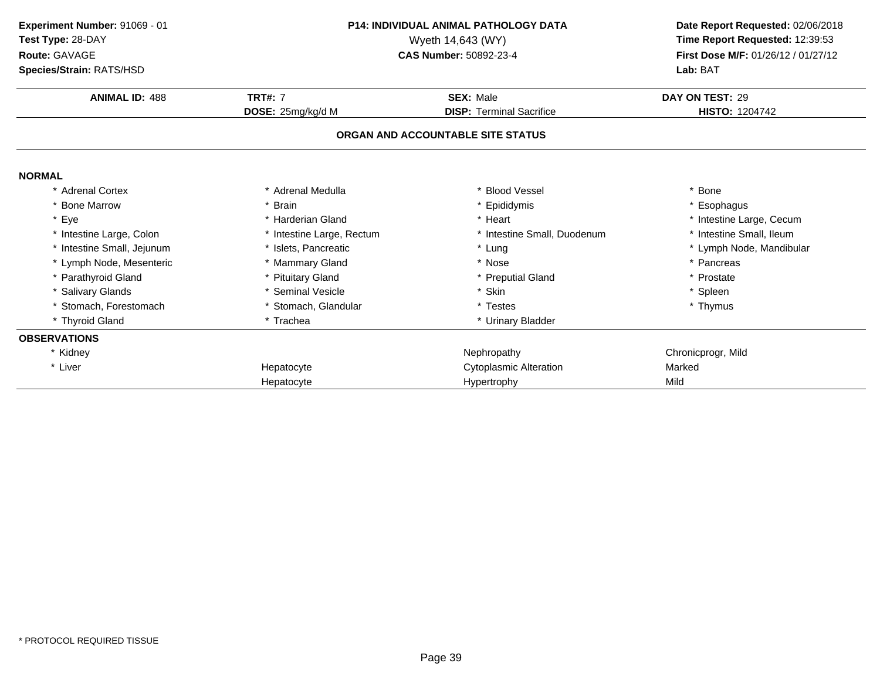| Experiment Number: 91069 - 01<br>Test Type: 28-DAY<br>Route: GAVAGE<br>Species/Strain: RATS/HSD | <b>P14: INDIVIDUAL ANIMAL PATHOLOGY DATA</b><br>Wyeth 14,643 (WY)<br>CAS Number: 50892-23-4 |                                   | Date Report Requested: 02/06/2018<br>Time Report Requested: 12:39:53<br>First Dose M/F: 01/26/12 / 01/27/12<br>Lab: BAT |  |
|-------------------------------------------------------------------------------------------------|---------------------------------------------------------------------------------------------|-----------------------------------|-------------------------------------------------------------------------------------------------------------------------|--|
| <b>ANIMAL ID: 488</b>                                                                           | <b>TRT#: 7</b>                                                                              | <b>SEX: Male</b>                  | DAY ON TEST: 29                                                                                                         |  |
|                                                                                                 | DOSE: 25mg/kg/d M                                                                           | <b>DISP: Terminal Sacrifice</b>   | <b>HISTO: 1204742</b>                                                                                                   |  |
|                                                                                                 |                                                                                             | ORGAN AND ACCOUNTABLE SITE STATUS |                                                                                                                         |  |
| <b>NORMAL</b>                                                                                   |                                                                                             |                                   |                                                                                                                         |  |
| * Adrenal Cortex                                                                                | * Adrenal Medulla                                                                           | <b>Blood Vessel</b>               | * Bone                                                                                                                  |  |
| <b>Bone Marrow</b>                                                                              | * Brain                                                                                     | Epididymis                        | * Esophagus                                                                                                             |  |
| * Eye                                                                                           | * Harderian Gland                                                                           | * Heart                           | * Intestine Large, Cecum                                                                                                |  |
| * Intestine Large, Colon                                                                        | * Intestine Large, Rectum                                                                   | * Intestine Small, Duodenum       | * Intestine Small, Ileum                                                                                                |  |
| * Intestine Small, Jejunum                                                                      | * Islets, Pancreatic                                                                        | * Lung                            | * Lymph Node, Mandibular                                                                                                |  |
| Lymph Node, Mesenteric                                                                          | * Mammary Gland                                                                             | * Nose                            | * Pancreas                                                                                                              |  |
| Parathyroid Gland                                                                               | * Pituitary Gland                                                                           | * Preputial Gland                 | * Prostate                                                                                                              |  |
| * Salivary Glands                                                                               | * Seminal Vesicle                                                                           | * Skin                            | * Spleen                                                                                                                |  |
| Stomach, Forestomach                                                                            | * Stomach, Glandular                                                                        | * Testes                          | * Thymus                                                                                                                |  |
| * Thyroid Gland                                                                                 | * Trachea                                                                                   | * Urinary Bladder                 |                                                                                                                         |  |
| <b>OBSERVATIONS</b>                                                                             |                                                                                             |                                   |                                                                                                                         |  |
| * Kidney                                                                                        |                                                                                             | Nephropathy                       | Chronicprogr, Mild                                                                                                      |  |
| * Liver                                                                                         | Hepatocyte                                                                                  | Cytoplasmic Alteration            | Marked                                                                                                                  |  |
|                                                                                                 | Hepatocyte                                                                                  | Hypertrophy                       | Mild                                                                                                                    |  |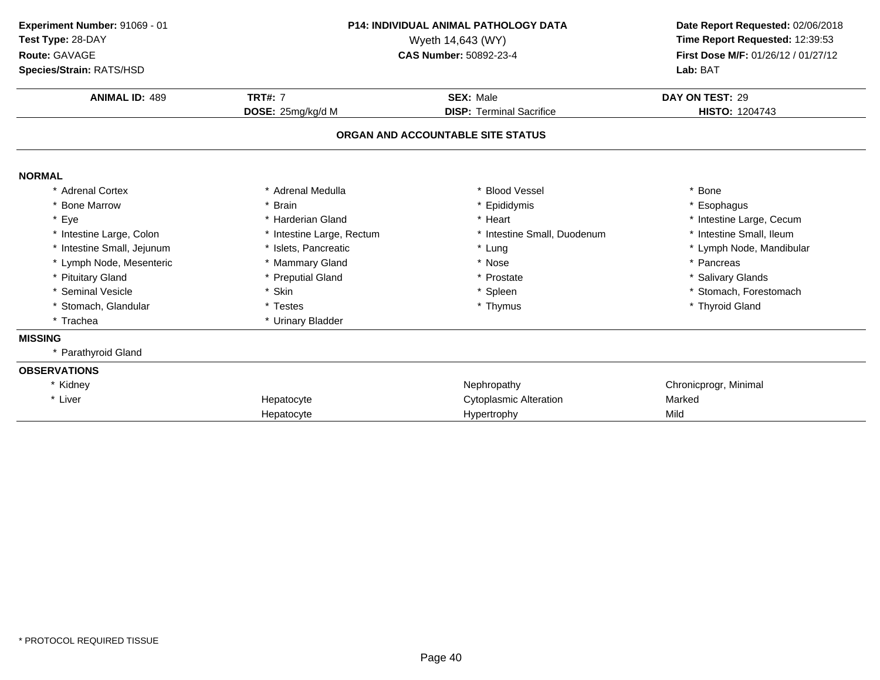| Experiment Number: 91069 - 01<br>Test Type: 28-DAY<br>Route: GAVAGE<br>Species/Strain: RATS/HSD<br><b>ANIMAL ID: 489</b> | <b>P14: INDIVIDUAL ANIMAL PATHOLOGY DATA</b><br>Wyeth 14,643 (WY)<br>CAS Number: 50892-23-4<br><b>TRT#: 7</b><br><b>SEX: Male</b> |                                   | Date Report Requested: 02/06/2018<br>Time Report Requested: 12:39:53<br>First Dose M/F: 01/26/12 / 01/27/12<br>Lab: BAT<br>DAY ON TEST: 29 |
|--------------------------------------------------------------------------------------------------------------------------|-----------------------------------------------------------------------------------------------------------------------------------|-----------------------------------|--------------------------------------------------------------------------------------------------------------------------------------------|
|                                                                                                                          | DOSE: 25mg/kg/d M                                                                                                                 | <b>DISP: Terminal Sacrifice</b>   | <b>HISTO: 1204743</b>                                                                                                                      |
|                                                                                                                          |                                                                                                                                   | ORGAN AND ACCOUNTABLE SITE STATUS |                                                                                                                                            |
| <b>NORMAL</b>                                                                                                            |                                                                                                                                   |                                   |                                                                                                                                            |
| * Adrenal Cortex                                                                                                         | * Adrenal Medulla                                                                                                                 | * Blood Vessel                    | * Bone                                                                                                                                     |
| * Bone Marrow                                                                                                            | * Brain                                                                                                                           | * Epididymis                      | * Esophagus                                                                                                                                |
| * Eye                                                                                                                    | * Harderian Gland                                                                                                                 | * Heart                           | * Intestine Large, Cecum                                                                                                                   |
| * Intestine Large, Colon                                                                                                 | * Intestine Large, Rectum                                                                                                         | * Intestine Small, Duodenum       | * Intestine Small, Ileum                                                                                                                   |
| * Intestine Small, Jejunum                                                                                               | * Islets, Pancreatic                                                                                                              | * Lung                            | * Lymph Node, Mandibular                                                                                                                   |
| * Lymph Node, Mesenteric                                                                                                 | * Mammary Gland                                                                                                                   | * Nose                            | * Pancreas                                                                                                                                 |
| * Pituitary Gland                                                                                                        | <b>Preputial Gland</b>                                                                                                            | * Prostate                        | * Salivary Glands                                                                                                                          |
| * Seminal Vesicle                                                                                                        | * Skin                                                                                                                            | * Spleen                          | * Stomach, Forestomach                                                                                                                     |
| * Stomach, Glandular                                                                                                     | * Testes                                                                                                                          | * Thymus                          | * Thyroid Gland                                                                                                                            |
| * Trachea                                                                                                                | * Urinary Bladder                                                                                                                 |                                   |                                                                                                                                            |
| <b>MISSING</b>                                                                                                           |                                                                                                                                   |                                   |                                                                                                                                            |
| * Parathyroid Gland                                                                                                      |                                                                                                                                   |                                   |                                                                                                                                            |
| <b>OBSERVATIONS</b>                                                                                                      |                                                                                                                                   |                                   |                                                                                                                                            |
| * Kidney                                                                                                                 |                                                                                                                                   | Nephropathy                       | Chronicprogr, Minimal                                                                                                                      |
| * Liver                                                                                                                  | Hepatocyte                                                                                                                        | <b>Cytoplasmic Alteration</b>     | Marked                                                                                                                                     |
|                                                                                                                          | Hepatocyte                                                                                                                        | Hypertrophy                       | Mild                                                                                                                                       |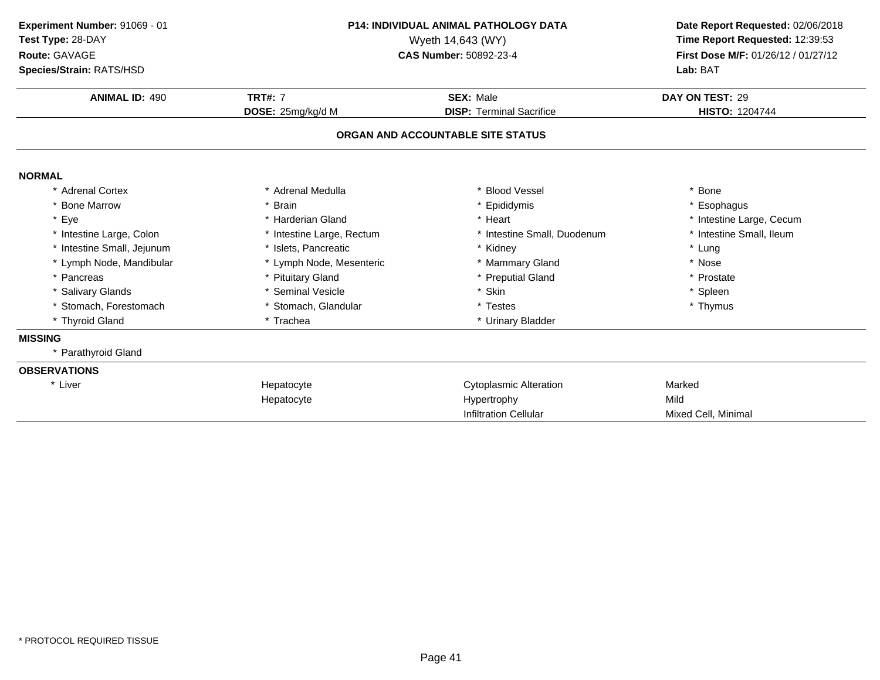| Experiment Number: 91069 - 01<br>Test Type: 28-DAY<br>Route: GAVAGE<br>Species/Strain: RATS/HSD | <b>P14: INDIVIDUAL ANIMAL PATHOLOGY DATA</b><br>Wyeth 14,643 (WY)<br><b>CAS Number: 50892-23-4</b><br><b>TRT#: 7</b><br><b>SEX: Male</b> |                                                                      | Date Report Requested: 02/06/2018<br>Time Report Requested: 12:39:53<br>First Dose M/F: 01/26/12 / 01/27/12<br>Lab: BAT |
|-------------------------------------------------------------------------------------------------|------------------------------------------------------------------------------------------------------------------------------------------|----------------------------------------------------------------------|-------------------------------------------------------------------------------------------------------------------------|
| <b>ANIMAL ID: 490</b>                                                                           |                                                                                                                                          |                                                                      | DAY ON TEST: 29<br><b>HISTO: 1204744</b>                                                                                |
|                                                                                                 | DOSE: 25mg/kg/d M                                                                                                                        | <b>DISP: Terminal Sacrifice</b><br>ORGAN AND ACCOUNTABLE SITE STATUS |                                                                                                                         |
| <b>NORMAL</b>                                                                                   |                                                                                                                                          |                                                                      |                                                                                                                         |
| * Adrenal Cortex                                                                                | * Adrenal Medulla                                                                                                                        | * Blood Vessel                                                       | * Bone                                                                                                                  |
| <b>Bone Marrow</b>                                                                              | <b>Brain</b>                                                                                                                             | * Epididymis                                                         | * Esophagus                                                                                                             |
| Eye                                                                                             | * Harderian Gland                                                                                                                        | * Heart                                                              | * Intestine Large, Cecum                                                                                                |
| * Intestine Large, Colon                                                                        | * Intestine Large, Rectum                                                                                                                | * Intestine Small, Duodenum                                          | * Intestine Small, Ileum                                                                                                |
| * Intestine Small, Jejunum                                                                      | * Islets, Pancreatic                                                                                                                     | * Kidney                                                             | * Lung                                                                                                                  |
| * Lymph Node, Mandibular                                                                        | * Lymph Node, Mesenteric                                                                                                                 | * Mammary Gland                                                      | * Nose                                                                                                                  |
| * Pancreas                                                                                      | * Pituitary Gland                                                                                                                        | * Preputial Gland                                                    | * Prostate                                                                                                              |
| <b>Salivary Glands</b>                                                                          | * Seminal Vesicle                                                                                                                        | * Skin                                                               | * Spleen                                                                                                                |
| * Stomach, Forestomach                                                                          | * Stomach, Glandular                                                                                                                     | * Testes                                                             | * Thymus                                                                                                                |
| * Thyroid Gland                                                                                 | * Trachea                                                                                                                                | * Urinary Bladder                                                    |                                                                                                                         |
| <b>MISSING</b>                                                                                  |                                                                                                                                          |                                                                      |                                                                                                                         |
| Parathyroid Gland                                                                               |                                                                                                                                          |                                                                      |                                                                                                                         |
| <b>OBSERVATIONS</b>                                                                             |                                                                                                                                          |                                                                      |                                                                                                                         |
| * Liver                                                                                         | Hepatocyte                                                                                                                               | <b>Cytoplasmic Alteration</b>                                        | Marked                                                                                                                  |
|                                                                                                 | Hepatocyte                                                                                                                               | Hypertrophy                                                          | Mild                                                                                                                    |
|                                                                                                 |                                                                                                                                          | <b>Infiltration Cellular</b>                                         | Mixed Cell, Minimal                                                                                                     |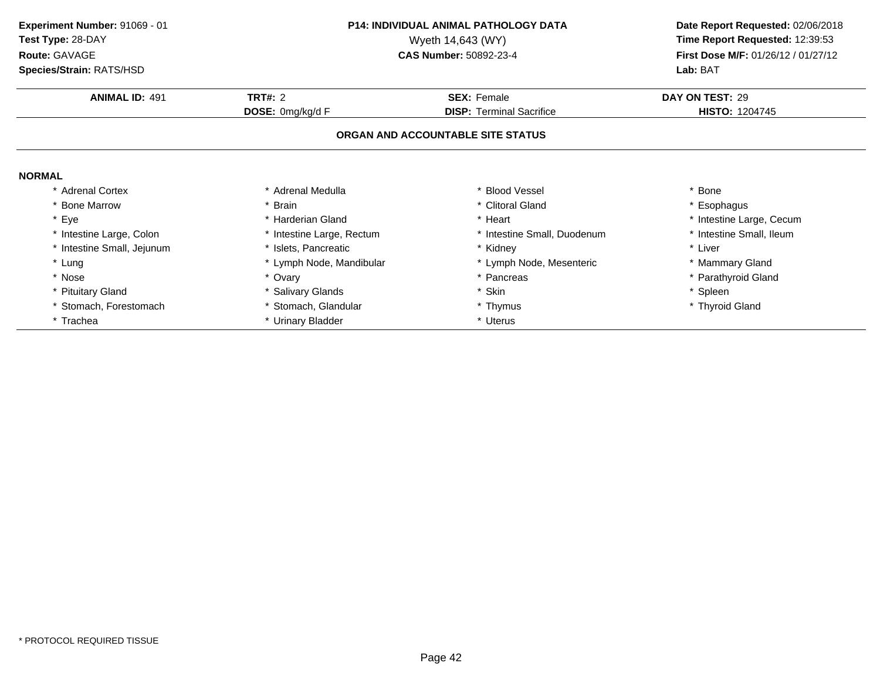**ANIMAL ID:** <sup>491</sup> **TRT#:** <sup>2</sup> **SEX:** Female **DAY ON TEST:** <sup>29</sup> **DOSE:** 0mg/kg/d F**DISP:** Terminal Sacrifice **HISTO:** 1204745 **ORGAN AND ACCOUNTABLE SITE STATUSNORMAL** \* Adrenal Cortex\* Adrenal Medulla<br>\* Brain a the set of the set of the set of the set of the set of the set of the set of the set of the set of the set o<br>Set of the set of the set of the set of the set of the set of the set of the set of the set of the set of the s \* Bone Marrow \* Brain \* Clitoral Gland \* Esophagus \* Eyee the second of the second term in the second term in the second term in the second term in the second term in the second term in the second term in the second term in the second term in the second term in the second term \* Intestine Small, Ileum \* Intestine Large, Colon\* Intestine Large, Rectum<br>\* Islets, Pancreatic \* Intestine Small, Duodenum \* 11test<br>
\* Kidney \* Liver \* Intestine Small, Jejunum \* Islets, Pancreatic \* Kidney \* Liver \* Lung\* Lymph Node, Mandibular \* 1990 \* Lymph Node, Mesenteric \* \* Mammary Gland<br>\* Ovary \* Pancreas \* Pancreas \* Pancreas \* \* Parathyroid Gland \* Nosee the second of the second of the second of the second of the second of the second of the second of the second  $^*$  Parathyroid Gland \* Pituitary Gland \* Salivary Glands \* Skin \* Spleen \* Stomach, Forestomach\* Stomach, Glandular \* \* Thymus \* Thymus \* Thyroid Gland \* Thyroid Gland \* Thyroid Gland \* Urinary Bladder \* Trachea\* Urinary Bladder **Experiment Number:** 91069 - 01 **P14: INDIVIDUAL ANIMAL PATHOLOGY DATA Date Report Requested:** 02/06/2018 **Test Type:** 28-DAYWyeth 14,643 (WY) **Time Report Requested:** 12:39:53<br>**CAS Number:** 50892-23-4 **Time Report Requested:** 12:39:53 **Route:** GAVAGE**First Dose M/F:** 01/26/12 / 01/27/12<br>**Lab:** BAT **Species/Strain:** RATS/HSD**Lab:** BAT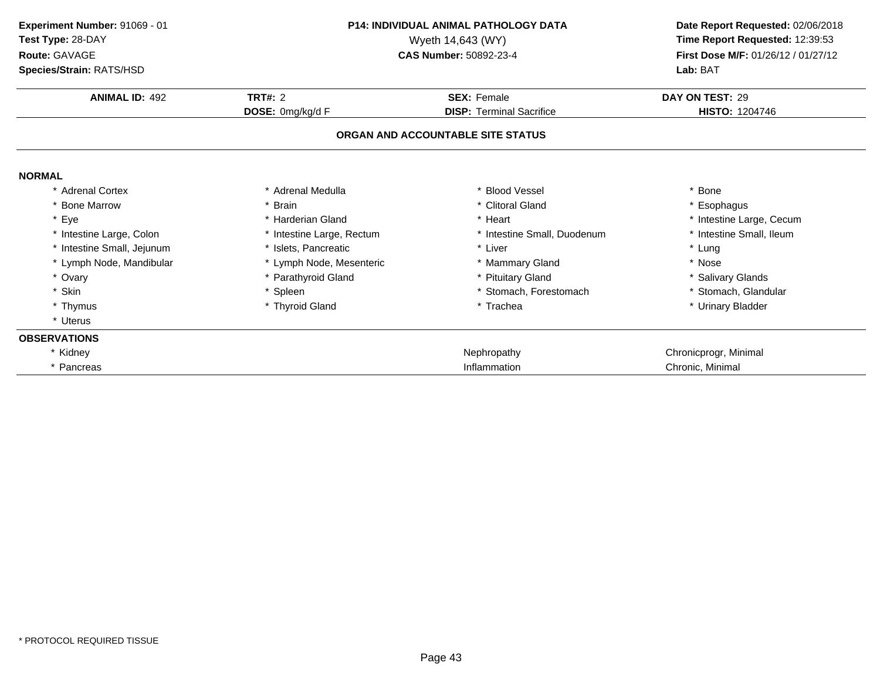| <b>P14: INDIVIDUAL ANIMAL PATHOLOGY DATA</b><br>Experiment Number: 91069 - 01<br>Test Type: 28-DAY<br>Wyeth 14,643 (WY) |                           |                                   | Date Report Requested: 02/06/2018   |
|-------------------------------------------------------------------------------------------------------------------------|---------------------------|-----------------------------------|-------------------------------------|
|                                                                                                                         |                           |                                   | Time Report Requested: 12:39:53     |
| Route: GAVAGE                                                                                                           |                           | CAS Number: 50892-23-4            | First Dose M/F: 01/26/12 / 01/27/12 |
| Species/Strain: RATS/HSD                                                                                                |                           |                                   | Lab: BAT                            |
| <b>ANIMAL ID: 492</b>                                                                                                   | <b>TRT#: 2</b>            | <b>SEX: Female</b>                | DAY ON TEST: 29                     |
|                                                                                                                         | DOSE: 0mg/kg/d F          | <b>DISP: Terminal Sacrifice</b>   | HISTO: 1204746                      |
|                                                                                                                         |                           | ORGAN AND ACCOUNTABLE SITE STATUS |                                     |
| <b>NORMAL</b>                                                                                                           |                           |                                   |                                     |
| * Adrenal Cortex                                                                                                        | * Adrenal Medulla         | * Blood Vessel                    | * Bone                              |
| <b>Bone Marrow</b>                                                                                                      | <b>Brain</b>              | * Clitoral Gland                  | * Esophagus                         |
| Eye<br>$\star$                                                                                                          | * Harderian Gland         | * Heart                           | * Intestine Large, Cecum            |
| * Intestine Large, Colon                                                                                                | * Intestine Large, Rectum | * Intestine Small, Duodenum       | * Intestine Small, Ileum            |
| * Intestine Small, Jejunum                                                                                              | * Islets. Pancreatic      | * Liver                           | * Lung                              |
| * Lymph Node, Mandibular                                                                                                | * Lymph Node, Mesenteric  | * Mammary Gland                   | * Nose                              |
| * Ovary                                                                                                                 | * Parathyroid Gland       | * Pituitary Gland                 | * Salivary Glands                   |
| * Skin                                                                                                                  | * Spleen                  | * Stomach, Forestomach            | * Stomach, Glandular                |
| * Thymus                                                                                                                | * Thyroid Gland           | * Trachea                         | * Urinary Bladder                   |
| * Uterus                                                                                                                |                           |                                   |                                     |
| <b>OBSERVATIONS</b>                                                                                                     |                           |                                   |                                     |
| * Kidney                                                                                                                |                           | Nephropathy                       | Chronicprogr, Minimal               |
| * Pancreas                                                                                                              |                           | Inflammation                      | Chronic, Minimal                    |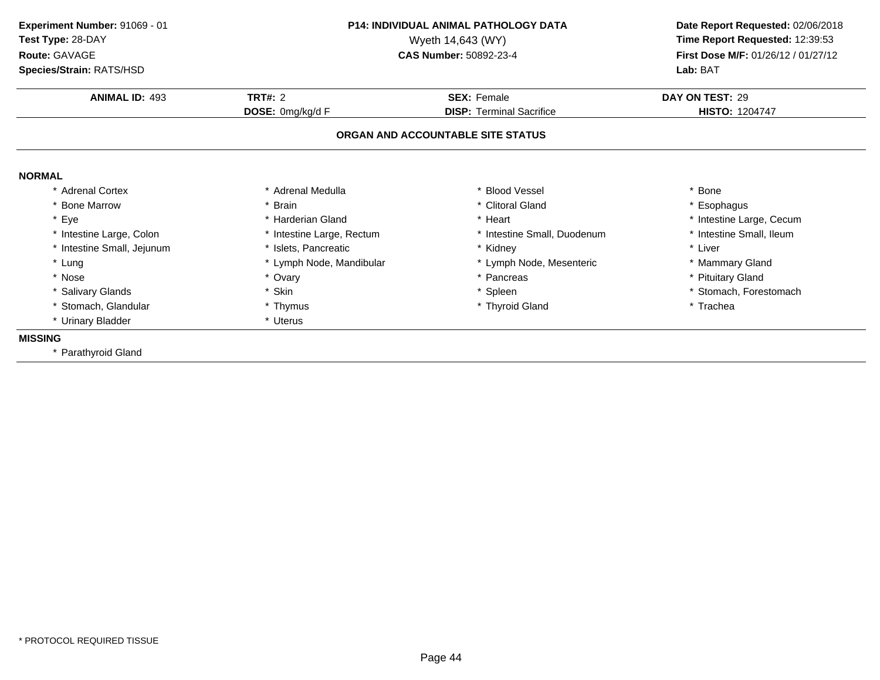| Experiment Number: 91069 - 01<br>Test Type: 28-DAY<br>Route: GAVAGE<br>Species/Strain: RATS/HSD | <b>P14: INDIVIDUAL ANIMAL PATHOLOGY DATA</b><br>Wyeth 14,643 (WY)<br><b>CAS Number: 50892-23-4</b> |                                   | Date Report Requested: 02/06/2018<br>Time Report Requested: 12:39:53<br>First Dose M/F: 01/26/12 / 01/27/12<br>Lab: BAT |
|-------------------------------------------------------------------------------------------------|----------------------------------------------------------------------------------------------------|-----------------------------------|-------------------------------------------------------------------------------------------------------------------------|
| <b>ANIMAL ID: 493</b>                                                                           | <b>TRT#: 2</b>                                                                                     | <b>SEX: Female</b>                | DAY ON TEST: 29                                                                                                         |
|                                                                                                 | DOSE: 0mg/kg/d F                                                                                   | <b>DISP: Terminal Sacrifice</b>   | <b>HISTO: 1204747</b>                                                                                                   |
|                                                                                                 |                                                                                                    | ORGAN AND ACCOUNTABLE SITE STATUS |                                                                                                                         |
| <b>NORMAL</b>                                                                                   |                                                                                                    |                                   |                                                                                                                         |
| * Adrenal Cortex                                                                                | * Adrenal Medulla                                                                                  | * Blood Vessel                    | * Bone                                                                                                                  |
| * Bone Marrow                                                                                   | * Brain                                                                                            | * Clitoral Gland                  | * Esophagus                                                                                                             |
| * Eye                                                                                           | * Harderian Gland                                                                                  | * Heart                           | * Intestine Large, Cecum                                                                                                |
| * Intestine Large, Colon                                                                        | * Intestine Large, Rectum                                                                          | * Intestine Small, Duodenum       | * Intestine Small, Ileum                                                                                                |
| * Intestine Small, Jejunum                                                                      | * Islets, Pancreatic                                                                               | * Kidney                          | * Liver                                                                                                                 |
| * Lung                                                                                          | * Lymph Node, Mandibular                                                                           | * Lymph Node, Mesenteric          | * Mammary Gland                                                                                                         |
| * Nose                                                                                          | * Ovary                                                                                            | * Pancreas                        | * Pituitary Gland                                                                                                       |
| * Salivary Glands                                                                               | * Skin                                                                                             | * Spleen                          | * Stomach, Forestomach                                                                                                  |
| * Stomach, Glandular                                                                            | * Thymus                                                                                           | * Thyroid Gland                   | * Trachea                                                                                                               |
| * Urinary Bladder                                                                               | * Uterus                                                                                           |                                   |                                                                                                                         |
| <b>MISSING</b>                                                                                  |                                                                                                    |                                   |                                                                                                                         |
| <b>Parathyroid Gland</b>                                                                        |                                                                                                    |                                   |                                                                                                                         |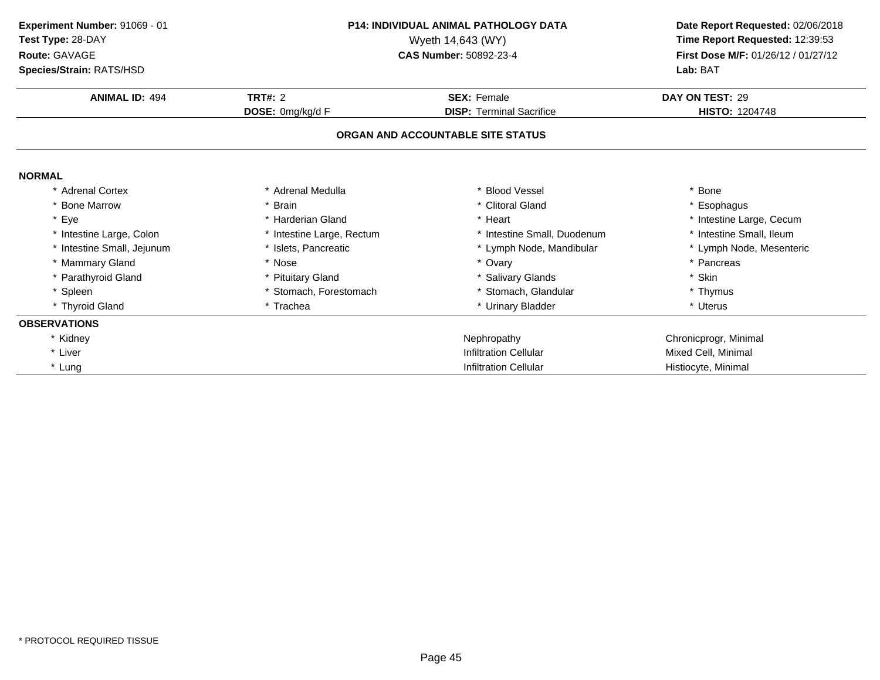| Experiment Number: 91069 - 01 | <b>P14: INDIVIDUAL ANIMAL PATHOLOGY DATA</b><br>Wyeth 14,643 (WY) |                                   | Date Report Requested: 02/06/2018   |  |
|-------------------------------|-------------------------------------------------------------------|-----------------------------------|-------------------------------------|--|
| Test Type: 28-DAY             |                                                                   |                                   | Time Report Requested: 12:39:53     |  |
| Route: GAVAGE                 |                                                                   | <b>CAS Number: 50892-23-4</b>     | First Dose M/F: 01/26/12 / 01/27/12 |  |
| Species/Strain: RATS/HSD      |                                                                   |                                   | Lab: BAT                            |  |
| <b>ANIMAL ID: 494</b>         | TRT#: 2                                                           | <b>SEX: Female</b>                | DAY ON TEST: 29                     |  |
|                               | DOSE: 0mg/kg/d F                                                  | <b>DISP: Terminal Sacrifice</b>   | <b>HISTO: 1204748</b>               |  |
|                               |                                                                   | ORGAN AND ACCOUNTABLE SITE STATUS |                                     |  |
| <b>NORMAL</b>                 |                                                                   |                                   |                                     |  |
| * Adrenal Cortex              | * Adrenal Medulla                                                 | * Blood Vessel                    | * Bone                              |  |
| * Bone Marrow                 | * Brain                                                           | * Clitoral Gland                  | * Esophagus                         |  |
| * Eye                         | * Harderian Gland                                                 | * Heart                           | * Intestine Large, Cecum            |  |
| * Intestine Large, Colon      | * Intestine Large, Rectum                                         | * Intestine Small, Duodenum       | * Intestine Small, Ileum            |  |
| * Intestine Small, Jejunum    | * Islets, Pancreatic                                              | * Lymph Node, Mandibular          | * Lymph Node, Mesenteric            |  |
| * Mammary Gland               | * Nose                                                            | * Ovary                           | * Pancreas                          |  |
| * Parathyroid Gland           | * Pituitary Gland                                                 | * Salivary Glands                 | * Skin                              |  |
| * Spleen                      | * Stomach, Forestomach                                            | * Stomach, Glandular              | * Thymus                            |  |
| * Thyroid Gland               | * Trachea                                                         | * Urinary Bladder                 | * Uterus                            |  |
| <b>OBSERVATIONS</b>           |                                                                   |                                   |                                     |  |
| * Kidney                      |                                                                   | Nephropathy                       | Chronicprogr, Minimal               |  |
| * Liver                       |                                                                   | <b>Infiltration Cellular</b>      | Mixed Cell, Minimal                 |  |
| * Lung                        |                                                                   | <b>Infiltration Cellular</b>      | Histiocyte, Minimal                 |  |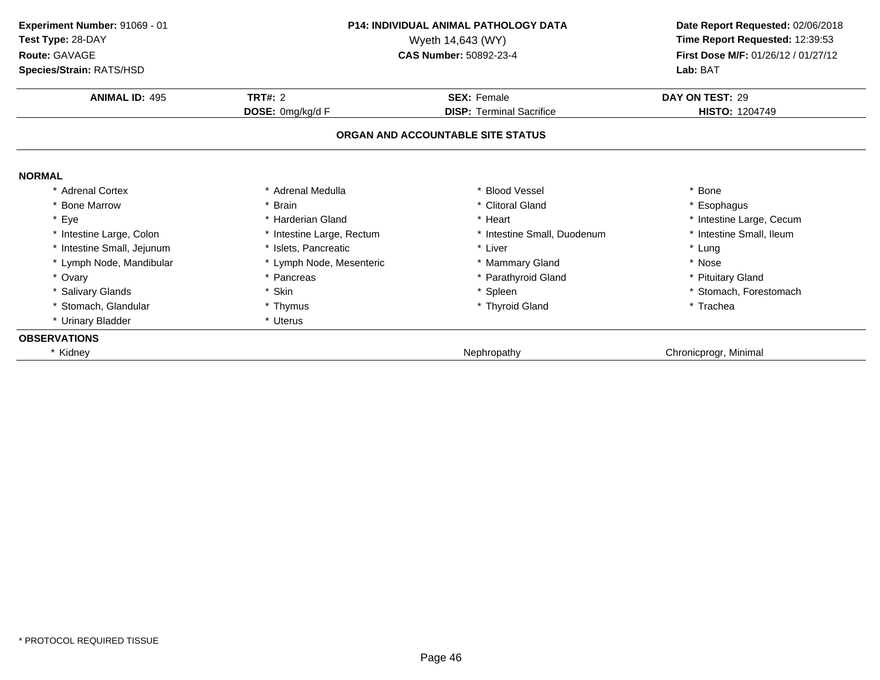| Experiment Number: 91069 - 01<br>Test Type: 28-DAY<br>Route: GAVAGE | P14: INDIVIDUAL ANIMAL PATHOLOGY DATA<br>Wyeth 14,643 (WY)<br><b>CAS Number: 50892-23-4</b> |                                   | Date Report Requested: 02/06/2018<br>Time Report Requested: 12:39:53<br>First Dose M/F: 01/26/12 / 01/27/12 |  |
|---------------------------------------------------------------------|---------------------------------------------------------------------------------------------|-----------------------------------|-------------------------------------------------------------------------------------------------------------|--|
| Species/Strain: RATS/HSD                                            |                                                                                             |                                   | Lab: BAT                                                                                                    |  |
| <b>ANIMAL ID: 495</b>                                               | <b>TRT#: 2</b>                                                                              | <b>SEX: Female</b>                | DAY ON TEST: 29                                                                                             |  |
|                                                                     | DOSE: 0mg/kg/d F                                                                            | <b>DISP: Terminal Sacrifice</b>   | <b>HISTO: 1204749</b>                                                                                       |  |
|                                                                     |                                                                                             | ORGAN AND ACCOUNTABLE SITE STATUS |                                                                                                             |  |
| <b>NORMAL</b>                                                       |                                                                                             |                                   |                                                                                                             |  |
| * Adrenal Cortex                                                    | * Adrenal Medulla                                                                           | * Blood Vessel                    | * Bone                                                                                                      |  |
| * Bone Marrow                                                       | * Brain                                                                                     | * Clitoral Gland                  | * Esophagus                                                                                                 |  |
| * Eye                                                               | * Harderian Gland                                                                           | * Heart                           | * Intestine Large, Cecum                                                                                    |  |
| Intestine Large, Colon                                              | * Intestine Large, Rectum                                                                   | * Intestine Small, Duodenum       | * Intestine Small, Ileum                                                                                    |  |
| Intestine Small, Jejunum                                            | * Islets, Pancreatic                                                                        | * Liver                           | * Lung                                                                                                      |  |
| * Lymph Node, Mandibular                                            | * Lymph Node, Mesenteric                                                                    | * Mammary Gland                   | * Nose                                                                                                      |  |
| * Ovary                                                             | * Pancreas                                                                                  | * Parathyroid Gland               | * Pituitary Gland                                                                                           |  |
| * Salivary Glands                                                   | <sup>'</sup> Skin                                                                           | * Spleen                          | * Stomach, Forestomach                                                                                      |  |
| * Stomach, Glandular                                                | * Thymus                                                                                    | * Thyroid Gland                   | * Trachea                                                                                                   |  |
| * Urinary Bladder                                                   | * Uterus                                                                                    |                                   |                                                                                                             |  |
| <b>OBSERVATIONS</b>                                                 |                                                                                             |                                   |                                                                                                             |  |
| * Kidney                                                            |                                                                                             | Nephropathy                       | Chronicprogr, Minimal                                                                                       |  |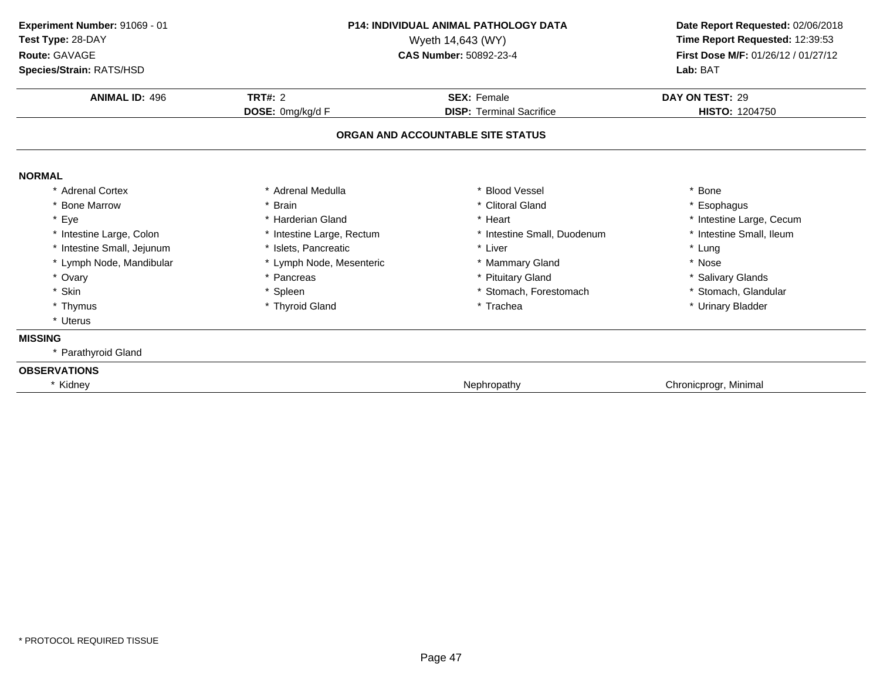| Experiment Number: 91069 - 01<br>Test Type: 28-DAY<br>Route: GAVAGE<br>Species/Strain: RATS/HSD | <b>P14: INDIVIDUAL ANIMAL PATHOLOGY DATA</b><br>Wyeth 14,643 (WY)<br><b>CAS Number: 50892-23-4</b> |                                   | Date Report Requested: 02/06/2018<br>Time Report Requested: 12:39:53<br>First Dose M/F: 01/26/12 / 01/27/12<br>Lab: BAT |
|-------------------------------------------------------------------------------------------------|----------------------------------------------------------------------------------------------------|-----------------------------------|-------------------------------------------------------------------------------------------------------------------------|
| <b>ANIMAL ID: 496</b>                                                                           | TRT#: $2$                                                                                          | <b>SEX: Female</b>                | DAY ON TEST: 29                                                                                                         |
|                                                                                                 | DOSE: 0mg/kg/d F                                                                                   | <b>DISP: Terminal Sacrifice</b>   | <b>HISTO: 1204750</b>                                                                                                   |
|                                                                                                 |                                                                                                    | ORGAN AND ACCOUNTABLE SITE STATUS |                                                                                                                         |
| <b>NORMAL</b>                                                                                   |                                                                                                    |                                   |                                                                                                                         |
| * Adrenal Cortex                                                                                | Adrenal Medulla                                                                                    | <b>Blood Vessel</b>               | * Bone                                                                                                                  |
| * Bone Marrow                                                                                   | * Brain                                                                                            | * Clitoral Gland                  | * Esophagus                                                                                                             |
| * Eye                                                                                           | * Harderian Gland                                                                                  | * Heart                           | * Intestine Large, Cecum                                                                                                |
| * Intestine Large, Colon                                                                        | * Intestine Large, Rectum                                                                          | * Intestine Small, Duodenum       | * Intestine Small, Ileum                                                                                                |
| * Intestine Small, Jejunum                                                                      | * Islets, Pancreatic                                                                               | * Liver                           | * Lung                                                                                                                  |
| * Lymph Node, Mandibular                                                                        | * Lymph Node, Mesenteric                                                                           | * Mammary Gland                   | * Nose                                                                                                                  |
| * Ovary                                                                                         | * Pancreas                                                                                         | * Pituitary Gland                 | * Salivary Glands                                                                                                       |
| * Skin                                                                                          | * Spleen                                                                                           | * Stomach, Forestomach            | * Stomach, Glandular                                                                                                    |
| * Thymus                                                                                        | * Thyroid Gland                                                                                    | * Trachea                         | * Urinary Bladder                                                                                                       |
| * Uterus                                                                                        |                                                                                                    |                                   |                                                                                                                         |
| <b>MISSING</b>                                                                                  |                                                                                                    |                                   |                                                                                                                         |
| * Parathyroid Gland                                                                             |                                                                                                    |                                   |                                                                                                                         |
| <b>OBSERVATIONS</b>                                                                             |                                                                                                    |                                   |                                                                                                                         |
| * Kidney                                                                                        |                                                                                                    | Nephropathy                       | Chronicprogr, Minimal                                                                                                   |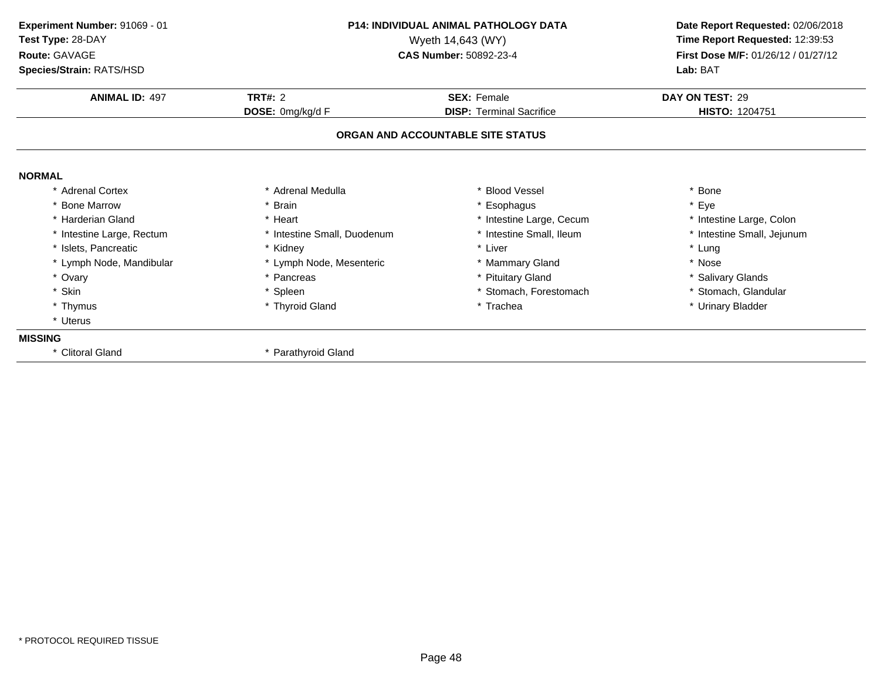| Experiment Number: 91069 - 01 |                             | <b>P14: INDIVIDUAL ANIMAL PATHOLOGY DATA</b> | Date Report Requested: 02/06/2018   |
|-------------------------------|-----------------------------|----------------------------------------------|-------------------------------------|
| Test Type: 28-DAY             | Wyeth 14,643 (WY)           |                                              | Time Report Requested: 12:39:53     |
| Route: GAVAGE                 |                             | <b>CAS Number: 50892-23-4</b>                | First Dose M/F: 01/26/12 / 01/27/12 |
| Species/Strain: RATS/HSD      |                             |                                              | Lab: BAT                            |
| <b>ANIMAL ID: 497</b>         | <b>TRT#: 2</b>              | <b>SEX: Female</b>                           | DAY ON TEST: 29                     |
|                               | DOSE: 0mg/kg/d F            | <b>DISP: Terminal Sacrifice</b>              | <b>HISTO: 1204751</b>               |
|                               |                             | ORGAN AND ACCOUNTABLE SITE STATUS            |                                     |
| <b>NORMAL</b>                 |                             |                                              |                                     |
| * Adrenal Cortex              | * Adrenal Medulla           | * Blood Vessel                               | * Bone                              |
| <b>Bone Marrow</b>            | <b>Brain</b>                | * Esophagus                                  | * Eye                               |
| * Harderian Gland             | * Heart                     | * Intestine Large, Cecum                     | * Intestine Large, Colon            |
| * Intestine Large, Rectum     | * Intestine Small, Duodenum | * Intestine Small, Ileum                     | * Intestine Small, Jejunum          |
| * Islets, Pancreatic          | * Kidney                    | * Liver                                      | * Lung                              |
| * Lymph Node, Mandibular      | * Lymph Node, Mesenteric    | * Mammary Gland                              | * Nose                              |
| * Ovary                       | * Pancreas                  | * Pituitary Gland                            | * Salivary Glands                   |
| * Skin                        | * Spleen                    | * Stomach, Forestomach                       | * Stomach, Glandular                |
| * Thymus                      | * Thyroid Gland             | * Trachea                                    | * Urinary Bladder                   |
| * Uterus                      |                             |                                              |                                     |
| <b>MISSING</b>                |                             |                                              |                                     |
| * Clitoral Gland              | * Parathyroid Gland         |                                              |                                     |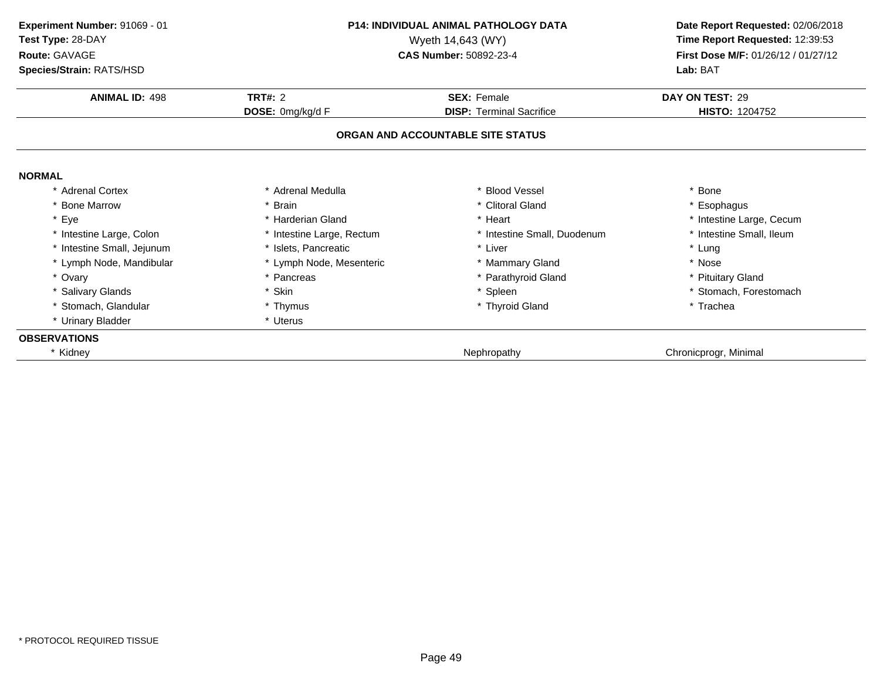| Experiment Number: 91069 - 01<br>Test Type: 28-DAY<br>Route: GAVAGE<br>Species/Strain: RATS/HSD |                                      | <b>P14: INDIVIDUAL ANIMAL PATHOLOGY DATA</b><br>Wyeth 14,643 (WY)<br>CAS Number: 50892-23-4 | Date Report Requested: 02/06/2018<br>Time Report Requested: 12:39:53<br>First Dose M/F: 01/26/12 / 01/27/12<br>Lab: BAT |
|-------------------------------------------------------------------------------------------------|--------------------------------------|---------------------------------------------------------------------------------------------|-------------------------------------------------------------------------------------------------------------------------|
| <b>ANIMAL ID: 498</b>                                                                           | <b>TRT#: 2</b><br><b>SEX: Female</b> |                                                                                             | DAY ON TEST: 29                                                                                                         |
|                                                                                                 | DOSE: 0mg/kg/d F                     | <b>DISP: Terminal Sacrifice</b>                                                             | <b>HISTO: 1204752</b>                                                                                                   |
|                                                                                                 |                                      | ORGAN AND ACCOUNTABLE SITE STATUS                                                           |                                                                                                                         |
| <b>NORMAL</b>                                                                                   |                                      |                                                                                             |                                                                                                                         |
| * Adrenal Cortex                                                                                | * Adrenal Medulla                    | * Blood Vessel                                                                              | * Bone                                                                                                                  |
| <b>Bone Marrow</b>                                                                              | * Brain                              | * Clitoral Gland                                                                            | * Esophagus                                                                                                             |
| * Eye                                                                                           | * Harderian Gland                    | * Heart                                                                                     | * Intestine Large, Cecum                                                                                                |
| * Intestine Large, Colon                                                                        | * Intestine Large, Rectum            | * Intestine Small, Duodenum                                                                 | * Intestine Small, Ileum                                                                                                |
| * Intestine Small, Jejunum                                                                      | * Islets, Pancreatic                 | * Liver                                                                                     | * Lung                                                                                                                  |
| * Lymph Node, Mandibular                                                                        | * Lymph Node, Mesenteric             | * Mammary Gland                                                                             | * Nose                                                                                                                  |
| * Ovary                                                                                         | * Pancreas                           | * Parathyroid Gland                                                                         | * Pituitary Gland                                                                                                       |
| * Salivary Glands                                                                               | * Skin                               | * Spleen                                                                                    | * Stomach, Forestomach                                                                                                  |
| * Stomach, Glandular                                                                            | * Thymus                             | * Thyroid Gland                                                                             | * Trachea                                                                                                               |
| * Urinary Bladder                                                                               | * Uterus                             |                                                                                             |                                                                                                                         |
| <b>OBSERVATIONS</b>                                                                             |                                      |                                                                                             |                                                                                                                         |
| * Kidney                                                                                        |                                      | Nephropathy                                                                                 | Chronicprogr, Minimal                                                                                                   |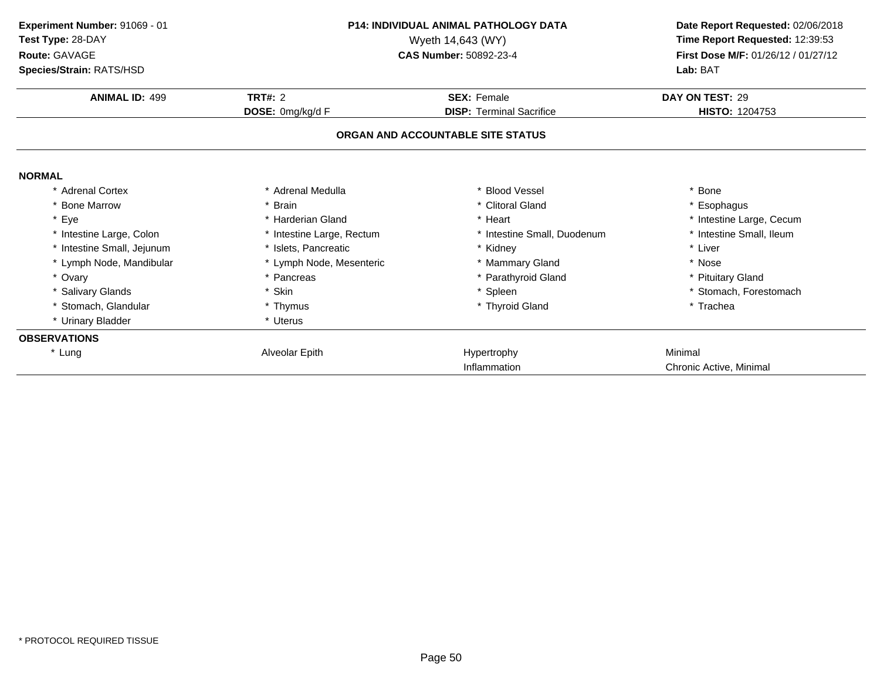| <b>P14: INDIVIDUAL ANIMAL PATHOLOGY DATA</b><br>Experiment Number: 91069 - 01<br>Test Type: 28-DAY<br>Wyeth 14,643 (WY) |                           |                                   | Date Report Requested: 02/06/2018<br>Time Report Requested: 12:39:53 |
|-------------------------------------------------------------------------------------------------------------------------|---------------------------|-----------------------------------|----------------------------------------------------------------------|
| Route: GAVAGE                                                                                                           |                           | CAS Number: 50892-23-4            | First Dose M/F: 01/26/12 / 01/27/12                                  |
| Species/Strain: RATS/HSD                                                                                                |                           |                                   | Lab: BAT                                                             |
| <b>ANIMAL ID: 499</b>                                                                                                   | <b>TRT#: 2</b>            | <b>SEX: Female</b>                | DAY ON TEST: 29                                                      |
|                                                                                                                         | DOSE: 0mg/kg/d F          | <b>DISP: Terminal Sacrifice</b>   | HISTO: 1204753                                                       |
|                                                                                                                         |                           | ORGAN AND ACCOUNTABLE SITE STATUS |                                                                      |
| <b>NORMAL</b>                                                                                                           |                           |                                   |                                                                      |
| <b>Adrenal Cortex</b>                                                                                                   | * Adrenal Medulla         | * Blood Vessel                    | * Bone                                                               |
| <b>Bone Marrow</b>                                                                                                      | * Brain                   | * Clitoral Gland                  | * Esophagus                                                          |
| * Eye                                                                                                                   | * Harderian Gland         | * Heart                           | * Intestine Large, Cecum                                             |
| * Intestine Large, Colon                                                                                                | * Intestine Large, Rectum | * Intestine Small, Duodenum       | * Intestine Small, Ileum                                             |
| * Intestine Small, Jejunum                                                                                              | * Islets. Pancreatic      | * Kidney                          | * Liver                                                              |
| * Lymph Node, Mandibular                                                                                                | * Lymph Node, Mesenteric  | * Mammary Gland                   | * Nose                                                               |
| * Ovary                                                                                                                 | * Pancreas                | * Parathyroid Gland               | * Pituitary Gland                                                    |
| * Salivary Glands                                                                                                       | * Skin                    | * Spleen                          | * Stomach, Forestomach                                               |
| * Stomach, Glandular                                                                                                    | * Thymus                  | * Thyroid Gland                   | * Trachea                                                            |
| * Urinary Bladder                                                                                                       | * Uterus                  |                                   |                                                                      |
| <b>OBSERVATIONS</b>                                                                                                     |                           |                                   |                                                                      |
| * Lung                                                                                                                  | Alveolar Epith            | Hypertrophy                       | Minimal                                                              |
|                                                                                                                         |                           | Inflammation                      | Chronic Active, Minimal                                              |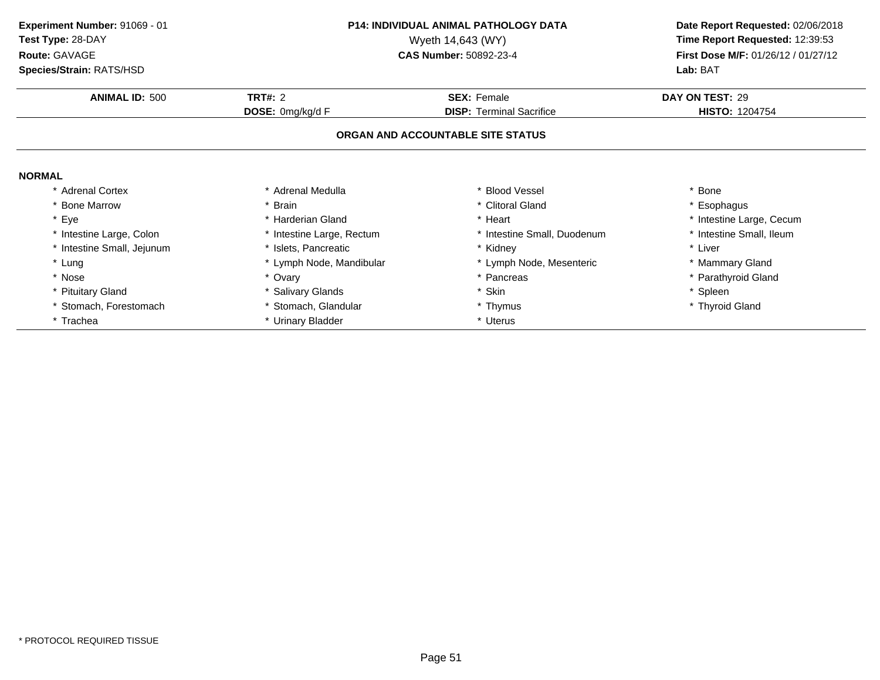**ANIMAL ID:** <sup>500</sup> **TRT#:** <sup>2</sup> **SEX:** Female **DAY ON TEST:** <sup>29</sup> **DOSE:** 0mg/kg/d F**DISP:** Terminal Sacrifice **HISTO:** 1204754 **ORGAN AND ACCOUNTABLE SITE STATUSNORMAL** \* Adrenal Cortex\* Adrenal Medulla<br>\* Brain a the set of the set of the set of the set of the set of the set of the set of the set of the set of the set o<br>Set of the set of the set of the set of the set of the set of the set of the set of the set of the set of the s \* Bone Marrow \* Brain \* Clitoral Gland \* Esophagus \* Eyee the second of the second term in the second term in the second term in the second term in the second term in the second term in the second term in the second term in the second term in the second term in the second term \* Intestine Small, Ileum \* Intestine Large, Colon\* Intestine Large, Rectum<br>\* Islets, Pancreatic \* Intestine Small, Duodenum \* 11test<br>
\* Kidney \* Liver \* Intestine Small, Jejunum \* Islets, Pancreatic \* Kidney \* Liver \* Lung\* Lymph Node, Mandibular \* 1990 \* Lymph Node, Mesenteric \* \* Mammary Gland<br>\* Ovary \* Pancreas \* Pancreas \* Pancreas \* \* Parathyroid Gland \* Nosee the second of the second of the second of the second of the second of the second of the second of the second  $^*$  Parathyroid Gland \* Pituitary Gland \* Salivary Glands \* Skin \* Spleen \* Stomach, Forestomach\* Stomach, Glandular \* \* Thymus \* Thymus \* Thyroid Gland \* Thyroid Gland \* Thyroid Gland \* Urinary Bladder \* Trachea\* Urinary Bladder **Experiment Number:** 91069 - 01 **P14: INDIVIDUAL ANIMAL PATHOLOGY DATA Date Report Requested:** 02/06/2018 **Test Type:** 28-DAYWyeth 14,643 (WY) **Time Report Requested:** 12:39:53<br>**CAS Number:** 50892-23-4 **Time Report Requested:** 12:39:53 **Route:** GAVAGE**First Dose M/F:** 01/26/12 / 01/27/12<br>**Lab:** BAT **Species/Strain:** RATS/HSD**Lab:** BAT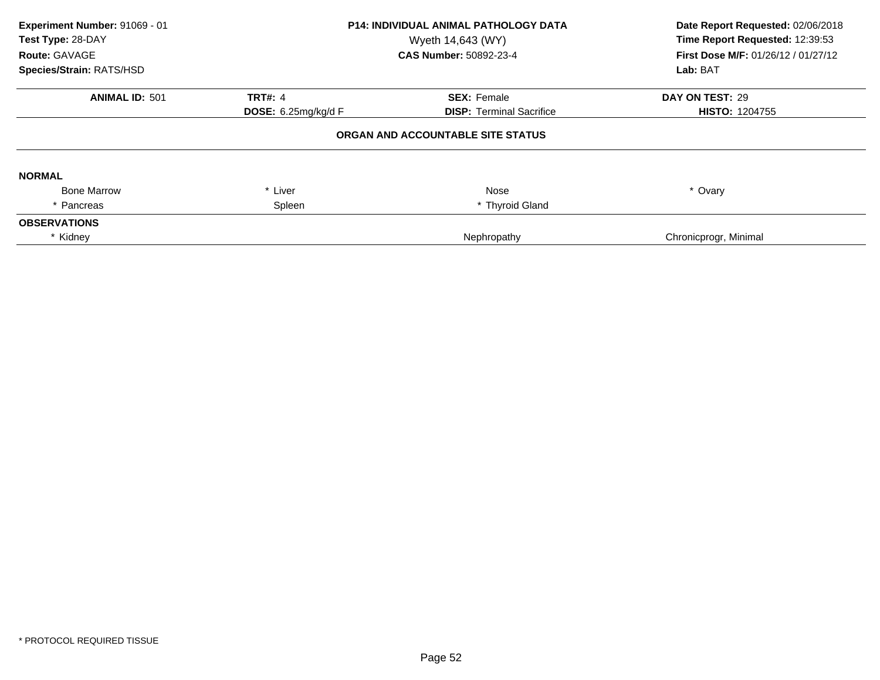| Experiment Number: 91069 - 01<br>Test Type: 28-DAY<br>Route: GAVAGE<br>Species/Strain: RATS/HSD | <b>P14: INDIVIDUAL ANIMAL PATHOLOGY DATA</b><br>Wyeth 14,643 (WY)<br>CAS Number: 50892-23-4 |                                   | Date Report Requested: 02/06/2018<br>Time Report Requested: 12:39:53<br>First Dose M/F: 01/26/12 / 01/27/12<br>Lab: BAT |
|-------------------------------------------------------------------------------------------------|---------------------------------------------------------------------------------------------|-----------------------------------|-------------------------------------------------------------------------------------------------------------------------|
| <b>ANIMAL ID: 501</b>                                                                           | <b>TRT#: 4</b>                                                                              | <b>SEX: Female</b>                | DAY ON TEST: 29                                                                                                         |
|                                                                                                 | <b>DOSE:</b> $6.25$ mg/kg/d F                                                               | <b>DISP: Terminal Sacrifice</b>   | <b>HISTO: 1204755</b>                                                                                                   |
|                                                                                                 |                                                                                             | ORGAN AND ACCOUNTABLE SITE STATUS |                                                                                                                         |
| <b>NORMAL</b>                                                                                   |                                                                                             |                                   |                                                                                                                         |
| <b>Bone Marrow</b>                                                                              | * Liver                                                                                     | Nose                              | * Ovary                                                                                                                 |
| * Pancreas                                                                                      | Spleen                                                                                      | * Thyroid Gland                   |                                                                                                                         |
| <b>OBSERVATIONS</b>                                                                             |                                                                                             |                                   |                                                                                                                         |
| * Kidney                                                                                        |                                                                                             | Nephropathy                       | Chronicprogr, Minimal                                                                                                   |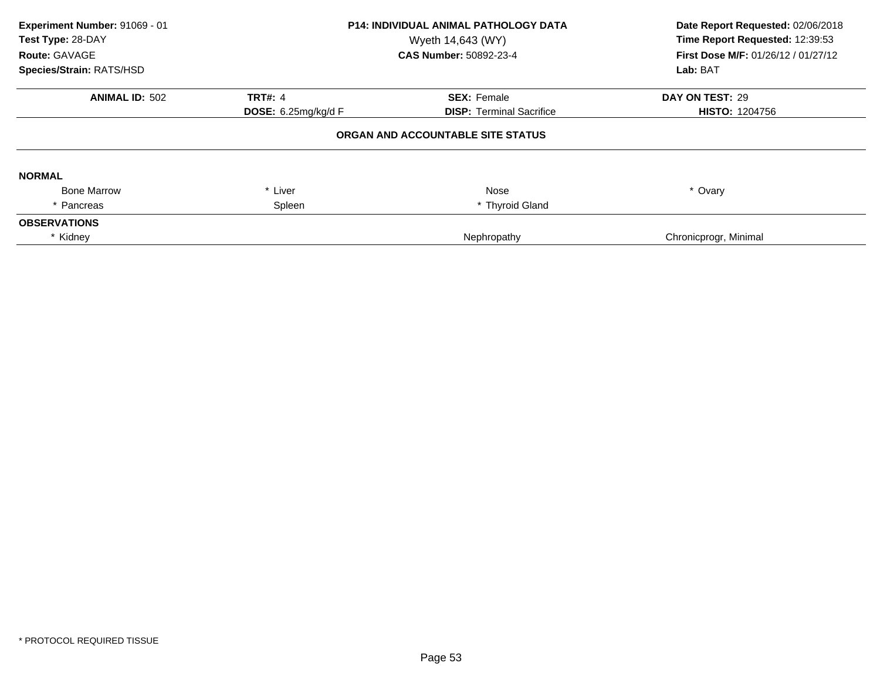| Experiment Number: 91069 - 01<br>Test Type: 28-DAY<br>Route: GAVAGE<br>Species/Strain: RATS/HSD | <b>P14: INDIVIDUAL ANIMAL PATHOLOGY DATA</b><br>Wyeth 14,643 (WY)<br>CAS Number: 50892-23-4 |                                   | Date Report Requested: 02/06/2018<br>Time Report Requested: 12:39:53<br>First Dose M/F: 01/26/12 / 01/27/12<br>Lab: BAT |
|-------------------------------------------------------------------------------------------------|---------------------------------------------------------------------------------------------|-----------------------------------|-------------------------------------------------------------------------------------------------------------------------|
| <b>ANIMAL ID: 502</b>                                                                           | <b>TRT#: 4</b>                                                                              | <b>SEX: Female</b>                | DAY ON TEST: 29                                                                                                         |
|                                                                                                 | <b>DOSE:</b> $6.25$ mg/kg/d F                                                               | <b>DISP: Terminal Sacrifice</b>   | <b>HISTO: 1204756</b>                                                                                                   |
|                                                                                                 |                                                                                             | ORGAN AND ACCOUNTABLE SITE STATUS |                                                                                                                         |
| <b>NORMAL</b>                                                                                   |                                                                                             |                                   |                                                                                                                         |
| <b>Bone Marrow</b>                                                                              | * Liver                                                                                     | Nose                              | * Ovary                                                                                                                 |
| * Pancreas                                                                                      | Spleen                                                                                      | * Thyroid Gland                   |                                                                                                                         |
| <b>OBSERVATIONS</b>                                                                             |                                                                                             |                                   |                                                                                                                         |
| * Kidney                                                                                        |                                                                                             | Nephropathy                       | Chronicprogr, Minimal                                                                                                   |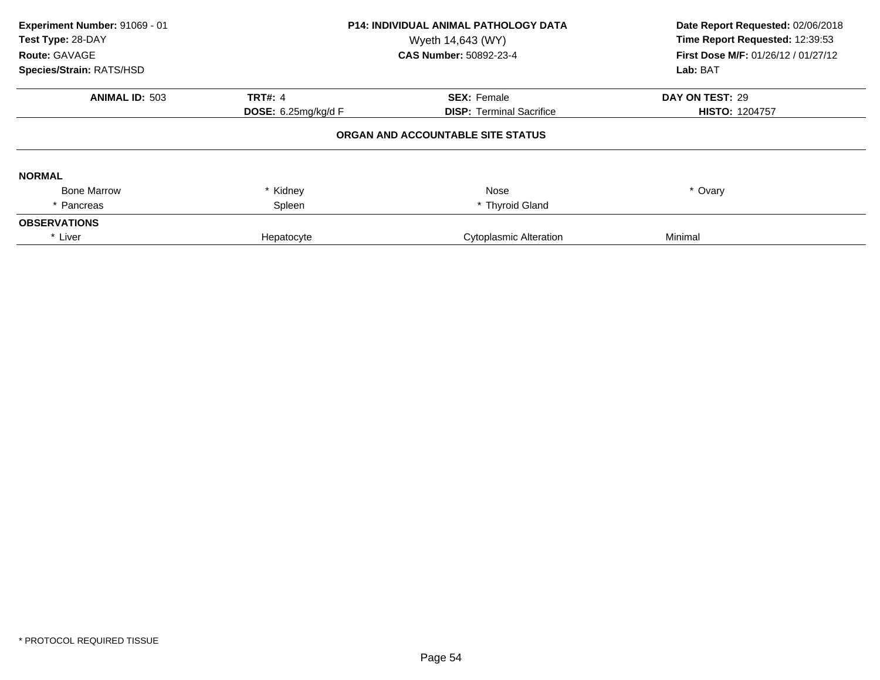| Experiment Number: 91069 - 01<br>Test Type: 28-DAY<br>Route: GAVAGE<br>Species/Strain: RATS/HSD | <b>P14: INDIVIDUAL ANIMAL PATHOLOGY DATA</b><br>Wyeth 14,643 (WY)<br>CAS Number: 50892-23-4 |                                                       | Date Report Requested: 02/06/2018<br>Time Report Requested: 12:39:53<br>First Dose M/F: 01/26/12 / 01/27/12<br>Lab: BAT |  |
|-------------------------------------------------------------------------------------------------|---------------------------------------------------------------------------------------------|-------------------------------------------------------|-------------------------------------------------------------------------------------------------------------------------|--|
| <b>ANIMAL ID: 503</b>                                                                           | <b>TRT#: 4</b><br><b>DOSE:</b> $6.25$ mg/kg/d F                                             | <b>SEX: Female</b><br><b>DISP: Terminal Sacrifice</b> | DAY ON TEST: 29<br><b>HISTO: 1204757</b>                                                                                |  |
| ORGAN AND ACCOUNTABLE SITE STATUS                                                               |                                                                                             |                                                       |                                                                                                                         |  |
| <b>NORMAL</b>                                                                                   |                                                                                             |                                                       |                                                                                                                         |  |
| <b>Bone Marrow</b>                                                                              | * Kidney                                                                                    | Nose                                                  | * Ovary                                                                                                                 |  |
| * Pancreas                                                                                      | Spleen                                                                                      | * Thyroid Gland                                       |                                                                                                                         |  |
| <b>OBSERVATIONS</b>                                                                             |                                                                                             |                                                       |                                                                                                                         |  |
| * Liver                                                                                         | Hepatocyte                                                                                  | <b>Cytoplasmic Alteration</b>                         | Minimal                                                                                                                 |  |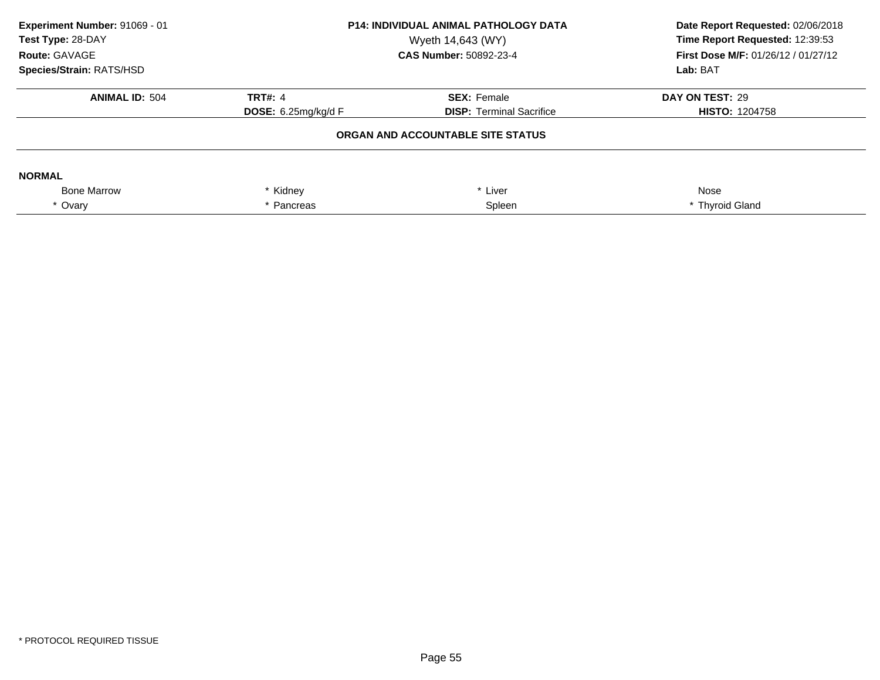| Experiment Number: 91069 - 01<br>Test Type: 28-DAY<br>Route: GAVAGE<br>Species/Strain: RATS/HSD | <b>P14: INDIVIDUAL ANIMAL PATHOLOGY DATA</b><br>Wyeth 14,643 (WY)<br><b>CAS Number: 50892-23-4</b> |                                   | Date Report Requested: 02/06/2018<br>Time Report Requested: 12:39:53<br>First Dose M/F: 01/26/12 / 01/27/12<br>Lab: BAT |
|-------------------------------------------------------------------------------------------------|----------------------------------------------------------------------------------------------------|-----------------------------------|-------------------------------------------------------------------------------------------------------------------------|
| <b>ANIMAL ID: 504</b>                                                                           | <b>TRT#: 4</b>                                                                                     | <b>SEX: Female</b>                | DAY ON TEST: 29                                                                                                         |
|                                                                                                 | DOSE: $6.25$ mg/kg/d F                                                                             | <b>DISP:</b> Terminal Sacrifice   | <b>HISTO: 1204758</b>                                                                                                   |
|                                                                                                 |                                                                                                    | ORGAN AND ACCOUNTABLE SITE STATUS |                                                                                                                         |
| <b>NORMAL</b>                                                                                   |                                                                                                    |                                   |                                                                                                                         |
| <b>Bone Marrow</b>                                                                              | * Kidney                                                                                           | * Liver                           | Nose                                                                                                                    |
| * Ovary                                                                                         | Pancreas                                                                                           | Spleen                            | * Thyroid Gland                                                                                                         |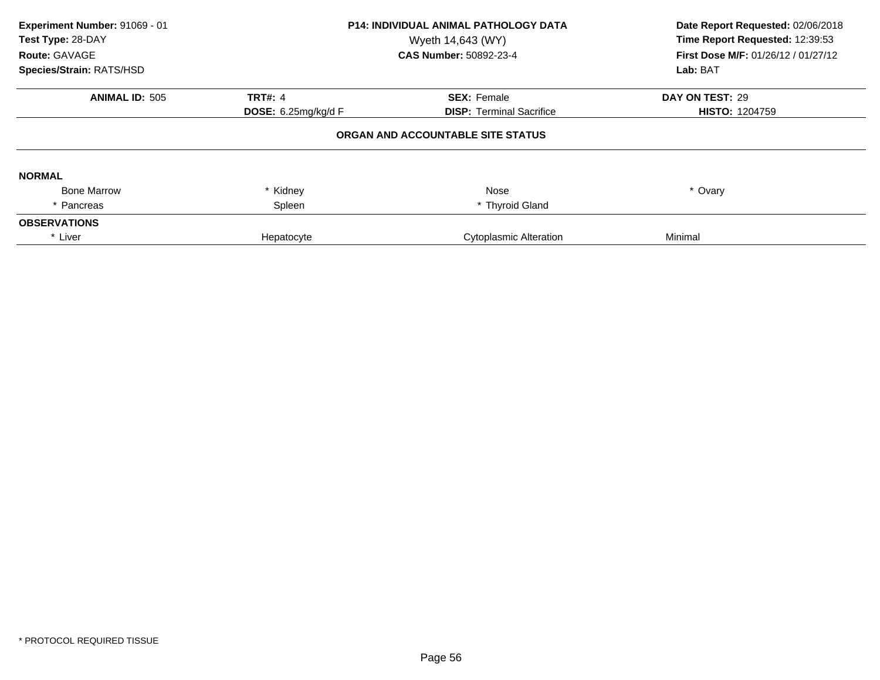| Experiment Number: 91069 - 01<br>Test Type: 28-DAY<br>Route: GAVAGE<br>Species/Strain: RATS/HSD | <b>P14: INDIVIDUAL ANIMAL PATHOLOGY DATA</b><br>Wyeth 14,643 (WY)<br>CAS Number: 50892-23-4 |                                                       | Date Report Requested: 02/06/2018<br>Time Report Requested: 12:39:53<br>First Dose M/F: 01/26/12 / 01/27/12<br>Lab: BAT |
|-------------------------------------------------------------------------------------------------|---------------------------------------------------------------------------------------------|-------------------------------------------------------|-------------------------------------------------------------------------------------------------------------------------|
| <b>ANIMAL ID: 505</b>                                                                           | <b>TRT#: 4</b><br><b>DOSE:</b> $6.25$ mg/kg/d F                                             | <b>SEX: Female</b><br><b>DISP: Terminal Sacrifice</b> | DAY ON TEST: 29<br><b>HISTO: 1204759</b>                                                                                |
|                                                                                                 |                                                                                             | ORGAN AND ACCOUNTABLE SITE STATUS                     |                                                                                                                         |
| <b>NORMAL</b>                                                                                   |                                                                                             |                                                       |                                                                                                                         |
| <b>Bone Marrow</b>                                                                              | * Kidney                                                                                    | Nose                                                  | * Ovary                                                                                                                 |
| * Pancreas                                                                                      | Spleen                                                                                      | * Thyroid Gland                                       |                                                                                                                         |
| <b>OBSERVATIONS</b>                                                                             |                                                                                             |                                                       |                                                                                                                         |
| * Liver                                                                                         | Hepatocyte                                                                                  | <b>Cytoplasmic Alteration</b>                         | Minimal                                                                                                                 |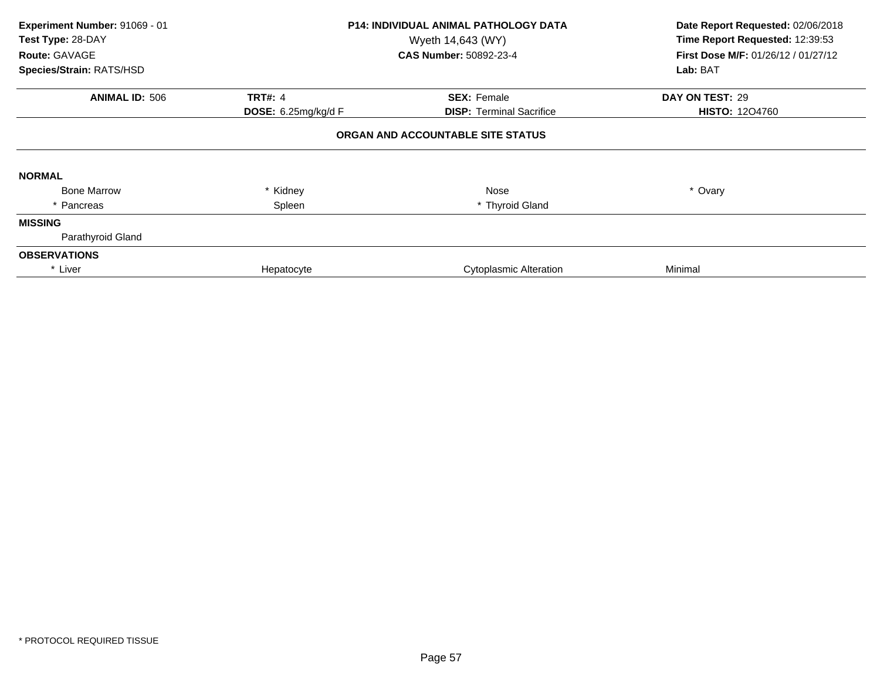| Experiment Number: 91069 - 01<br>Test Type: 28-DAY<br>Route: GAVAGE<br>Species/Strain: RATS/HSD |                     | <b>P14: INDIVIDUAL ANIMAL PATHOLOGY DATA</b><br>Wyeth 14,643 (WY)<br><b>CAS Number: 50892-23-4</b> | Date Report Requested: 02/06/2018<br>Time Report Requested: 12:39:53<br>First Dose M/F: 01/26/12 / 01/27/12<br>Lab: BAT |
|-------------------------------------------------------------------------------------------------|---------------------|----------------------------------------------------------------------------------------------------|-------------------------------------------------------------------------------------------------------------------------|
| <b>ANIMAL ID: 506</b>                                                                           | <b>TRT#: 4</b>      | <b>SEX: Female</b>                                                                                 | DAY ON TEST: 29                                                                                                         |
|                                                                                                 | DOSE: 6.25mg/kg/d F | <b>DISP:</b> Terminal Sacrifice                                                                    | <b>HISTO: 1204760</b>                                                                                                   |
|                                                                                                 |                     | ORGAN AND ACCOUNTABLE SITE STATUS                                                                  |                                                                                                                         |
| <b>NORMAL</b>                                                                                   |                     |                                                                                                    |                                                                                                                         |
| <b>Bone Marrow</b>                                                                              | * Kidney            | Nose                                                                                               | * Ovary                                                                                                                 |
| * Pancreas                                                                                      | Spleen              | * Thyroid Gland                                                                                    |                                                                                                                         |
| <b>MISSING</b>                                                                                  |                     |                                                                                                    |                                                                                                                         |
| Parathyroid Gland                                                                               |                     |                                                                                                    |                                                                                                                         |
| <b>OBSERVATIONS</b>                                                                             |                     |                                                                                                    |                                                                                                                         |
| * Liver                                                                                         | Hepatocyte          | <b>Cytoplasmic Alteration</b>                                                                      | Minimal                                                                                                                 |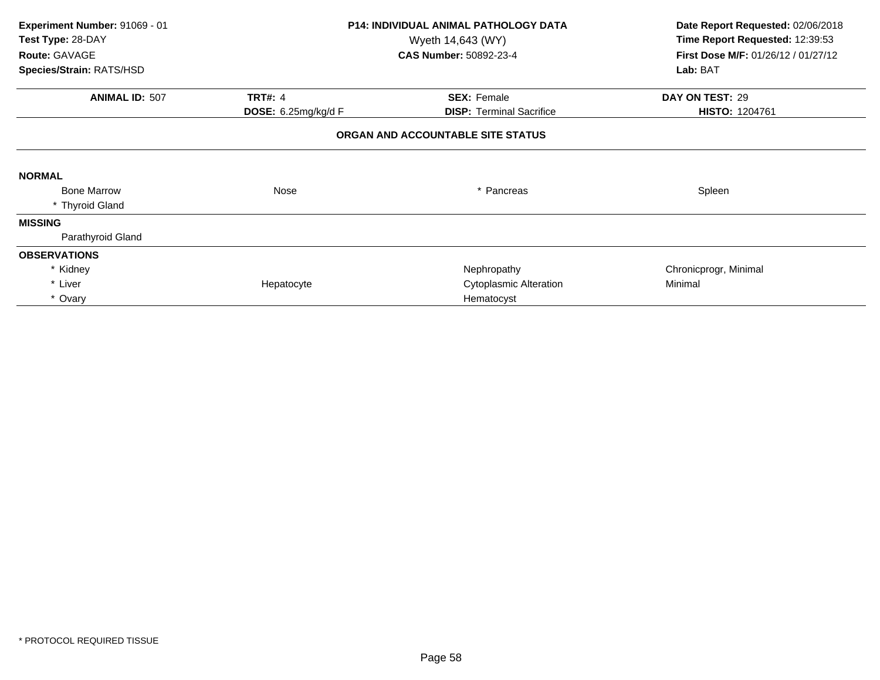| Experiment Number: 91069 - 01<br>Test Type: 28-DAY<br>Route: GAVAGE | <b>P14: INDIVIDUAL ANIMAL PATHOLOGY DATA</b><br>Wyeth 14,643 (WY)<br><b>CAS Number: 50892-23-4</b> |                                   | Date Report Requested: 02/06/2018<br>Time Report Requested: 12:39:53<br>First Dose M/F: 01/26/12 / 01/27/12 |  |
|---------------------------------------------------------------------|----------------------------------------------------------------------------------------------------|-----------------------------------|-------------------------------------------------------------------------------------------------------------|--|
| Species/Strain: RATS/HSD                                            |                                                                                                    |                                   | Lab: BAT                                                                                                    |  |
| <b>ANIMAL ID: 507</b>                                               | <b>TRT#: 4</b>                                                                                     | <b>SEX: Female</b>                | DAY ON TEST: 29                                                                                             |  |
|                                                                     | <b>DOSE:</b> 6.25mg/kg/d F                                                                         | <b>DISP: Terminal Sacrifice</b>   | HISTO: 1204761                                                                                              |  |
|                                                                     |                                                                                                    | ORGAN AND ACCOUNTABLE SITE STATUS |                                                                                                             |  |
| <b>NORMAL</b>                                                       |                                                                                                    |                                   |                                                                                                             |  |
| <b>Bone Marrow</b>                                                  | Nose                                                                                               | * Pancreas                        | Spleen                                                                                                      |  |
| * Thyroid Gland                                                     |                                                                                                    |                                   |                                                                                                             |  |
| <b>MISSING</b>                                                      |                                                                                                    |                                   |                                                                                                             |  |
| Parathyroid Gland                                                   |                                                                                                    |                                   |                                                                                                             |  |
| <b>OBSERVATIONS</b>                                                 |                                                                                                    |                                   |                                                                                                             |  |
| * Kidney                                                            |                                                                                                    | Nephropathy                       | Chronicprogr, Minimal                                                                                       |  |
| * Liver                                                             | Hepatocyte                                                                                         | <b>Cytoplasmic Alteration</b>     | Minimal                                                                                                     |  |
| * Ovary                                                             |                                                                                                    | Hematocyst                        |                                                                                                             |  |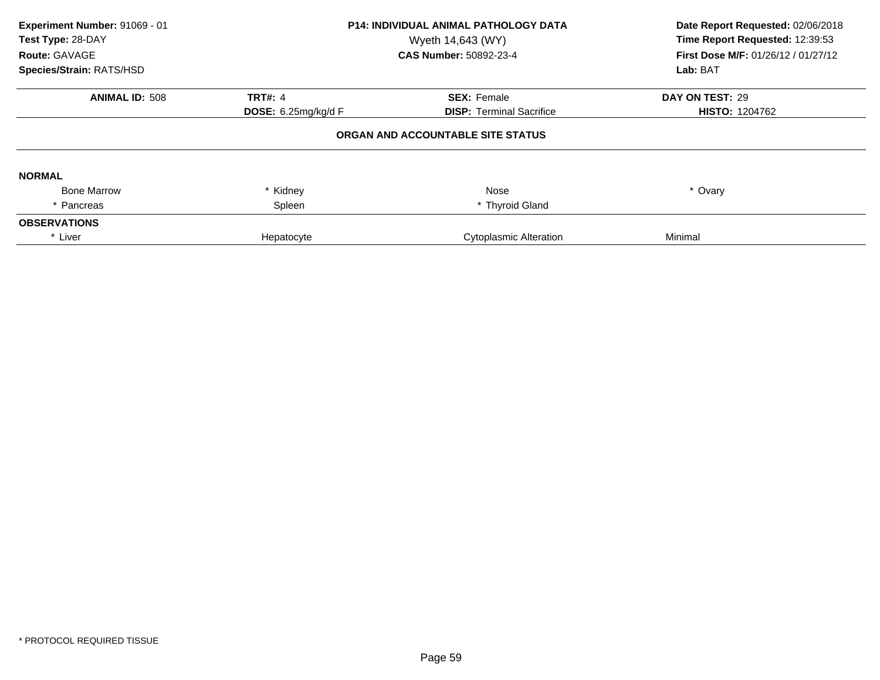| Experiment Number: 91069 - 01<br>Test Type: 28-DAY<br>Route: GAVAGE<br>Species/Strain: RATS/HSD | <b>P14: INDIVIDUAL ANIMAL PATHOLOGY DATA</b><br>Wyeth 14,643 (WY)<br>CAS Number: 50892-23-4 |                                                       | Date Report Requested: 02/06/2018<br>Time Report Requested: 12:39:53<br>First Dose M/F: 01/26/12 / 01/27/12<br>Lab: BAT |  |
|-------------------------------------------------------------------------------------------------|---------------------------------------------------------------------------------------------|-------------------------------------------------------|-------------------------------------------------------------------------------------------------------------------------|--|
| <b>ANIMAL ID: 508</b>                                                                           | <b>TRT#: 4</b><br><b>DOSE:</b> $6.25$ mg/kg/d F                                             | <b>SEX: Female</b><br><b>DISP: Terminal Sacrifice</b> | DAY ON TEST: 29<br><b>HISTO: 1204762</b>                                                                                |  |
| ORGAN AND ACCOUNTABLE SITE STATUS                                                               |                                                                                             |                                                       |                                                                                                                         |  |
| <b>NORMAL</b>                                                                                   |                                                                                             |                                                       |                                                                                                                         |  |
| <b>Bone Marrow</b>                                                                              | * Kidney                                                                                    | Nose                                                  | * Ovary                                                                                                                 |  |
| * Pancreas                                                                                      | Spleen                                                                                      | * Thyroid Gland                                       |                                                                                                                         |  |
| <b>OBSERVATIONS</b>                                                                             |                                                                                             |                                                       |                                                                                                                         |  |
| * Liver                                                                                         | Hepatocyte                                                                                  | <b>Cytoplasmic Alteration</b>                         | Minimal                                                                                                                 |  |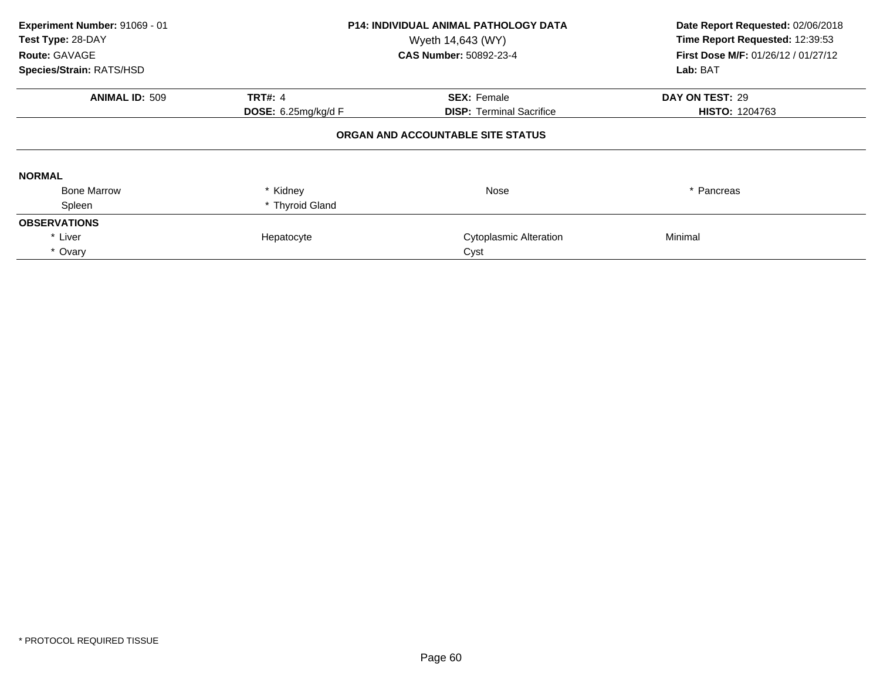| Experiment Number: 91069 - 01<br>Test Type: 28-DAY<br>Route: GAVAGE<br>Species/Strain: RATS/HSD                                  |                 | <b>P14: INDIVIDUAL ANIMAL PATHOLOGY DATA</b><br>Wyeth 14,643 (WY)<br><b>CAS Number: 50892-23-4</b> | Date Report Requested: 02/06/2018<br>Time Report Requested: 12:39:53<br>First Dose M/F: 01/26/12 / 01/27/12<br>Lab: BAT |  |  |
|----------------------------------------------------------------------------------------------------------------------------------|-----------------|----------------------------------------------------------------------------------------------------|-------------------------------------------------------------------------------------------------------------------------|--|--|
| <b>ANIMAL ID: 509</b><br><b>TRT#: 4</b><br><b>SEX: Female</b><br><b>DOSE:</b> 6.25mg/kg/d $F$<br><b>DISP:</b> Terminal Sacrifice |                 |                                                                                                    | DAY ON TEST: 29<br><b>HISTO: 1204763</b>                                                                                |  |  |
| ORGAN AND ACCOUNTABLE SITE STATUS                                                                                                |                 |                                                                                                    |                                                                                                                         |  |  |
| <b>NORMAL</b>                                                                                                                    |                 |                                                                                                    |                                                                                                                         |  |  |
| <b>Bone Marrow</b>                                                                                                               | * Kidney        | Nose                                                                                               | * Pancreas                                                                                                              |  |  |
| Spleen                                                                                                                           | * Thyroid Gland |                                                                                                    |                                                                                                                         |  |  |
| <b>OBSERVATIONS</b>                                                                                                              |                 |                                                                                                    |                                                                                                                         |  |  |
| * Liver                                                                                                                          | Hepatocyte      | <b>Cytoplasmic Alteration</b>                                                                      | Minimal                                                                                                                 |  |  |
| * Ovary                                                                                                                          |                 | Cyst                                                                                               |                                                                                                                         |  |  |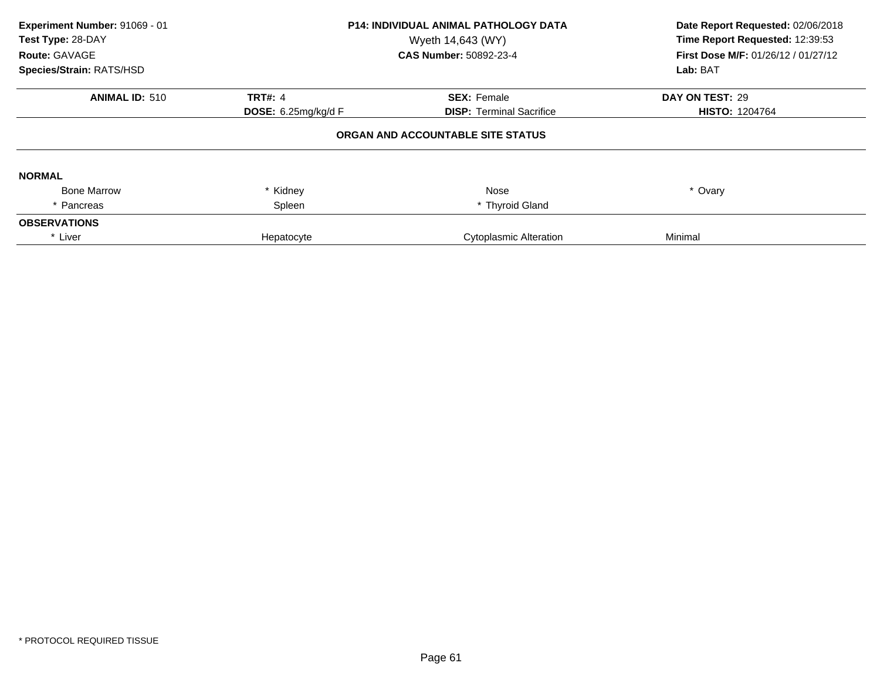| Experiment Number: 91069 - 01<br>Test Type: 28-DAY<br>Route: GAVAGE<br>Species/Strain: RATS/HSD | <b>P14: INDIVIDUAL ANIMAL PATHOLOGY DATA</b><br>Wyeth 14,643 (WY)<br>CAS Number: 50892-23-4 |                                   | Date Report Requested: 02/06/2018<br>Time Report Requested: 12:39:53<br>First Dose M/F: 01/26/12 / 01/27/12<br>Lab: BAT |
|-------------------------------------------------------------------------------------------------|---------------------------------------------------------------------------------------------|-----------------------------------|-------------------------------------------------------------------------------------------------------------------------|
| <b>ANIMAL ID: 510</b>                                                                           | <b>TRT#: 4</b>                                                                              | <b>SEX: Female</b>                | DAY ON TEST: 29                                                                                                         |
|                                                                                                 | DOSE: 6.25mg/kg/d F                                                                         | <b>DISP: Terminal Sacrifice</b>   | <b>HISTO: 1204764</b>                                                                                                   |
|                                                                                                 |                                                                                             | ORGAN AND ACCOUNTABLE SITE STATUS |                                                                                                                         |
| <b>NORMAL</b>                                                                                   |                                                                                             |                                   |                                                                                                                         |
| <b>Bone Marrow</b>                                                                              | * Kidney                                                                                    | Nose                              | * Ovary                                                                                                                 |
| * Pancreas                                                                                      | Spleen                                                                                      | * Thyroid Gland                   |                                                                                                                         |
| <b>OBSERVATIONS</b>                                                                             |                                                                                             |                                   |                                                                                                                         |
| * Liver                                                                                         | Hepatocyte                                                                                  | Cytoplasmic Alteration            | Minimal                                                                                                                 |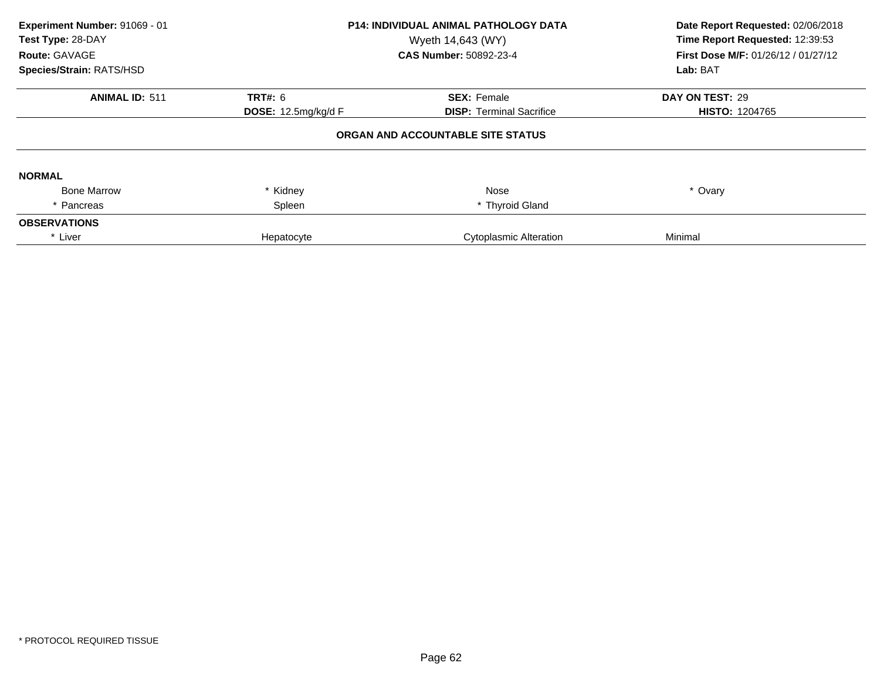| Experiment Number: 91069 - 01<br>Test Type: 28-DAY<br>Route: GAVAGE<br>Species/Strain: RATS/HSD | <b>P14: INDIVIDUAL ANIMAL PATHOLOGY DATA</b><br>Wyeth 14,643 (WY)<br><b>CAS Number: 50892-23-4</b> |                                   | Date Report Requested: 02/06/2018<br>Time Report Requested: 12:39:53<br>First Dose M/F: 01/26/12 / 01/27/12<br>Lab: BAT |
|-------------------------------------------------------------------------------------------------|----------------------------------------------------------------------------------------------------|-----------------------------------|-------------------------------------------------------------------------------------------------------------------------|
| <b>ANIMAL ID: 511</b>                                                                           | <b>TRT#: 6</b>                                                                                     | <b>SEX: Female</b>                | DAY ON TEST: 29                                                                                                         |
|                                                                                                 | DOSE: 12.5mg/kg/d F                                                                                | <b>DISP: Terminal Sacrifice</b>   | <b>HISTO: 1204765</b>                                                                                                   |
|                                                                                                 |                                                                                                    | ORGAN AND ACCOUNTABLE SITE STATUS |                                                                                                                         |
| <b>NORMAL</b>                                                                                   |                                                                                                    |                                   |                                                                                                                         |
| <b>Bone Marrow</b>                                                                              | Kidney                                                                                             | Nose                              | * Ovary                                                                                                                 |
| Pancreas                                                                                        | Spleen                                                                                             | * Thyroid Gland                   |                                                                                                                         |
| <b>OBSERVATIONS</b>                                                                             |                                                                                                    |                                   |                                                                                                                         |
| * Liver                                                                                         | Hepatocyte                                                                                         | <b>Cytoplasmic Alteration</b>     | Minimal                                                                                                                 |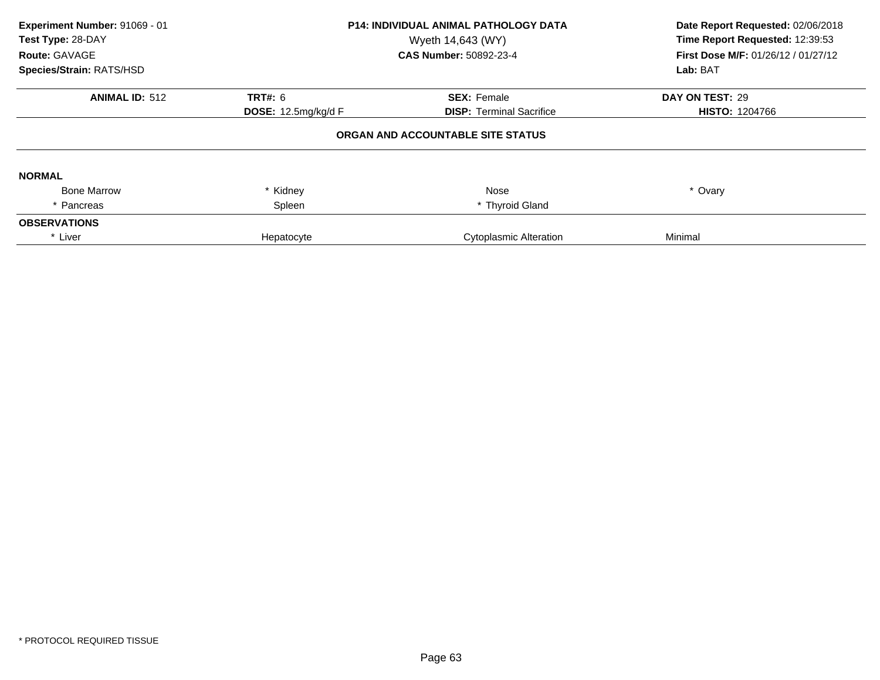| Experiment Number: 91069 - 01<br>Test Type: 28-DAY<br>Route: GAVAGE<br>Species/Strain: RATS/HSD | <b>P14: INDIVIDUAL ANIMAL PATHOLOGY DATA</b><br>Wyeth 14,643 (WY)<br><b>CAS Number: 50892-23-4</b> |                                   | Date Report Requested: 02/06/2018<br>Time Report Requested: 12:39:53<br>First Dose M/F: 01/26/12 / 01/27/12<br>Lab: BAT |
|-------------------------------------------------------------------------------------------------|----------------------------------------------------------------------------------------------------|-----------------------------------|-------------------------------------------------------------------------------------------------------------------------|
| <b>ANIMAL ID: 512</b>                                                                           | <b>TRT#: 6</b>                                                                                     | <b>SEX: Female</b>                | DAY ON TEST: 29                                                                                                         |
|                                                                                                 | DOSE: 12.5mg/kg/d F                                                                                | <b>DISP: Terminal Sacrifice</b>   | <b>HISTO: 1204766</b>                                                                                                   |
|                                                                                                 |                                                                                                    | ORGAN AND ACCOUNTABLE SITE STATUS |                                                                                                                         |
| <b>NORMAL</b>                                                                                   |                                                                                                    |                                   |                                                                                                                         |
| <b>Bone Marrow</b>                                                                              | Kidney                                                                                             | Nose                              | * Ovary                                                                                                                 |
| Pancreas                                                                                        | Spleen                                                                                             | * Thyroid Gland                   |                                                                                                                         |
| <b>OBSERVATIONS</b>                                                                             |                                                                                                    |                                   |                                                                                                                         |
| * Liver                                                                                         | Hepatocyte                                                                                         | <b>Cytoplasmic Alteration</b>     | Minimal                                                                                                                 |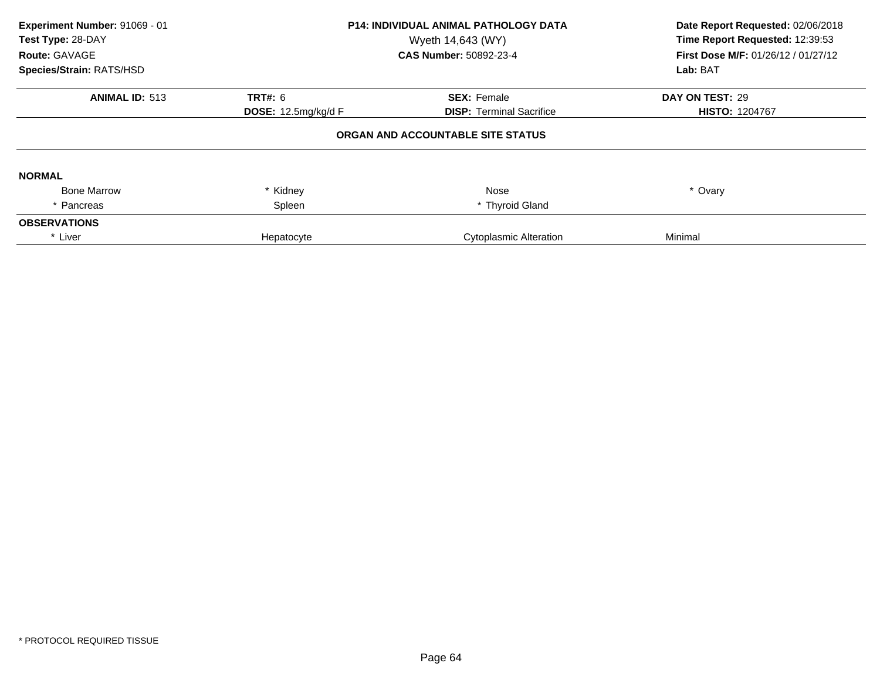| Experiment Number: 91069 - 01<br>Test Type: 28-DAY<br>Route: GAVAGE<br>Species/Strain: RATS/HSD | <b>P14: INDIVIDUAL ANIMAL PATHOLOGY DATA</b><br>Wyeth 14,643 (WY)<br><b>CAS Number: 50892-23-4</b> |                                   | Date Report Requested: 02/06/2018<br>Time Report Requested: 12:39:53<br>First Dose M/F: 01/26/12 / 01/27/12<br>Lab: BAT |
|-------------------------------------------------------------------------------------------------|----------------------------------------------------------------------------------------------------|-----------------------------------|-------------------------------------------------------------------------------------------------------------------------|
| <b>ANIMAL ID: 513</b>                                                                           | TRT#: 6                                                                                            | <b>SEX: Female</b>                | DAY ON TEST: 29                                                                                                         |
|                                                                                                 | DOSE: 12.5mg/kg/d F                                                                                | <b>DISP:</b> Terminal Sacrifice   | <b>HISTO: 1204767</b>                                                                                                   |
|                                                                                                 |                                                                                                    | ORGAN AND ACCOUNTABLE SITE STATUS |                                                                                                                         |
| <b>NORMAL</b>                                                                                   |                                                                                                    |                                   |                                                                                                                         |
| <b>Bone Marrow</b>                                                                              | Kidney                                                                                             | Nose                              | * Ovary                                                                                                                 |
| Pancreas                                                                                        | Spleen                                                                                             | * Thyroid Gland                   |                                                                                                                         |
| <b>OBSERVATIONS</b>                                                                             |                                                                                                    |                                   |                                                                                                                         |
| * Liver                                                                                         | Hepatocyte                                                                                         | <b>Cytoplasmic Alteration</b>     | Minimal                                                                                                                 |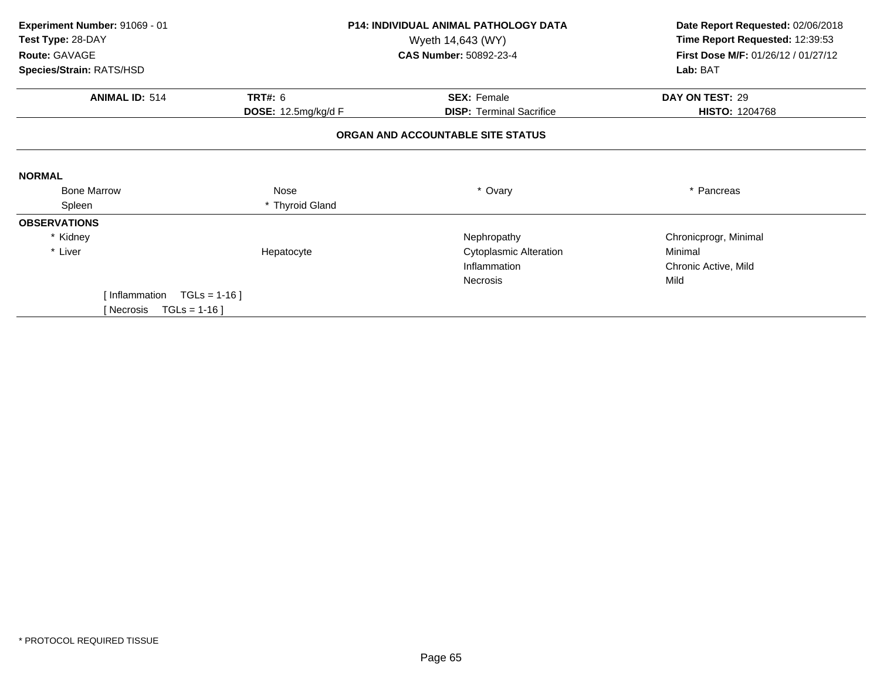| Experiment Number: 91069 - 01          |                     | <b>P14: INDIVIDUAL ANIMAL PATHOLOGY DATA</b> | Date Report Requested: 02/06/2018   |
|----------------------------------------|---------------------|----------------------------------------------|-------------------------------------|
| Test Type: 28-DAY<br>Wyeth 14,643 (WY) |                     |                                              | Time Report Requested: 12:39:53     |
| Route: GAVAGE                          |                     | <b>CAS Number: 50892-23-4</b>                | First Dose M/F: 01/26/12 / 01/27/12 |
| Species/Strain: RATS/HSD               |                     |                                              | Lab: BAT                            |
| <b>ANIMAL ID: 514</b>                  | <b>TRT#: 6</b>      | <b>SEX: Female</b>                           | DAY ON TEST: 29                     |
|                                        | DOSE: 12.5mg/kg/d F | <b>DISP: Terminal Sacrifice</b>              | <b>HISTO: 1204768</b>               |
|                                        |                     | ORGAN AND ACCOUNTABLE SITE STATUS            |                                     |
| <b>NORMAL</b>                          |                     |                                              |                                     |
| <b>Bone Marrow</b>                     | Nose                | * Ovary                                      | * Pancreas                          |
| Spleen                                 | * Thyroid Gland     |                                              |                                     |
| <b>OBSERVATIONS</b>                    |                     |                                              |                                     |
| * Kidney                               |                     | Nephropathy                                  | Chronicprogr, Minimal               |
| * Liver                                | Hepatocyte          | <b>Cytoplasmic Alteration</b>                | Minimal                             |
|                                        |                     | Inflammation                                 | Chronic Active, Mild                |
|                                        |                     | <b>Necrosis</b>                              | Mild                                |
| Inflammation                           | $TGLs = 1-16$ ]     |                                              |                                     |
| $TGLs = 1-16$<br>Mecrosis              |                     |                                              |                                     |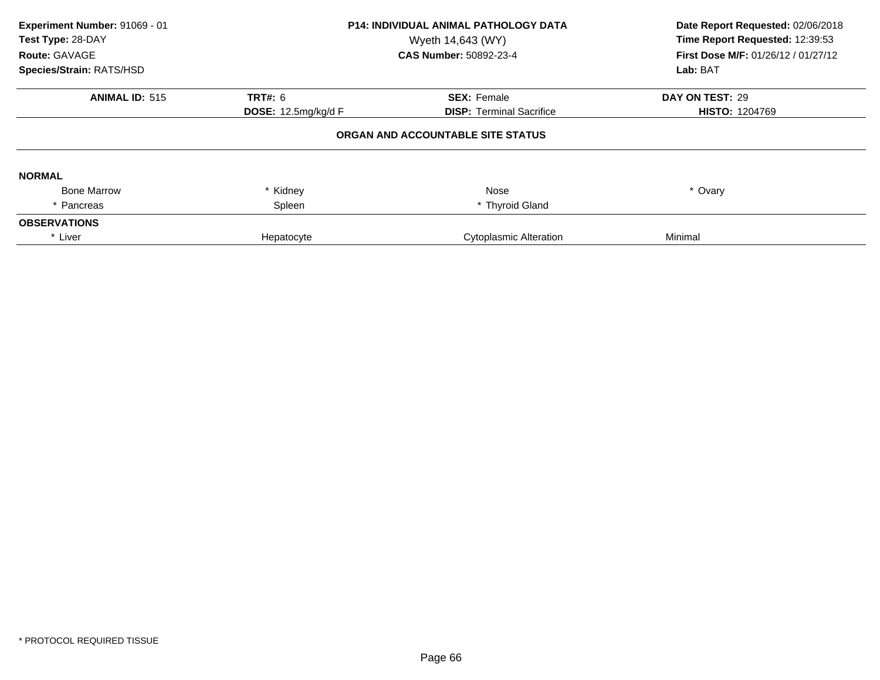| Experiment Number: 91069 - 01<br>Test Type: 28-DAY<br>Route: GAVAGE<br>Species/Strain: RATS/HSD | <b>P14: INDIVIDUAL ANIMAL PATHOLOGY DATA</b><br>Wyeth 14,643 (WY)<br>CAS Number: 50892-23-4 |                                                       | Date Report Requested: 02/06/2018<br>Time Report Requested: 12:39:53<br>First Dose M/F: 01/26/12 / 01/27/12<br>Lab: BAT |  |
|-------------------------------------------------------------------------------------------------|---------------------------------------------------------------------------------------------|-------------------------------------------------------|-------------------------------------------------------------------------------------------------------------------------|--|
| <b>ANIMAL ID: 515</b>                                                                           | TRT#: 6<br><b>DOSE:</b> 12.5mg/kg/d F                                                       | <b>SEX: Female</b><br><b>DISP: Terminal Sacrifice</b> | DAY ON TEST: 29<br><b>HISTO: 1204769</b>                                                                                |  |
|                                                                                                 |                                                                                             | ORGAN AND ACCOUNTABLE SITE STATUS                     |                                                                                                                         |  |
| <b>NORMAL</b>                                                                                   |                                                                                             |                                                       |                                                                                                                         |  |
| <b>Bone Marrow</b>                                                                              | * Kidney                                                                                    | Nose                                                  | * Ovary                                                                                                                 |  |
| * Pancreas                                                                                      | Spleen                                                                                      | * Thyroid Gland                                       |                                                                                                                         |  |
| <b>OBSERVATIONS</b>                                                                             |                                                                                             |                                                       |                                                                                                                         |  |
| * Liver                                                                                         | Hepatocyte                                                                                  | <b>Cytoplasmic Alteration</b>                         | Minimal                                                                                                                 |  |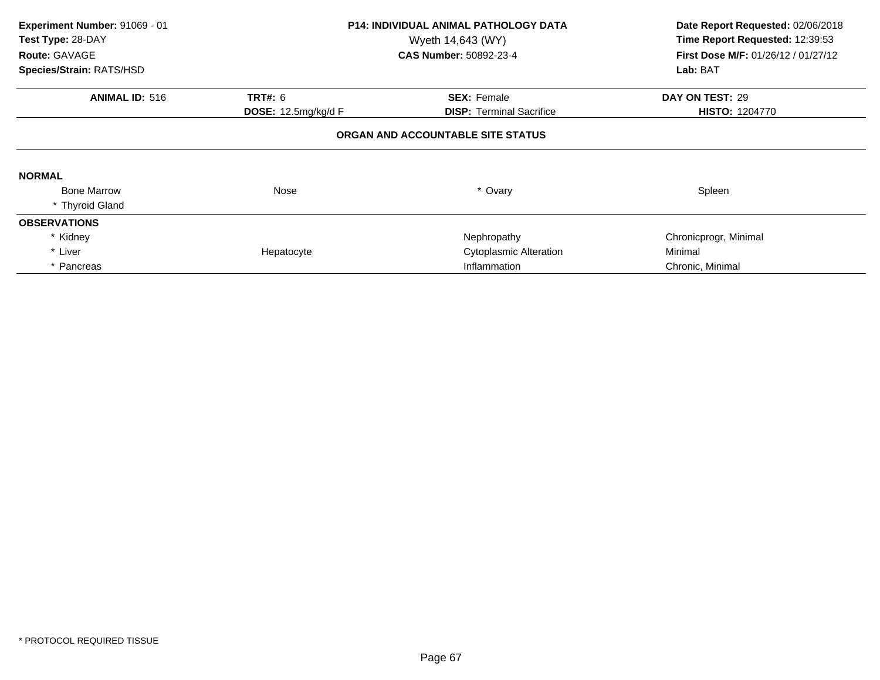| Experiment Number: 91069 - 01<br>Test Type: 28-DAY<br>Route: GAVAGE<br>Species/Strain: RATS/HSD                             |                | <b>P14: INDIVIDUAL ANIMAL PATHOLOGY DATA</b><br>Wyeth 14,643 (WY)<br><b>CAS Number: 50892-23-4</b> | Date Report Requested: 02/06/2018<br>Time Report Requested: 12:39:53<br>First Dose M/F: 01/26/12 / 01/27/12<br>Lab: BAT |  |  |  |
|-----------------------------------------------------------------------------------------------------------------------------|----------------|----------------------------------------------------------------------------------------------------|-------------------------------------------------------------------------------------------------------------------------|--|--|--|
| <b>ANIMAL ID: 516</b>                                                                                                       | <b>TRT#: 6</b> | <b>SEX: Female</b>                                                                                 | DAY ON TEST: 29                                                                                                         |  |  |  |
| <b>DOSE:</b> 12.5mg/kg/d F<br><b>DISP:</b> Terminal Sacrifice<br><b>HISTO: 1204770</b><br>ORGAN AND ACCOUNTABLE SITE STATUS |                |                                                                                                    |                                                                                                                         |  |  |  |
| <b>NORMAL</b>                                                                                                               |                |                                                                                                    |                                                                                                                         |  |  |  |
| <b>Bone Marrow</b><br>* Thyroid Gland                                                                                       | Nose           | * Ovary                                                                                            | Spleen                                                                                                                  |  |  |  |
| <b>OBSERVATIONS</b>                                                                                                         |                |                                                                                                    |                                                                                                                         |  |  |  |
| * Kidney                                                                                                                    |                | Nephropathy                                                                                        | Chronicprogr, Minimal                                                                                                   |  |  |  |
| * Liver                                                                                                                     | Hepatocyte     | <b>Cytoplasmic Alteration</b>                                                                      | Minimal                                                                                                                 |  |  |  |
| * Pancreas                                                                                                                  |                | Inflammation                                                                                       | Chronic, Minimal                                                                                                        |  |  |  |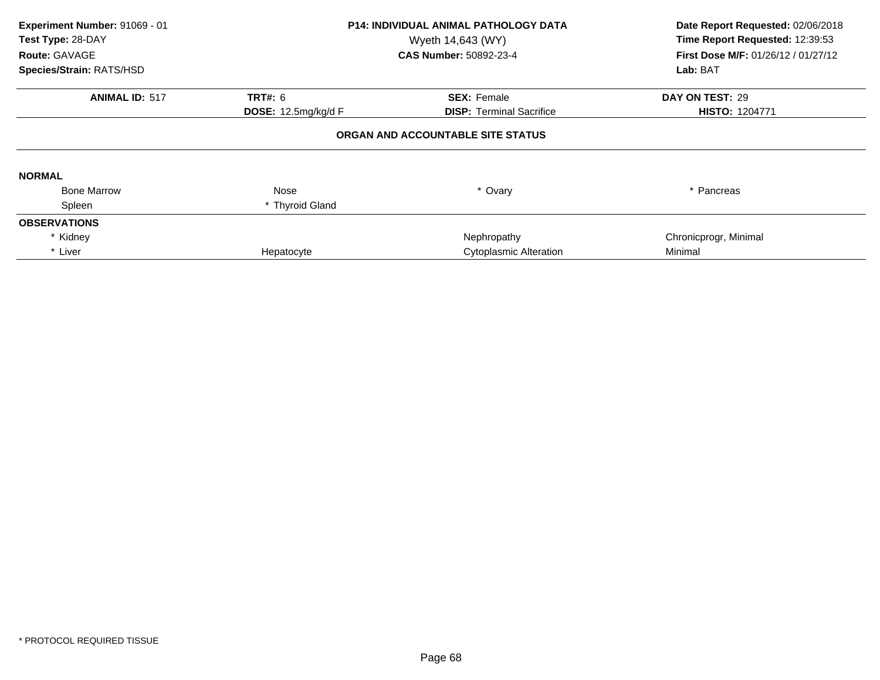| Experiment Number: 91069 - 01<br>Test Type: 28-DAY<br>Route: GAVAGE<br>Species/Strain: RATS/HSD |                            | P14: INDIVIDUAL ANIMAL PATHOLOGY DATA<br>Wyeth 14,643 (WY)<br>CAS Number: 50892-23-4 | Date Report Requested: 02/06/2018<br>Time Report Requested: 12:39:53<br>First Dose M/F: 01/26/12 / 01/27/12<br>Lab: BAT |  |
|-------------------------------------------------------------------------------------------------|----------------------------|--------------------------------------------------------------------------------------|-------------------------------------------------------------------------------------------------------------------------|--|
| <b>ANIMAL ID: 517</b>                                                                           | <b>TRT#: 6</b>             | <b>SEX: Female</b>                                                                   | DAY ON TEST: 29                                                                                                         |  |
|                                                                                                 | <b>DOSE:</b> 12.5mg/kg/d F | <b>DISP:</b> Terminal Sacrifice                                                      | <b>HISTO: 1204771</b>                                                                                                   |  |
|                                                                                                 |                            | ORGAN AND ACCOUNTABLE SITE STATUS                                                    |                                                                                                                         |  |
| <b>NORMAL</b>                                                                                   |                            |                                                                                      |                                                                                                                         |  |
| <b>Bone Marrow</b>                                                                              | Nose                       | * Ovary                                                                              | * Pancreas                                                                                                              |  |
| Spleen                                                                                          | * Thyroid Gland            |                                                                                      |                                                                                                                         |  |
| <b>OBSERVATIONS</b>                                                                             |                            |                                                                                      |                                                                                                                         |  |
| * Kidney                                                                                        |                            | Nephropathy                                                                          | Chronicprogr, Minimal                                                                                                   |  |
| * Liver                                                                                         | Hepatocyte                 | Cytoplasmic Alteration                                                               | Minimal                                                                                                                 |  |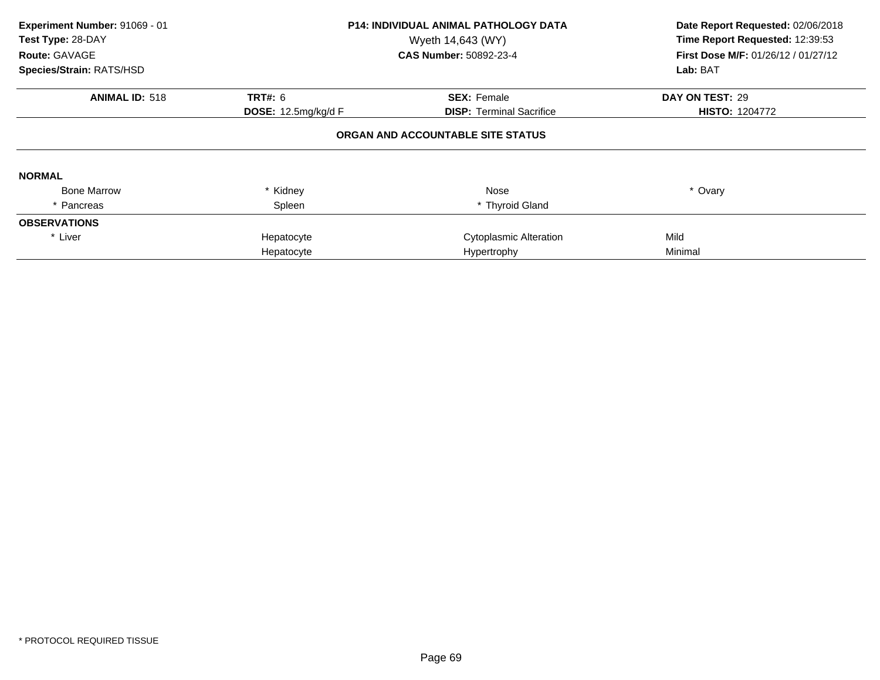| Experiment Number: 91069 - 01<br>Test Type: 28-DAY<br>Route: GAVAGE<br>Species/Strain: RATS/HSD |                     | <b>P14: INDIVIDUAL ANIMAL PATHOLOGY DATA</b><br>Wyeth 14,643 (WY)<br><b>CAS Number: 50892-23-4</b> | Date Report Requested: 02/06/2018<br>Time Report Requested: 12:39:53<br>First Dose M/F: 01/26/12 / 01/27/12<br>Lab: BAT |  |
|-------------------------------------------------------------------------------------------------|---------------------|----------------------------------------------------------------------------------------------------|-------------------------------------------------------------------------------------------------------------------------|--|
|                                                                                                 |                     |                                                                                                    |                                                                                                                         |  |
| <b>ANIMAL ID: 518</b>                                                                           | <b>TRT#: 6</b>      | <b>SEX: Female</b>                                                                                 | DAY ON TEST: 29                                                                                                         |  |
|                                                                                                 | DOSE: 12.5mg/kg/d F | <b>DISP:</b> Terminal Sacrifice                                                                    | <b>HISTO: 1204772</b>                                                                                                   |  |
| <b>NORMAL</b>                                                                                   |                     | ORGAN AND ACCOUNTABLE SITE STATUS                                                                  |                                                                                                                         |  |
| <b>Bone Marrow</b>                                                                              | * Kidney            | Nose                                                                                               | * Ovary                                                                                                                 |  |
| * Pancreas                                                                                      | Spleen              | * Thyroid Gland                                                                                    |                                                                                                                         |  |
| <b>OBSERVATIONS</b>                                                                             |                     |                                                                                                    |                                                                                                                         |  |
| * Liver                                                                                         | Hepatocyte          | <b>Cytoplasmic Alteration</b>                                                                      | Mild                                                                                                                    |  |
|                                                                                                 | Hepatocyte          | Hypertrophy                                                                                        | Minimal                                                                                                                 |  |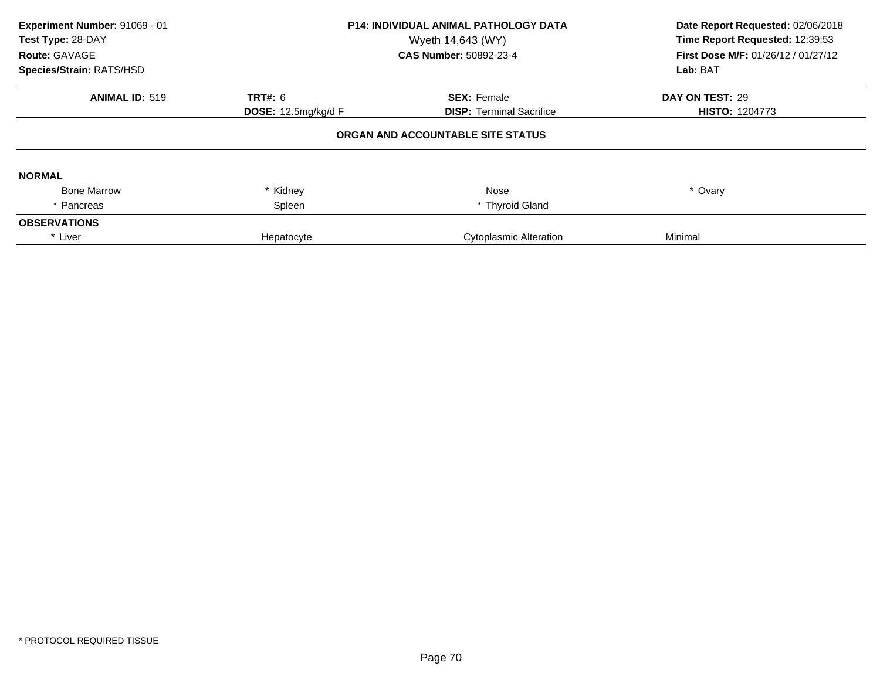| Experiment Number: 91069 - 01<br>Test Type: 28-DAY<br>Route: GAVAGE<br>Species/Strain: RATS/HSD | <b>P14: INDIVIDUAL ANIMAL PATHOLOGY DATA</b><br>Wyeth 14,643 (WY)<br><b>CAS Number: 50892-23-4</b> |                                   | Date Report Requested: 02/06/2018<br>Time Report Requested: 12:39:53<br>First Dose M/F: 01/26/12 / 01/27/12<br>Lab: BAT |  |
|-------------------------------------------------------------------------------------------------|----------------------------------------------------------------------------------------------------|-----------------------------------|-------------------------------------------------------------------------------------------------------------------------|--|
| <b>ANIMAL ID: 519</b>                                                                           | <b>TRT#: 6</b>                                                                                     | <b>SEX: Female</b>                | DAY ON TEST: 29                                                                                                         |  |
|                                                                                                 | DOSE: 12.5mg/kg/d F                                                                                | <b>DISP: Terminal Sacrifice</b>   | <b>HISTO: 1204773</b>                                                                                                   |  |
|                                                                                                 |                                                                                                    | ORGAN AND ACCOUNTABLE SITE STATUS |                                                                                                                         |  |
| <b>NORMAL</b>                                                                                   |                                                                                                    |                                   |                                                                                                                         |  |
| <b>Bone Marrow</b>                                                                              | Kidney                                                                                             | Nose                              | * Ovary                                                                                                                 |  |
| Pancreas                                                                                        | Spleen                                                                                             | * Thyroid Gland                   |                                                                                                                         |  |
| <b>OBSERVATIONS</b>                                                                             |                                                                                                    |                                   |                                                                                                                         |  |
| * Liver                                                                                         | Hepatocyte                                                                                         | <b>Cytoplasmic Alteration</b>     | Minimal                                                                                                                 |  |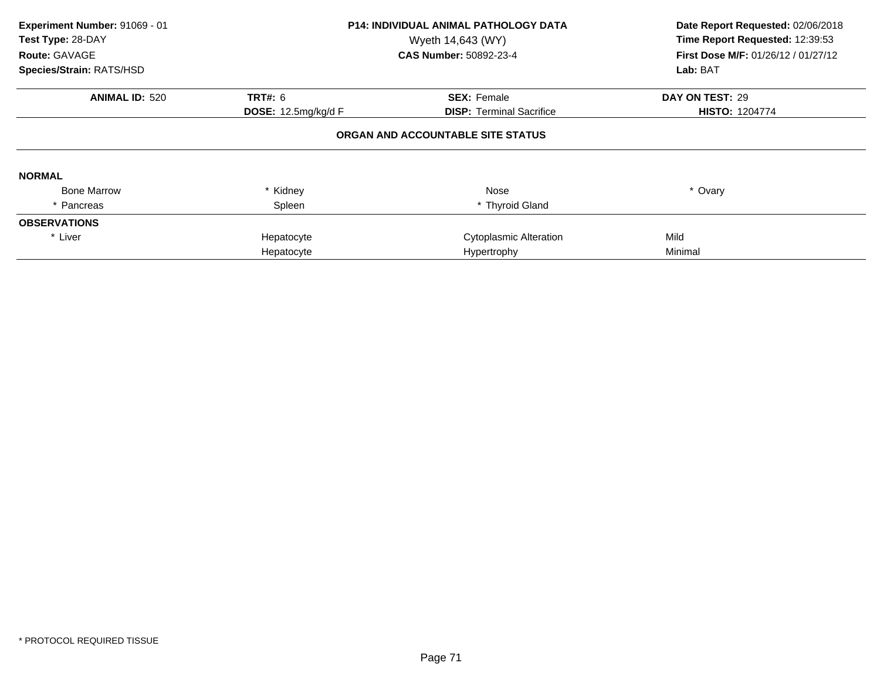| Experiment Number: 91069 - 01<br>Test Type: 28-DAY<br>Route: GAVAGE<br>Species/Strain: RATS/HSD |                     | <b>P14: INDIVIDUAL ANIMAL PATHOLOGY DATA</b><br>Wyeth 14,643 (WY)<br>CAS Number: 50892-23-4 | Date Report Requested: 02/06/2018<br>Time Report Requested: 12:39:53<br>First Dose M/F: 01/26/12 / 01/27/12<br>Lab: BAT |
|-------------------------------------------------------------------------------------------------|---------------------|---------------------------------------------------------------------------------------------|-------------------------------------------------------------------------------------------------------------------------|
| <b>ANIMAL ID: 520</b>                                                                           | <b>TRT#: 6</b>      | <b>SEX: Female</b>                                                                          | DAY ON TEST: 29                                                                                                         |
|                                                                                                 | DOSE: 12.5mg/kg/d F | <b>DISP:</b> Terminal Sacrifice                                                             | <b>HISTO: 1204774</b>                                                                                                   |
|                                                                                                 |                     | ORGAN AND ACCOUNTABLE SITE STATUS                                                           |                                                                                                                         |
| <b>NORMAL</b>                                                                                   |                     |                                                                                             |                                                                                                                         |
| <b>Bone Marrow</b>                                                                              | * Kidney            | Nose                                                                                        | * Ovary                                                                                                                 |
| Pancreas                                                                                        | Spleen              | * Thyroid Gland                                                                             |                                                                                                                         |
| <b>OBSERVATIONS</b>                                                                             |                     |                                                                                             |                                                                                                                         |
| * Liver                                                                                         | Hepatocyte          | Cytoplasmic Alteration                                                                      | Mild                                                                                                                    |
|                                                                                                 | Hepatocyte          | Hypertrophy                                                                                 | Minimal                                                                                                                 |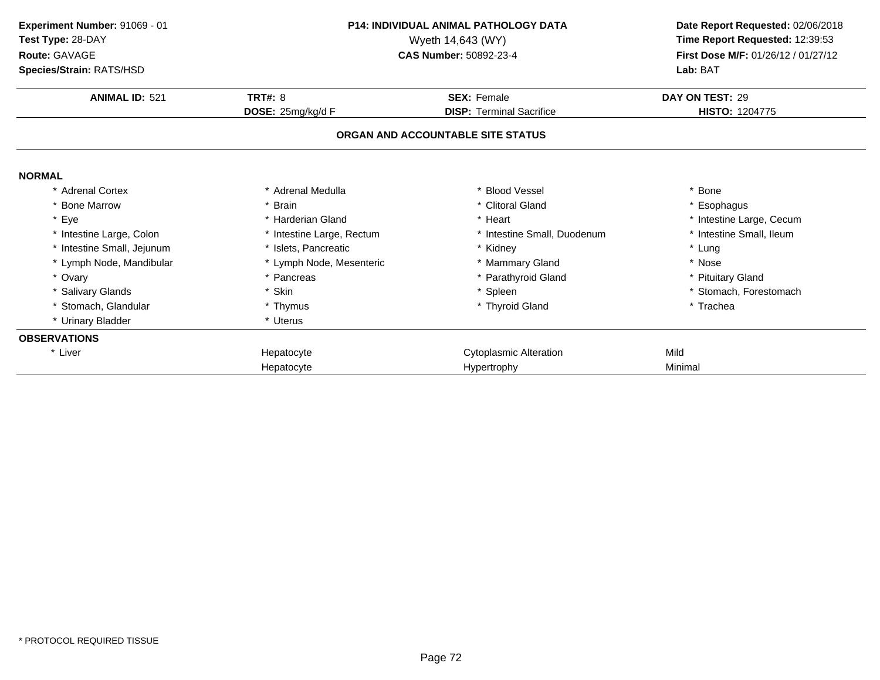| Experiment Number: 91069 - 01<br>Test Type: 28-DAY<br>Route: GAVAGE<br>Species/Strain: RATS/HSD |                                     | <b>P14: INDIVIDUAL ANIMAL PATHOLOGY DATA</b><br>Wyeth 14,643 (WY)<br><b>CAS Number: 50892-23-4</b> |                                          |
|-------------------------------------------------------------------------------------------------|-------------------------------------|----------------------------------------------------------------------------------------------------|------------------------------------------|
|                                                                                                 |                                     |                                                                                                    | Lab: BAT                                 |
| <b>ANIMAL ID: 521</b>                                                                           | <b>TRT#: 8</b><br>DOSE: 25mg/kg/d F | <b>SEX: Female</b><br><b>DISP: Terminal Sacrifice</b>                                              | DAY ON TEST: 29<br><b>HISTO: 1204775</b> |
|                                                                                                 |                                     | ORGAN AND ACCOUNTABLE SITE STATUS                                                                  |                                          |
| <b>NORMAL</b>                                                                                   |                                     |                                                                                                    |                                          |
| <b>Adrenal Cortex</b>                                                                           | * Adrenal Medulla                   | * Blood Vessel                                                                                     | * Bone                                   |
| * Bone Marrow                                                                                   | * Brain                             | * Clitoral Gland                                                                                   | * Esophagus                              |
| * Eye                                                                                           | * Harderian Gland                   | * Heart                                                                                            | * Intestine Large, Cecum                 |
| * Intestine Large, Colon                                                                        | * Intestine Large, Rectum           | * Intestine Small, Duodenum                                                                        | * Intestine Small, Ileum                 |
| * Intestine Small, Jejunum                                                                      | * Islets. Pancreatic                | * Kidney                                                                                           | * Lung                                   |
| * Lymph Node, Mandibular                                                                        | * Lymph Node, Mesenteric            | * Mammary Gland                                                                                    | * Nose                                   |
| * Ovary                                                                                         | * Pancreas                          | * Parathyroid Gland                                                                                | * Pituitary Gland                        |
| * Salivary Glands                                                                               | * Skin                              | * Spleen                                                                                           | * Stomach, Forestomach                   |
| * Stomach, Glandular                                                                            | * Thymus                            | * Thyroid Gland                                                                                    | * Trachea                                |
| * Urinary Bladder                                                                               | * Uterus                            |                                                                                                    |                                          |
| <b>OBSERVATIONS</b>                                                                             |                                     |                                                                                                    |                                          |
| * Liver                                                                                         | Hepatocyte                          | <b>Cytoplasmic Alteration</b>                                                                      | Mild                                     |
|                                                                                                 | Hepatocyte                          | Hypertrophy                                                                                        | Minimal                                  |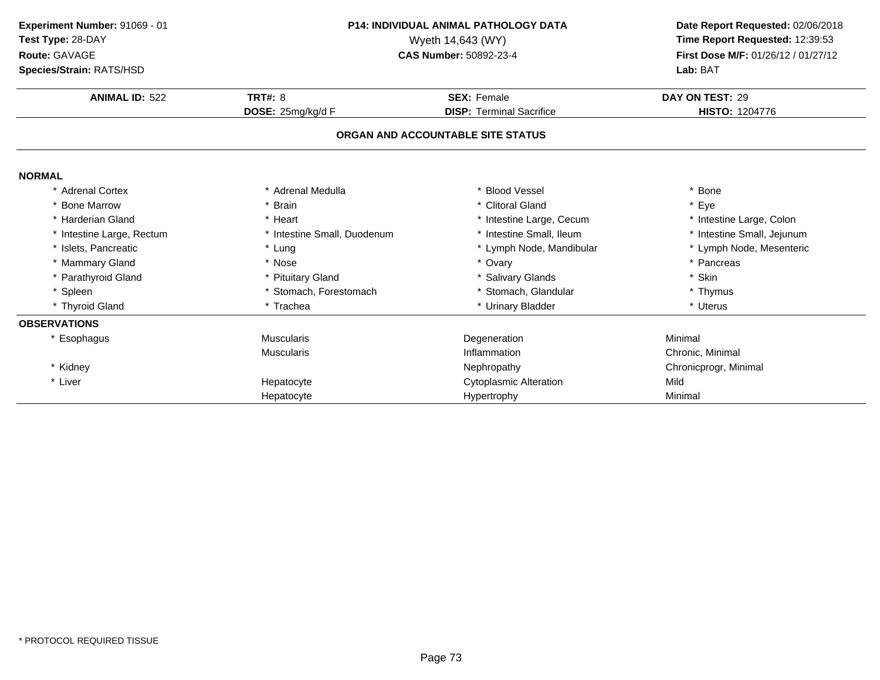| Experiment Number: 91069 - 01<br>Test Type: 28-DAY<br>Route: GAVAGE<br>Species/Strain: RATS/HSD | <b>P14: INDIVIDUAL ANIMAL PATHOLOGY DATA</b><br>Wyeth 14,643 (WY)<br>CAS Number: 50892-23-4 |                                   | Date Report Requested: 02/06/2018<br>Time Report Requested: 12:39:53<br>First Dose M/F: 01/26/12 / 01/27/12<br>Lab: BAT |
|-------------------------------------------------------------------------------------------------|---------------------------------------------------------------------------------------------|-----------------------------------|-------------------------------------------------------------------------------------------------------------------------|
| <b>ANIMAL ID: 522</b>                                                                           | <b>TRT#: 8</b>                                                                              | <b>SEX: Female</b>                | DAY ON TEST: 29                                                                                                         |
|                                                                                                 | DOSE: 25mg/kg/d F                                                                           | <b>DISP: Terminal Sacrifice</b>   | <b>HISTO: 1204776</b>                                                                                                   |
|                                                                                                 |                                                                                             | ORGAN AND ACCOUNTABLE SITE STATUS |                                                                                                                         |
| <b>NORMAL</b>                                                                                   |                                                                                             |                                   |                                                                                                                         |
| * Adrenal Cortex                                                                                | * Adrenal Medulla                                                                           | * Blood Vessel                    | * Bone                                                                                                                  |
| <b>Bone Marrow</b>                                                                              | <b>Brain</b>                                                                                | * Clitoral Gland                  | * Eye                                                                                                                   |
| * Harderian Gland                                                                               | * Heart                                                                                     | * Intestine Large, Cecum          | * Intestine Large, Colon                                                                                                |
| * Intestine Large, Rectum                                                                       | * Intestine Small, Duodenum                                                                 | * Intestine Small, Ileum          | * Intestine Small, Jejunum                                                                                              |
| * Islets, Pancreatic                                                                            | * Lung                                                                                      | * Lymph Node, Mandibular          | * Lymph Node, Mesenteric                                                                                                |
| * Mammary Gland                                                                                 | * Nose                                                                                      | * Ovary                           | * Pancreas                                                                                                              |
| * Parathyroid Gland                                                                             | * Pituitary Gland                                                                           | * Salivary Glands                 | * Skin                                                                                                                  |
| * Spleen                                                                                        | * Stomach, Forestomach                                                                      | * Stomach, Glandular              | * Thymus                                                                                                                |
| * Thyroid Gland                                                                                 | * Trachea                                                                                   | * Urinary Bladder                 | * Uterus                                                                                                                |
| <b>OBSERVATIONS</b>                                                                             |                                                                                             |                                   |                                                                                                                         |
| * Esophagus                                                                                     | <b>Muscularis</b>                                                                           | Degeneration                      | Minimal                                                                                                                 |
|                                                                                                 | <b>Muscularis</b>                                                                           | Inflammation                      | Chronic, Minimal                                                                                                        |
| * Kidney                                                                                        |                                                                                             | Nephropathy                       | Chronicprogr, Minimal                                                                                                   |
| * Liver                                                                                         | Hepatocyte                                                                                  | <b>Cytoplasmic Alteration</b>     | Mild                                                                                                                    |
|                                                                                                 | Hepatocyte                                                                                  | Hypertrophy                       | Minimal                                                                                                                 |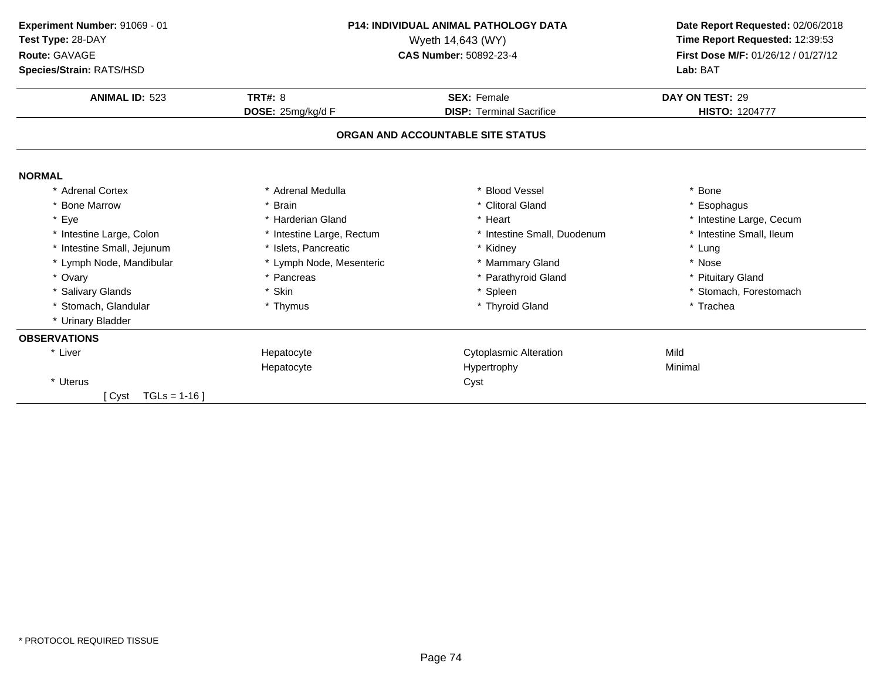| Experiment Number: 91069 - 01<br>Test Type: 28-DAY<br>Route: GAVAGE<br>Species/Strain: RATS/HSD | <b>P14: INDIVIDUAL ANIMAL PATHOLOGY DATA</b><br>Wyeth 14,643 (WY)<br>CAS Number: 50892-23-4 |                                                       | Date Report Requested: 02/06/2018<br>Time Report Requested: 12:39:53<br>First Dose M/F: 01/26/12 / 01/27/12<br>Lab: BAT |  |
|-------------------------------------------------------------------------------------------------|---------------------------------------------------------------------------------------------|-------------------------------------------------------|-------------------------------------------------------------------------------------------------------------------------|--|
|                                                                                                 |                                                                                             |                                                       |                                                                                                                         |  |
| <b>ANIMAL ID: 523</b>                                                                           | <b>TRT#: 8</b><br>DOSE: 25mg/kg/d F                                                         | <b>SEX: Female</b><br><b>DISP: Terminal Sacrifice</b> | DAY ON TEST: 29<br><b>HISTO: 1204777</b>                                                                                |  |
|                                                                                                 |                                                                                             | ORGAN AND ACCOUNTABLE SITE STATUS                     |                                                                                                                         |  |
| <b>NORMAL</b>                                                                                   |                                                                                             |                                                       |                                                                                                                         |  |
| * Adrenal Cortex                                                                                | * Adrenal Medulla                                                                           | <b>Blood Vessel</b>                                   | * Bone                                                                                                                  |  |
| <b>Bone Marrow</b>                                                                              | * Brain                                                                                     | * Clitoral Gland                                      | * Esophagus                                                                                                             |  |
| Eye<br>$\star$                                                                                  | * Harderian Gland                                                                           | * Heart                                               | * Intestine Large, Cecum                                                                                                |  |
| * Intestine Large, Colon                                                                        | * Intestine Large, Rectum                                                                   | * Intestine Small, Duodenum                           | * Intestine Small, Ileum                                                                                                |  |
| * Intestine Small, Jejunum                                                                      | * Islets. Pancreatic                                                                        | * Kidney                                              | * Lung                                                                                                                  |  |
| * Lymph Node, Mandibular                                                                        | * Lymph Node, Mesenteric                                                                    | * Mammary Gland                                       | * Nose                                                                                                                  |  |
| * Ovary                                                                                         | * Pancreas                                                                                  | * Parathyroid Gland                                   | * Pituitary Gland                                                                                                       |  |
| * Salivary Glands                                                                               | * Skin                                                                                      | * Spleen                                              | * Stomach, Forestomach                                                                                                  |  |
| * Stomach, Glandular                                                                            | * Thymus                                                                                    | * Thyroid Gland                                       | * Trachea                                                                                                               |  |
| * Urinary Bladder                                                                               |                                                                                             |                                                       |                                                                                                                         |  |
| <b>OBSERVATIONS</b>                                                                             |                                                                                             |                                                       |                                                                                                                         |  |
| * Liver                                                                                         | Hepatocyte                                                                                  | <b>Cytoplasmic Alteration</b>                         | Mild                                                                                                                    |  |
|                                                                                                 | Hepatocyte                                                                                  | Hypertrophy                                           | Minimal                                                                                                                 |  |
| * Uterus                                                                                        |                                                                                             | Cyst                                                  |                                                                                                                         |  |
| $TGLs = 1-16$<br>[ Cyst                                                                         |                                                                                             |                                                       |                                                                                                                         |  |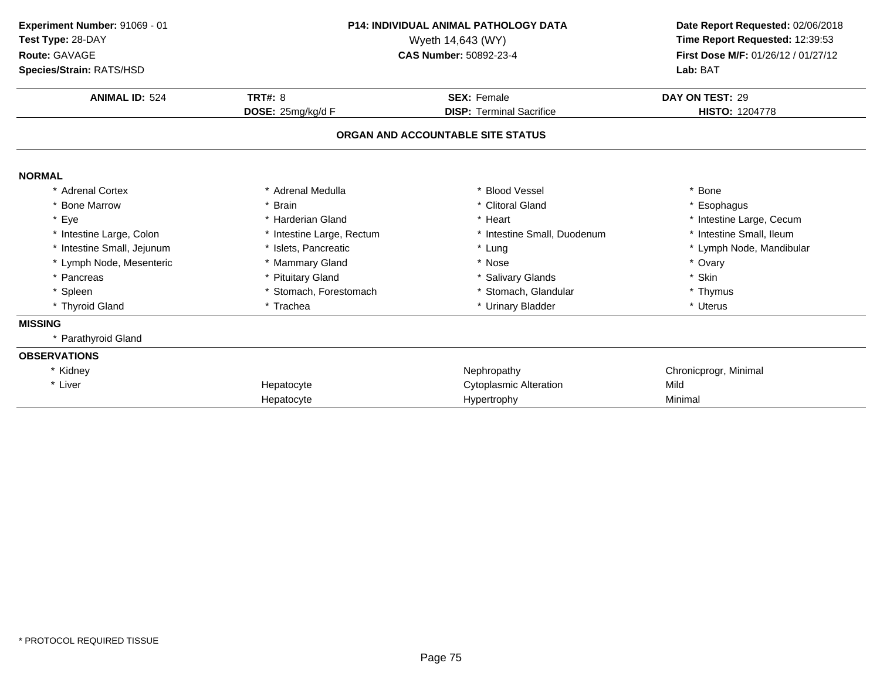| Experiment Number: 91069 - 01<br>Test Type: 28-DAY<br>Route: GAVAGE<br>Species/Strain: RATS/HSD | <b>P14: INDIVIDUAL ANIMAL PATHOLOGY DATA</b><br>Wyeth 14,643 (WY)<br>CAS Number: 50892-23-4 |                                   | Date Report Requested: 02/06/2018<br>Time Report Requested: 12:39:53<br>First Dose M/F: 01/26/12 / 01/27/12<br>Lab: BAT |
|-------------------------------------------------------------------------------------------------|---------------------------------------------------------------------------------------------|-----------------------------------|-------------------------------------------------------------------------------------------------------------------------|
|                                                                                                 |                                                                                             |                                   |                                                                                                                         |
| <b>ANIMAL ID: 524</b>                                                                           | <b>TRT#: 8</b>                                                                              | <b>SEX: Female</b>                | DAY ON TEST: 29                                                                                                         |
|                                                                                                 | DOSE: 25mg/kg/d F                                                                           | <b>DISP: Terminal Sacrifice</b>   | <b>HISTO: 1204778</b>                                                                                                   |
|                                                                                                 |                                                                                             | ORGAN AND ACCOUNTABLE SITE STATUS |                                                                                                                         |
| <b>NORMAL</b>                                                                                   |                                                                                             |                                   |                                                                                                                         |
| * Adrenal Cortex                                                                                | * Adrenal Medulla                                                                           | <b>Blood Vessel</b>               | * Bone                                                                                                                  |
| * Bone Marrow                                                                                   | * Brain                                                                                     | * Clitoral Gland                  | * Esophagus                                                                                                             |
| * Eye                                                                                           | * Harderian Gland                                                                           | * Heart                           | * Intestine Large, Cecum                                                                                                |
| * Intestine Large, Colon                                                                        | * Intestine Large, Rectum                                                                   | * Intestine Small, Duodenum       | * Intestine Small, Ileum                                                                                                |
| * Intestine Small, Jejunum                                                                      | * Islets, Pancreatic                                                                        | * Lung                            | * Lymph Node, Mandibular                                                                                                |
| * Lymph Node, Mesenteric                                                                        | * Mammary Gland                                                                             | * Nose                            | * Ovary                                                                                                                 |
| * Pancreas                                                                                      | * Pituitary Gland                                                                           | * Salivary Glands                 | * Skin                                                                                                                  |
| * Spleen                                                                                        | * Stomach, Forestomach                                                                      | * Stomach, Glandular              | * Thymus                                                                                                                |
| * Thyroid Gland                                                                                 | * Trachea                                                                                   | * Urinary Bladder                 | * Uterus                                                                                                                |
| <b>MISSING</b>                                                                                  |                                                                                             |                                   |                                                                                                                         |
| * Parathyroid Gland                                                                             |                                                                                             |                                   |                                                                                                                         |
| <b>OBSERVATIONS</b>                                                                             |                                                                                             |                                   |                                                                                                                         |
| * Kidney                                                                                        |                                                                                             | Nephropathy                       | Chronicprogr, Minimal                                                                                                   |
| * Liver                                                                                         | Hepatocyte                                                                                  | <b>Cytoplasmic Alteration</b>     | Mild                                                                                                                    |
|                                                                                                 | Hepatocyte                                                                                  | Hypertrophy                       | Minimal                                                                                                                 |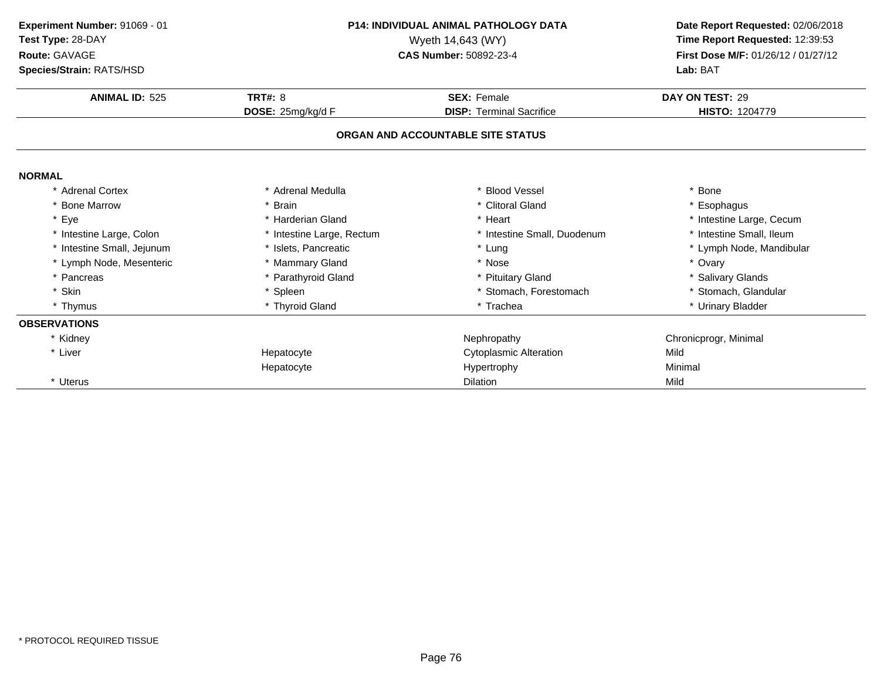| Experiment Number: 91069 - 01 | <b>P14: INDIVIDUAL ANIMAL PATHOLOGY DATA</b><br>Wyeth 14,643 (WY)<br>CAS Number: 50892-23-4 |                                   | Date Report Requested: 02/06/2018   |
|-------------------------------|---------------------------------------------------------------------------------------------|-----------------------------------|-------------------------------------|
| Test Type: 28-DAY             |                                                                                             |                                   | Time Report Requested: 12:39:53     |
| Route: GAVAGE                 |                                                                                             |                                   | First Dose M/F: 01/26/12 / 01/27/12 |
| Species/Strain: RATS/HSD      |                                                                                             |                                   | Lab: BAT                            |
| <b>ANIMAL ID: 525</b>         | <b>TRT#: 8</b>                                                                              | <b>SEX: Female</b>                | DAY ON TEST: 29                     |
|                               | DOSE: 25mg/kg/d F                                                                           | <b>DISP: Terminal Sacrifice</b>   | <b>HISTO: 1204779</b>               |
|                               |                                                                                             | ORGAN AND ACCOUNTABLE SITE STATUS |                                     |
| <b>NORMAL</b>                 |                                                                                             |                                   |                                     |
| <b>Adrenal Cortex</b>         | * Adrenal Medulla                                                                           | * Blood Vessel                    | * Bone                              |
| <b>Bone Marrow</b>            | * Brain                                                                                     | * Clitoral Gland                  | Esophagus                           |
| * Eye                         | * Harderian Gland                                                                           | * Heart                           | * Intestine Large, Cecum            |
| * Intestine Large, Colon      | * Intestine Large, Rectum                                                                   | * Intestine Small, Duodenum       | * Intestine Small, Ileum            |
| Intestine Small, Jejunum      | * Islets. Pancreatic                                                                        | * Lung                            | * Lymph Node, Mandibular            |
| * Lymph Node, Mesenteric      | * Mammary Gland                                                                             | * Nose                            | * Ovary                             |
| * Pancreas                    | * Parathyroid Gland                                                                         | * Pituitary Gland                 | * Salivary Glands                   |
| * Skin                        | * Spleen                                                                                    | * Stomach, Forestomach            | * Stomach, Glandular                |
| * Thymus                      | * Thyroid Gland                                                                             | * Trachea                         | * Urinary Bladder                   |
| <b>OBSERVATIONS</b>           |                                                                                             |                                   |                                     |
| * Kidney                      |                                                                                             | Nephropathy                       | Chronicprogr, Minimal               |
| * Liver                       | Hepatocyte                                                                                  | <b>Cytoplasmic Alteration</b>     | Mild                                |
|                               | Hepatocyte                                                                                  | Hypertrophy                       | Minimal                             |
| * Uterus                      |                                                                                             | <b>Dilation</b>                   | Mild                                |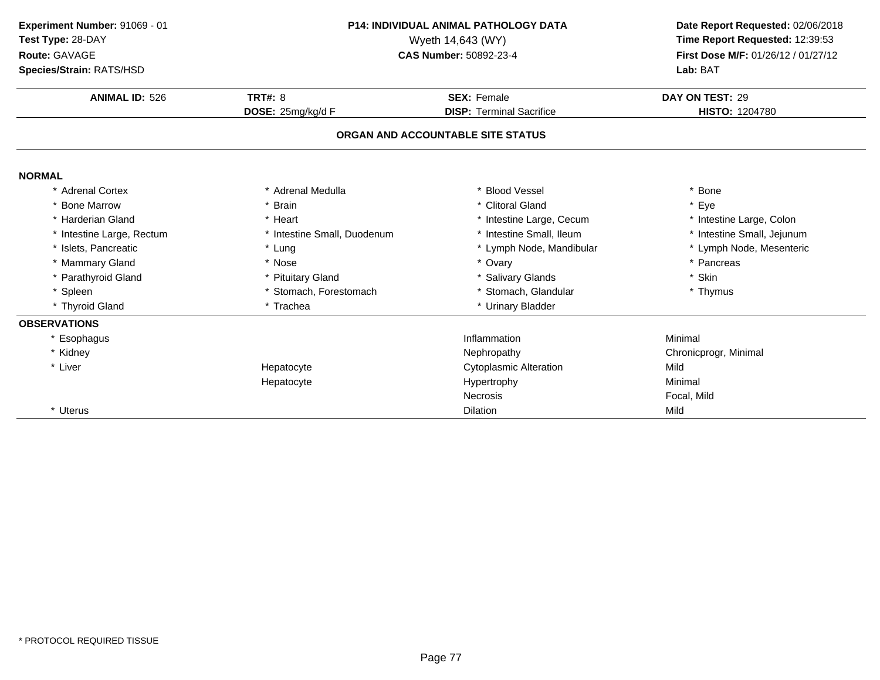| Experiment Number: 91069 - 01<br>Test Type: 28-DAY<br>Route: GAVAGE<br>Species/Strain: RATS/HSD<br><b>ANIMAL ID: 526</b> | P14: INDIVIDUAL ANIMAL PATHOLOGY DATA<br>Wyeth 14,643 (WY)<br>CAS Number: 50892-23-4<br><b>TRT#: 8</b><br><b>SEX: Female</b> |                                                                      | Date Report Requested: 02/06/2018<br>Time Report Requested: 12:39:53<br>First Dose M/F: 01/26/12 / 01/27/12<br>Lab: BAT<br>DAY ON TEST: 29<br>HISTO: 1204780 |
|--------------------------------------------------------------------------------------------------------------------------|------------------------------------------------------------------------------------------------------------------------------|----------------------------------------------------------------------|--------------------------------------------------------------------------------------------------------------------------------------------------------------|
|                                                                                                                          | DOSE: 25mg/kg/d F                                                                                                            | <b>DISP: Terminal Sacrifice</b><br>ORGAN AND ACCOUNTABLE SITE STATUS |                                                                                                                                                              |
| <b>NORMAL</b>                                                                                                            |                                                                                                                              |                                                                      |                                                                                                                                                              |
| * Adrenal Cortex                                                                                                         | Adrenal Medulla                                                                                                              | * Blood Vessel                                                       | * Bone                                                                                                                                                       |
| <b>Bone Marrow</b>                                                                                                       | * Brain                                                                                                                      | * Clitoral Gland                                                     | * Eye                                                                                                                                                        |
| * Harderian Gland                                                                                                        | * Heart                                                                                                                      | * Intestine Large, Cecum                                             | * Intestine Large, Colon                                                                                                                                     |
| * Intestine Large, Rectum                                                                                                | * Intestine Small, Duodenum                                                                                                  | * Intestine Small, Ileum                                             | * Intestine Small, Jejunum                                                                                                                                   |
| * Islets, Pancreatic                                                                                                     | * Lung                                                                                                                       | * Lymph Node, Mandibular                                             | * Lymph Node, Mesenteric                                                                                                                                     |
| * Mammary Gland                                                                                                          | * Nose                                                                                                                       | * Ovary                                                              | * Pancreas                                                                                                                                                   |
| Parathyroid Gland                                                                                                        | * Pituitary Gland                                                                                                            | * Salivary Glands                                                    | * Skin                                                                                                                                                       |
| * Spleen                                                                                                                 | * Stomach, Forestomach                                                                                                       | * Stomach, Glandular                                                 | * Thymus                                                                                                                                                     |
| * Thyroid Gland                                                                                                          | * Trachea                                                                                                                    | * Urinary Bladder                                                    |                                                                                                                                                              |
| <b>OBSERVATIONS</b>                                                                                                      |                                                                                                                              |                                                                      |                                                                                                                                                              |
| * Esophagus                                                                                                              |                                                                                                                              | Inflammation                                                         | Minimal                                                                                                                                                      |
| * Kidney                                                                                                                 |                                                                                                                              | Nephropathy                                                          | Chronicprogr, Minimal                                                                                                                                        |
| * Liver                                                                                                                  | Hepatocyte                                                                                                                   | <b>Cytoplasmic Alteration</b>                                        | Mild                                                                                                                                                         |
|                                                                                                                          | Hepatocyte                                                                                                                   | Hypertrophy                                                          | Minimal                                                                                                                                                      |
|                                                                                                                          |                                                                                                                              | Necrosis                                                             | Focal, Mild                                                                                                                                                  |
| * Uterus                                                                                                                 |                                                                                                                              | <b>Dilation</b>                                                      | Mild                                                                                                                                                         |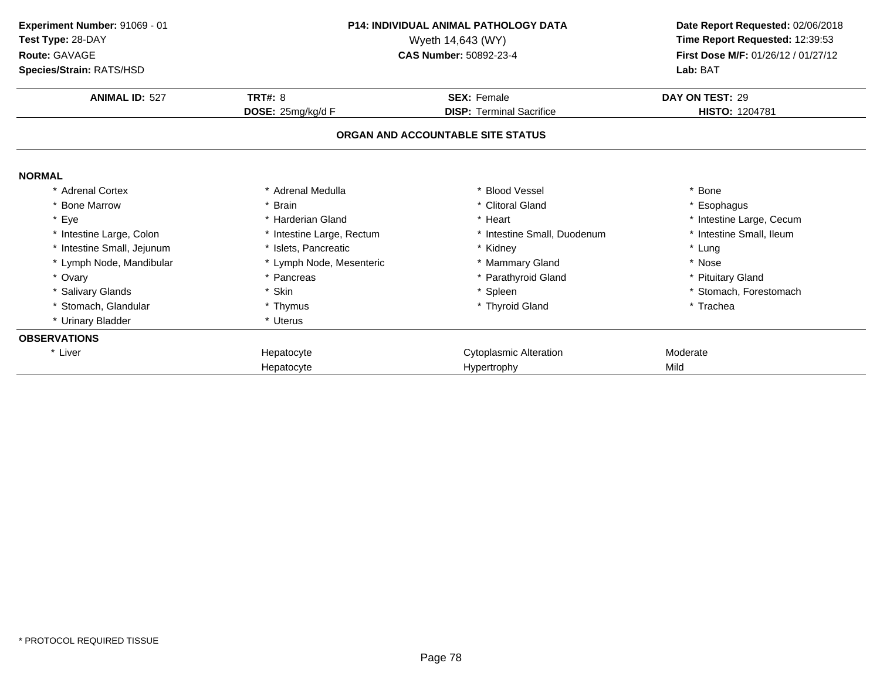| Experiment Number: 91069 - 01          |                           | P14: INDIVIDUAL ANIMAL PATHOLOGY DATA |                                     |
|----------------------------------------|---------------------------|---------------------------------------|-------------------------------------|
| Test Type: 28-DAY<br>Wyeth 14,643 (WY) |                           |                                       | Time Report Requested: 12:39:53     |
| Route: GAVAGE                          |                           | CAS Number: 50892-23-4                | First Dose M/F: 01/26/12 / 01/27/12 |
| <b>Species/Strain: RATS/HSD</b>        |                           |                                       | Lab: BAT                            |
| <b>ANIMAL ID: 527</b>                  | <b>TRT#: 8</b>            | <b>SEX: Female</b>                    | DAY ON TEST: 29                     |
|                                        | DOSE: 25mg/kg/d F         | <b>DISP: Terminal Sacrifice</b>       | <b>HISTO: 1204781</b>               |
|                                        |                           | ORGAN AND ACCOUNTABLE SITE STATUS     |                                     |
| <b>NORMAL</b>                          |                           |                                       |                                     |
| * Adrenal Cortex                       | * Adrenal Medulla         | * Blood Vessel                        | * Bone                              |
| <b>Bone Marrow</b>                     | * Brain                   | * Clitoral Gland                      | * Esophagus                         |
| * Eye                                  | * Harderian Gland         | * Heart                               | * Intestine Large, Cecum            |
| * Intestine Large, Colon               | * Intestine Large, Rectum | * Intestine Small, Duodenum           | * Intestine Small, Ileum            |
| * Intestine Small, Jejunum             | * Islets, Pancreatic      | * Kidney                              | * Lung                              |
| * Lymph Node, Mandibular               | * Lymph Node, Mesenteric  | * Mammary Gland                       | * Nose                              |
| * Ovary                                | * Pancreas                | * Parathyroid Gland                   | * Pituitary Gland                   |
| * Salivary Glands                      | * Skin                    | * Spleen                              | * Stomach, Forestomach              |
| * Stomach, Glandular                   | * Thymus                  | * Thyroid Gland                       | * Trachea                           |
| * Urinary Bladder                      | * Uterus                  |                                       |                                     |
| <b>OBSERVATIONS</b>                    |                           |                                       |                                     |
| * Liver                                | Hepatocyte                | <b>Cytoplasmic Alteration</b>         | Moderate                            |
|                                        | Hepatocyte                | Hypertrophy                           | Mild                                |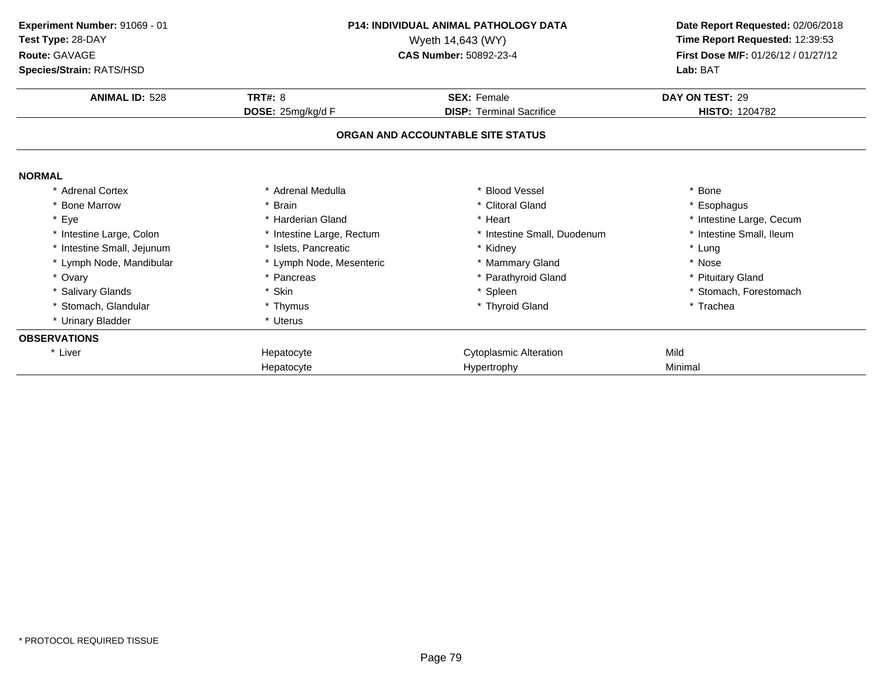| Experiment Number: 91069 - 01<br>Test Type: 28-DAY<br>Route: GAVAGE |                           | <b>P14: INDIVIDUAL ANIMAL PATHOLOGY DATA</b><br>Wyeth 14,643 (WY)<br>CAS Number: 50892-23-4 | Date Report Requested: 02/06/2018<br>Time Report Requested: 12:39:53<br>First Dose M/F: 01/26/12 / 01/27/12 |  |
|---------------------------------------------------------------------|---------------------------|---------------------------------------------------------------------------------------------|-------------------------------------------------------------------------------------------------------------|--|
| Species/Strain: RATS/HSD                                            |                           |                                                                                             | Lab: BAT                                                                                                    |  |
| <b>ANIMAL ID: 528</b>                                               | <b>TRT#: 8</b>            | <b>SEX: Female</b>                                                                          | DAY ON TEST: 29                                                                                             |  |
|                                                                     | DOSE: 25mg/kg/d F         | <b>DISP:</b> Terminal Sacrifice                                                             | <b>HISTO: 1204782</b>                                                                                       |  |
|                                                                     |                           | ORGAN AND ACCOUNTABLE SITE STATUS                                                           |                                                                                                             |  |
| <b>NORMAL</b>                                                       |                           |                                                                                             |                                                                                                             |  |
| * Adrenal Cortex                                                    | * Adrenal Medulla         | * Blood Vessel                                                                              | * Bone                                                                                                      |  |
| * Bone Marrow                                                       | * Brain                   | * Clitoral Gland                                                                            | * Esophagus                                                                                                 |  |
| * Eye                                                               | * Harderian Gland         | * Heart                                                                                     | * Intestine Large, Cecum                                                                                    |  |
| * Intestine Large, Colon                                            | * Intestine Large, Rectum | * Intestine Small, Duodenum                                                                 | * Intestine Small, Ileum                                                                                    |  |
| Intestine Small, Jejunum                                            | * Islets, Pancreatic      | * Kidney                                                                                    | * Lung                                                                                                      |  |
| * Lymph Node, Mandibular                                            | * Lymph Node, Mesenteric  | * Mammary Gland                                                                             | * Nose                                                                                                      |  |
| * Ovary                                                             | * Pancreas                | * Parathyroid Gland                                                                         | * Pituitary Gland                                                                                           |  |
| * Salivary Glands                                                   | * Skin                    | * Spleen                                                                                    | * Stomach, Forestomach                                                                                      |  |
| * Stomach, Glandular                                                | * Thymus                  | * Thyroid Gland                                                                             | * Trachea                                                                                                   |  |
| * Urinary Bladder                                                   | * Uterus                  |                                                                                             |                                                                                                             |  |
| <b>OBSERVATIONS</b>                                                 |                           |                                                                                             |                                                                                                             |  |
| * Liver                                                             | Hepatocyte                | <b>Cytoplasmic Alteration</b>                                                               | Mild                                                                                                        |  |
|                                                                     | Hepatocyte                | Hypertrophy                                                                                 | Minimal                                                                                                     |  |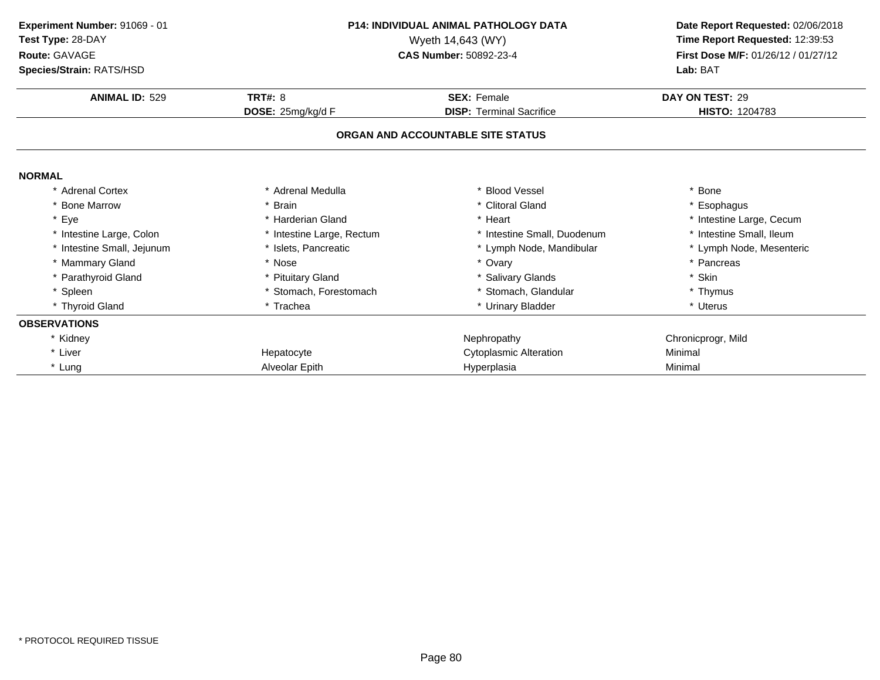| <b>P14: INDIVIDUAL ANIMAL PATHOLOGY DATA</b><br>Experiment Number: 91069 - 01<br>Test Type: 28-DAY<br>Wyeth 14,643 (WY)<br>Route: GAVAGE<br><b>CAS Number: 50892-23-4</b> |                           |                                                                        | Date Report Requested: 02/06/2018 |
|---------------------------------------------------------------------------------------------------------------------------------------------------------------------------|---------------------------|------------------------------------------------------------------------|-----------------------------------|
|                                                                                                                                                                           |                           | Time Report Requested: 12:39:53<br>First Dose M/F: 01/26/12 / 01/27/12 |                                   |
|                                                                                                                                                                           |                           |                                                                        | Lab: BAT                          |
| Species/Strain: RATS/HSD                                                                                                                                                  |                           |                                                                        |                                   |
| <b>ANIMAL ID: 529</b>                                                                                                                                                     | <b>TRT#: 8</b>            | <b>SEX: Female</b>                                                     | DAY ON TEST: 29                   |
|                                                                                                                                                                           | DOSE: 25mg/kg/d F         | <b>DISP: Terminal Sacrifice</b>                                        | <b>HISTO: 1204783</b>             |
|                                                                                                                                                                           |                           | ORGAN AND ACCOUNTABLE SITE STATUS                                      |                                   |
| <b>NORMAL</b>                                                                                                                                                             |                           |                                                                        |                                   |
| * Adrenal Cortex                                                                                                                                                          | * Adrenal Medulla         | * Blood Vessel                                                         | * Bone                            |
| * Bone Marrow                                                                                                                                                             | * Brain                   | * Clitoral Gland                                                       | * Esophagus                       |
| * Eye                                                                                                                                                                     | * Harderian Gland         | * Heart                                                                | * Intestine Large, Cecum          |
| * Intestine Large, Colon                                                                                                                                                  | * Intestine Large, Rectum | * Intestine Small, Duodenum                                            | * Intestine Small, Ileum          |
| * Intestine Small, Jejunum                                                                                                                                                | * Islets. Pancreatic      | * Lymph Node, Mandibular                                               | * Lymph Node, Mesenteric          |
| * Mammary Gland                                                                                                                                                           | * Nose                    | * Ovary                                                                | * Pancreas                        |
| * Parathyroid Gland                                                                                                                                                       | * Pituitary Gland         | * Salivary Glands                                                      | * Skin                            |
| * Spleen                                                                                                                                                                  | * Stomach, Forestomach    | * Stomach, Glandular                                                   | * Thymus                          |
| * Thyroid Gland                                                                                                                                                           | * Trachea                 | * Urinary Bladder                                                      | * Uterus                          |
| <b>OBSERVATIONS</b>                                                                                                                                                       |                           |                                                                        |                                   |
| * Kidney                                                                                                                                                                  |                           | Nephropathy                                                            | Chronicprogr, Mild                |
| * Liver                                                                                                                                                                   | Hepatocyte                | <b>Cytoplasmic Alteration</b>                                          | Minimal                           |
| * Lung                                                                                                                                                                    | Alveolar Epith            | Hyperplasia                                                            | Minimal                           |